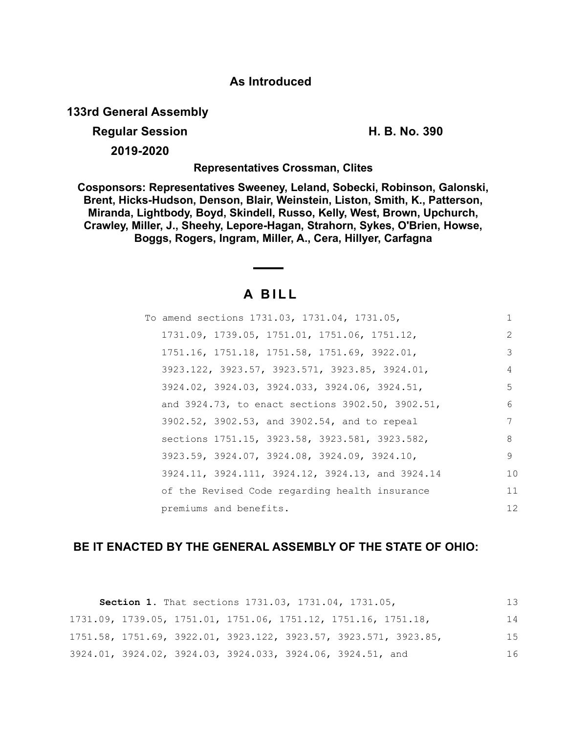# **As Introduced**

**133rd General Assembly**

# **Regular Session H. B. No. 390**

**2019-2020**

**Representatives Crossman, Clites**

**Cosponsors: Representatives Sweeney, Leland, Sobecki, Robinson, Galonski, Brent, Hicks-Hudson, Denson, Blair, Weinstein, Liston, Smith, K., Patterson, Miranda, Lightbody, Boyd, Skindell, Russo, Kelly, West, Brown, Upchurch, Crawley, Miller, J., Sheehy, Lepore-Hagan, Strahorn, Sykes, O'Brien, Howse, Boggs, Rogers, Ingram, Miller, A., Cera, Hillyer, Carfagna**

# **A B I L L**

| To amend sections 1731.03, 1731.04, 1731.05,     | $\mathbf{1}$      |
|--------------------------------------------------|-------------------|
| 1731.09, 1739.05, 1751.01, 1751.06, 1751.12,     | 2                 |
| 1751.16, 1751.18, 1751.58, 1751.69, 3922.01,     | 3                 |
| 3923.122, 3923.57, 3923.571, 3923.85, 3924.01,   | 4                 |
| 3924.02, 3924.03, 3924.033, 3924.06, 3924.51,    | 5                 |
| and 3924.73, to enact sections 3902.50, 3902.51, | 6                 |
| 3902.52, 3902.53, and 3902.54, and to repeal     | 7                 |
| sections 1751.15, 3923.58, 3923.581, 3923.582,   | 8                 |
| 3923.59, 3924.07, 3924.08, 3924.09, 3924.10,     | 9                 |
| 3924.11, 3924.111, 3924.12, 3924.13, and 3924.14 | 10                |
| of the Revised Code regarding health insurance   | 11                |
| premiums and benefits.                           | $12 \overline{c}$ |

# **BE IT ENACTED BY THE GENERAL ASSEMBLY OF THE STATE OF OHIO:**

|  |  | <b>Section 1.</b> That sections 1731.03, 1731.04, 1731.05,                          | 13  |
|--|--|-------------------------------------------------------------------------------------|-----|
|  |  | $1731.09$ , $1739.05$ , $1751.01$ , $1751.06$ , $1751.12$ , $1751.16$ , $1751.18$ , | 14  |
|  |  | 1751.58, 1751.69, 3922.01, 3923.122, 3923.57, 3923.571, 3923.85,                    | 1.5 |
|  |  | 3924.01, 3924.02, 3924.03, 3924.033, 3924.06, 3924.51, and                          | 16  |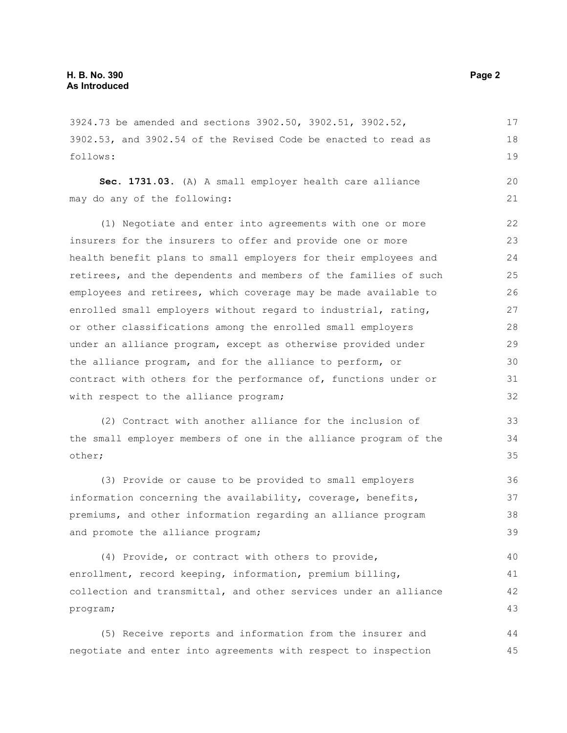3924.73 be amended and sections 3902.50, 3902.51, 3902.52, 3902.53, and 3902.54 of the Revised Code be enacted to read as follows:

**Sec. 1731.03.** (A) A small employer health care alliance may do any of the following:

(1) Negotiate and enter into agreements with one or more insurers for the insurers to offer and provide one or more health benefit plans to small employers for their employees and retirees, and the dependents and members of the families of such employees and retirees, which coverage may be made available to enrolled small employers without regard to industrial, rating, or other classifications among the enrolled small employers under an alliance program, except as otherwise provided under the alliance program, and for the alliance to perform, or contract with others for the performance of, functions under or with respect to the alliance program; 22 23 24 25 26 27 28 29 30 31 32

(2) Contract with another alliance for the inclusion of the small employer members of one in the alliance program of the other;

(3) Provide or cause to be provided to small employers information concerning the availability, coverage, benefits, premiums, and other information regarding an alliance program and promote the alliance program; 36 37 38 39

(4) Provide, or contract with others to provide, enrollment, record keeping, information, premium billing, collection and transmittal, and other services under an alliance program; 40 41 42 43

(5) Receive reports and information from the insurer and negotiate and enter into agreements with respect to inspection 44 45

17 18 19

20 21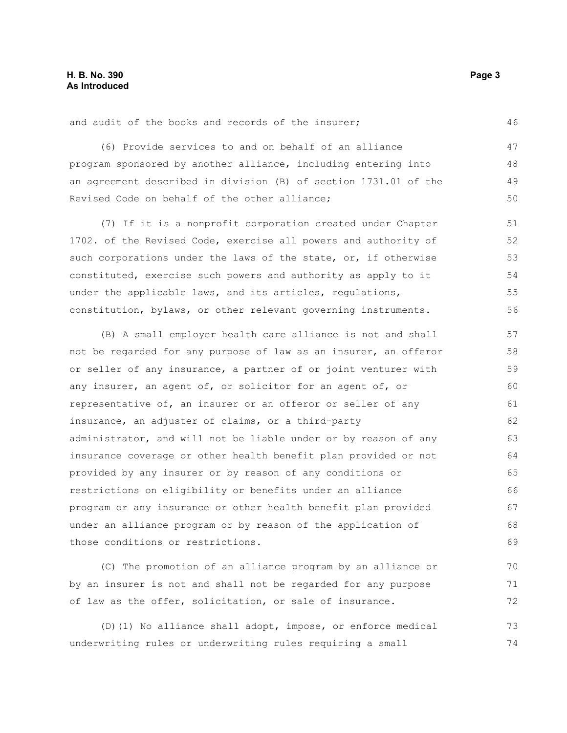and audit of the books and records of the insurer;

(6) Provide services to and on behalf of an alliance program sponsored by another alliance, including entering into an agreement described in division (B) of section 1731.01 of the Revised Code on behalf of the other alliance; 47 48 49 50

(7) If it is a nonprofit corporation created under Chapter 1702. of the Revised Code, exercise all powers and authority of such corporations under the laws of the state, or, if otherwise constituted, exercise such powers and authority as apply to it under the applicable laws, and its articles, regulations, constitution, bylaws, or other relevant governing instruments. 51 52 53 54 55 56

(B) A small employer health care alliance is not and shall not be regarded for any purpose of law as an insurer, an offeror or seller of any insurance, a partner of or joint venturer with any insurer, an agent of, or solicitor for an agent of, or representative of, an insurer or an offeror or seller of any insurance, an adjuster of claims, or a third-party administrator, and will not be liable under or by reason of any insurance coverage or other health benefit plan provided or not provided by any insurer or by reason of any conditions or restrictions on eligibility or benefits under an alliance program or any insurance or other health benefit plan provided under an alliance program or by reason of the application of those conditions or restrictions. 57 58 59 60 61 62 63 64 65 66 67 68 69

(C) The promotion of an alliance program by an alliance or by an insurer is not and shall not be regarded for any purpose of law as the offer, solicitation, or sale of insurance. 70 71 72

(D)(1) No alliance shall adopt, impose, or enforce medical underwriting rules or underwriting rules requiring a small 73 74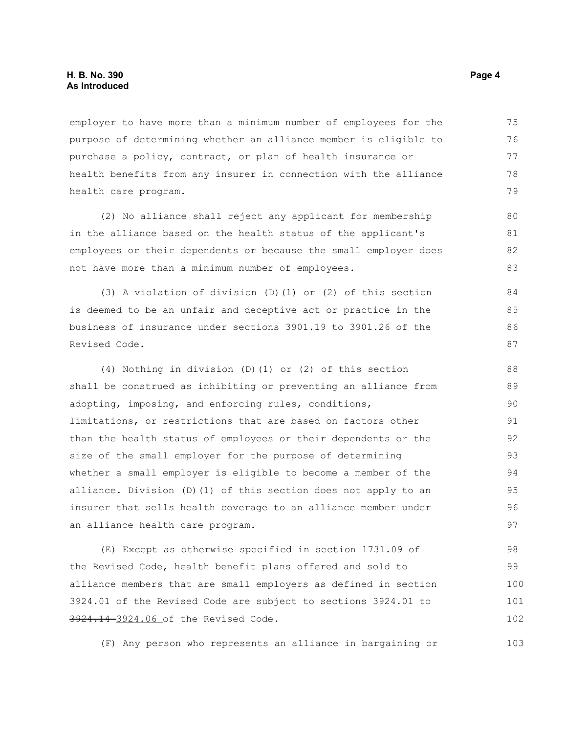employer to have more than a minimum number of employees for the purpose of determining whether an alliance member is eligible to purchase a policy, contract, or plan of health insurance or health benefits from any insurer in connection with the alliance health care program. 75 76 77 78 79

(2) No alliance shall reject any applicant for membership in the alliance based on the health status of the applicant's employees or their dependents or because the small employer does not have more than a minimum number of employees.

(3) A violation of division (D)(1) or (2) of this section is deemed to be an unfair and deceptive act or practice in the business of insurance under sections 3901.19 to 3901.26 of the Revised Code.

(4) Nothing in division (D)(1) or (2) of this section shall be construed as inhibiting or preventing an alliance from adopting, imposing, and enforcing rules, conditions, limitations, or restrictions that are based on factors other than the health status of employees or their dependents or the size of the small employer for the purpose of determining whether a small employer is eligible to become a member of the alliance. Division (D)(1) of this section does not apply to an insurer that sells health coverage to an alliance member under an alliance health care program. 88 89 90 91 92 93 94 95 96 97

(E) Except as otherwise specified in section 1731.09 of the Revised Code, health benefit plans offered and sold to alliance members that are small employers as defined in section 3924.01 of the Revised Code are subject to sections 3924.01 to 3924.14 3924.06 of the Revised Code. 98 99 100 101 102

(F) Any person who represents an alliance in bargaining or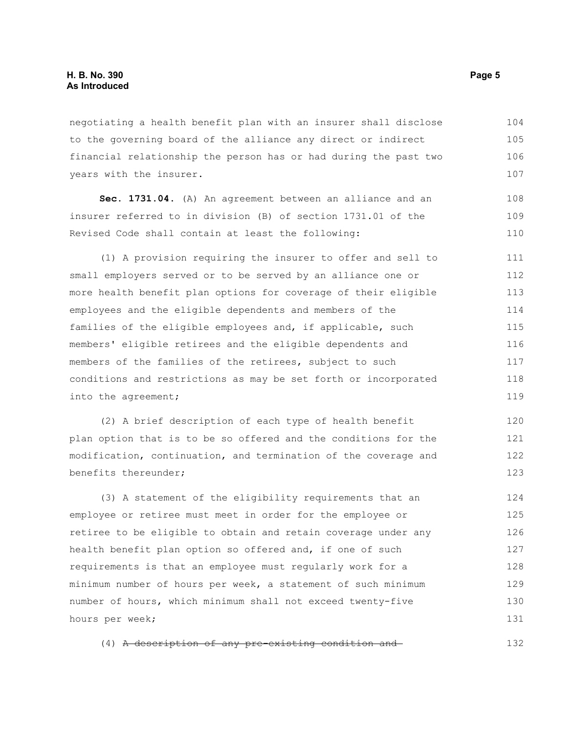negotiating a health benefit plan with an insurer shall disclose to the governing board of the alliance any direct or indirect financial relationship the person has or had during the past two years with the insurer. 104 105 106 107

**Sec. 1731.04.** (A) An agreement between an alliance and an insurer referred to in division (B) of section 1731.01 of the Revised Code shall contain at least the following: 108 109 110

(1) A provision requiring the insurer to offer and sell to small employers served or to be served by an alliance one or more health benefit plan options for coverage of their eligible employees and the eligible dependents and members of the families of the eligible employees and, if applicable, such members' eligible retirees and the eligible dependents and members of the families of the retirees, subject to such conditions and restrictions as may be set forth or incorporated into the agreement; 111 112 113 114 115 116 117 118 119

(2) A brief description of each type of health benefit plan option that is to be so offered and the conditions for the modification, continuation, and termination of the coverage and benefits thereunder; 120 121 122 123

(3) A statement of the eligibility requirements that an employee or retiree must meet in order for the employee or retiree to be eligible to obtain and retain coverage under any health benefit plan option so offered and, if one of such requirements is that an employee must regularly work for a minimum number of hours per week, a statement of such minimum number of hours, which minimum shall not exceed twenty-five hours per week; 124 125 126 127 128 129 130 131

(4) A description of any pre-existing condition and 132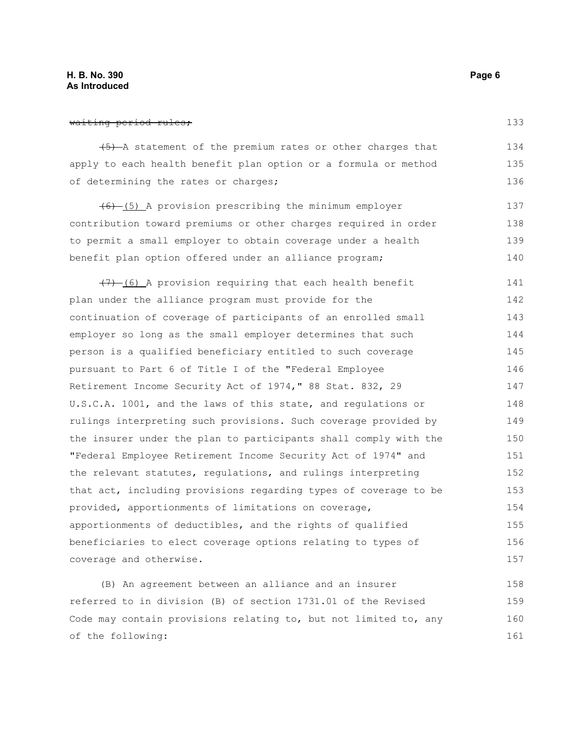(5) A statement of the premium rates or other charges that apply to each health benefit plan option or a formula or method of determining the rates or charges; 134 135 136

(6) (5) A provision prescribing the minimum employer contribution toward premiums or other charges required in order to permit a small employer to obtain coverage under a health benefit plan option offered under an alliance program; 137 138 139 140

 $(7)$  (6) A provision requiring that each health benefit plan under the alliance program must provide for the continuation of coverage of participants of an enrolled small employer so long as the small employer determines that such person is a qualified beneficiary entitled to such coverage pursuant to Part 6 of Title I of the "Federal Employee Retirement Income Security Act of 1974," 88 Stat. 832, 29 U.S.C.A. 1001, and the laws of this state, and regulations or rulings interpreting such provisions. Such coverage provided by the insurer under the plan to participants shall comply with the "Federal Employee Retirement Income Security Act of 1974" and the relevant statutes, regulations, and rulings interpreting that act, including provisions regarding types of coverage to be provided, apportionments of limitations on coverage, apportionments of deductibles, and the rights of qualified beneficiaries to elect coverage options relating to types of coverage and otherwise. 141 142 143 144 145 146 147 148 149 150 151 152 153 154 155 156 157

(B) An agreement between an alliance and an insurer referred to in division (B) of section 1731.01 of the Revised Code may contain provisions relating to, but not limited to, any of the following: 158 159 160 161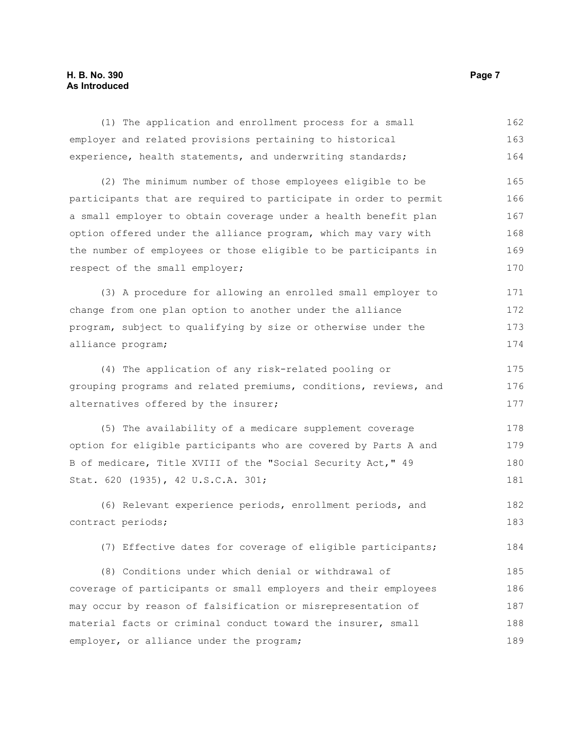### **H. B. No. 390 Page 7 As Introduced**

| (1) The application and enrollment process for a small           | 162 |
|------------------------------------------------------------------|-----|
| employer and related provisions pertaining to historical         | 163 |
| experience, health statements, and underwriting standards;       | 164 |
| (2) The minimum number of those employees eligible to be         | 165 |
| participants that are required to participate in order to permit | 166 |
| a small employer to obtain coverage under a health benefit plan  | 167 |
| option offered under the alliance program, which may vary with   | 168 |
| the number of employees or those eligible to be participants in  | 169 |
| respect of the small employer;                                   | 170 |
| (3) A procedure for allowing an enrolled small employer to       | 171 |
| change from one plan option to another under the alliance        | 172 |
| program, subject to qualifying by size or otherwise under the    | 173 |
| alliance program;                                                | 174 |
| (4) The application of any risk-related pooling or               | 175 |
| grouping programs and related premiums, conditions, reviews, and | 176 |
| alternatives offered by the insurer;                             | 177 |
| (5) The availability of a medicare supplement coverage           | 178 |
| option for eligible participants who are covered by Parts A and  | 179 |
| B of medicare, Title XVIII of the "Social Security Act," 49      | 180 |
| Stat. 620 (1935), 42 U.S.C.A. 301;                               | 181 |
| (6) Relevant experience periods, enrollment periods, and         | 182 |
| contract periods;                                                | 183 |
| (7) Effective dates for coverage of eligible participants;       | 184 |
| (8) Conditions under which denial or withdrawal of               | 185 |
| coverage of participants or small employers and their employees  | 186 |
| may occur by reason of falsification or misrepresentation of     | 187 |
| material facts or criminal conduct toward the insurer, small     | 188 |
| employer, or alliance under the program;                         | 189 |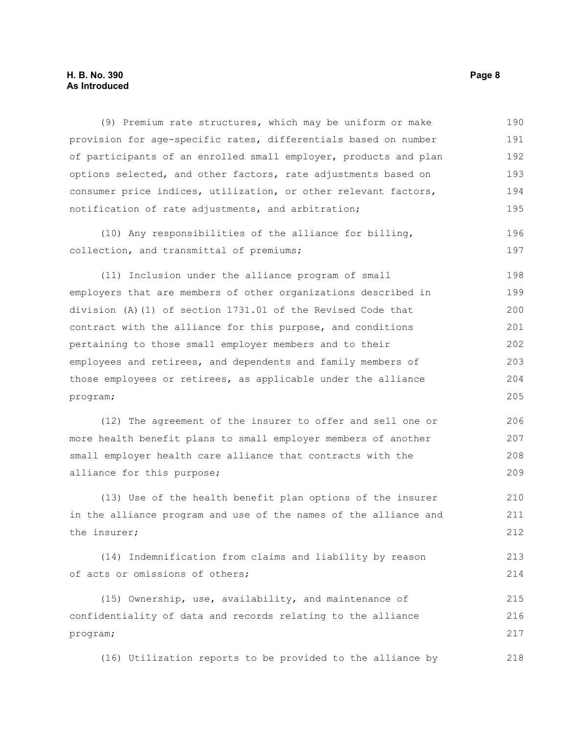#### **H. B. No. 390 Page 8 As Introduced**

(9) Premium rate structures, which may be uniform or make provision for age-specific rates, differentials based on number of participants of an enrolled small employer, products and plan options selected, and other factors, rate adjustments based on consumer price indices, utilization, or other relevant factors, notification of rate adjustments, and arbitration; 190 191 192 193 194 195

(10) Any responsibilities of the alliance for billing, collection, and transmittal of premiums; 196 197

(11) Inclusion under the alliance program of small employers that are members of other organizations described in division (A)(1) of section 1731.01 of the Revised Code that contract with the alliance for this purpose, and conditions pertaining to those small employer members and to their employees and retirees, and dependents and family members of those employees or retirees, as applicable under the alliance program; 198 199 200 201 202 203 204 205

(12) The agreement of the insurer to offer and sell one or more health benefit plans to small employer members of another small employer health care alliance that contracts with the alliance for this purpose; 206 207 208 209

(13) Use of the health benefit plan options of the insurer in the alliance program and use of the names of the alliance and the insurer; 210 211 212

(14) Indemnification from claims and liability by reason of acts or omissions of others; 213 214

(15) Ownership, use, availability, and maintenance of confidentiality of data and records relating to the alliance program; 215 216 217

(16) Utilization reports to be provided to the alliance by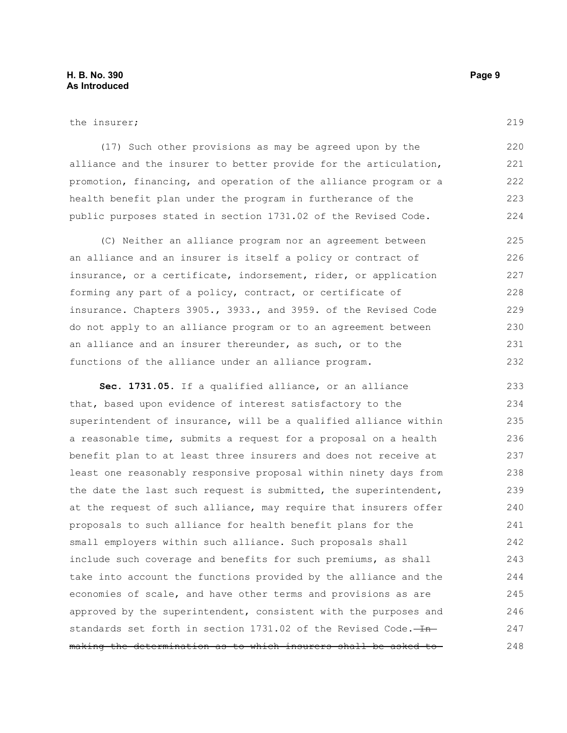219

(17) Such other provisions as may be agreed upon by the alliance and the insurer to better provide for the articulation, promotion, financing, and operation of the alliance program or a health benefit plan under the program in furtherance of the public purposes stated in section 1731.02 of the Revised Code. 220 221 222 223 224

(C) Neither an alliance program nor an agreement between an alliance and an insurer is itself a policy or contract of insurance, or a certificate, indorsement, rider, or application forming any part of a policy, contract, or certificate of insurance. Chapters 3905., 3933., and 3959. of the Revised Code do not apply to an alliance program or to an agreement between an alliance and an insurer thereunder, as such, or to the functions of the alliance under an alliance program. 225 226 227 228 229 230 231 232

**Sec. 1731.05.** If a qualified alliance, or an alliance that, based upon evidence of interest satisfactory to the superintendent of insurance, will be a qualified alliance within a reasonable time, submits a request for a proposal on a health benefit plan to at least three insurers and does not receive at least one reasonably responsive proposal within ninety days from the date the last such request is submitted, the superintendent, at the request of such alliance, may require that insurers offer proposals to such alliance for health benefit plans for the small employers within such alliance. Such proposals shall include such coverage and benefits for such premiums, as shall take into account the functions provided by the alliance and the economies of scale, and have other terms and provisions as are approved by the superintendent, consistent with the purposes and standards set forth in section  $1731.02$  of the Revised Code. $-Hn$ making the determination as to which insurers shall be asked to 233 234 235 236 237 238 239 240 241 242 243 244 245 246 247 248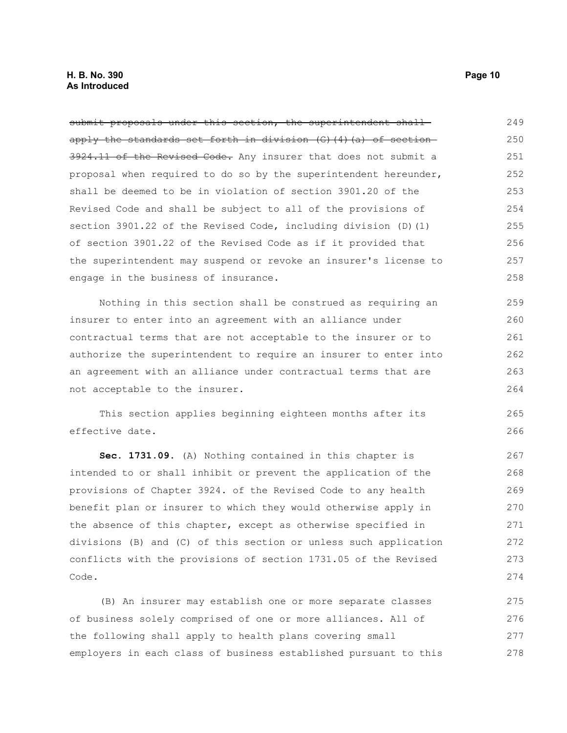submit proposals under this section, the superintendent shallapply the standards set forth in division (G)(4)(a) of section 3924.11 of the Revised Code. Any insurer that does not submit a proposal when required to do so by the superintendent hereunder, shall be deemed to be in violation of section 3901.20 of the Revised Code and shall be subject to all of the provisions of section 3901.22 of the Revised Code, including division (D)(1) of section 3901.22 of the Revised Code as if it provided that the superintendent may suspend or revoke an insurer's license to engage in the business of insurance. 249 250 251 252 253 254 255 256 257 258

Nothing in this section shall be construed as requiring an insurer to enter into an agreement with an alliance under contractual terms that are not acceptable to the insurer or to authorize the superintendent to require an insurer to enter into an agreement with an alliance under contractual terms that are not acceptable to the insurer.

This section applies beginning eighteen months after its effective date.

**Sec. 1731.09.** (A) Nothing contained in this chapter is intended to or shall inhibit or prevent the application of the provisions of Chapter 3924. of the Revised Code to any health benefit plan or insurer to which they would otherwise apply in the absence of this chapter, except as otherwise specified in divisions (B) and (C) of this section or unless such application conflicts with the provisions of section 1731.05 of the Revised Code.

(B) An insurer may establish one or more separate classes of business solely comprised of one or more alliances. All of the following shall apply to health plans covering small employers in each class of business established pursuant to this 275 276 277 278

265 266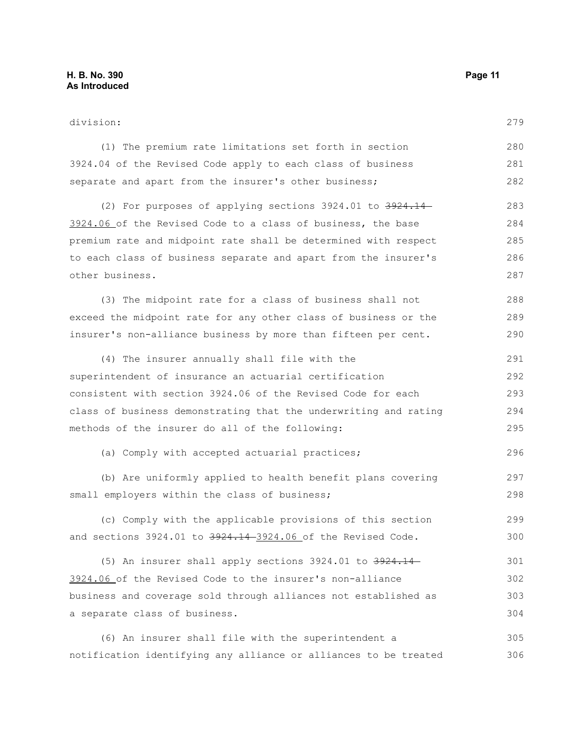division: (1) The premium rate limitations set forth in section 3924.04 of the Revised Code apply to each class of business separate and apart from the insurer's other business; (2) For purposes of applying sections 3924.01 to 3924.14- 3924.06 of the Revised Code to a class of business, the base premium rate and midpoint rate shall be determined with respect to each class of business separate and apart from the insurer's other business. (3) The midpoint rate for a class of business shall not exceed the midpoint rate for any other class of business or the insurer's non-alliance business by more than fifteen per cent. (4) The insurer annually shall file with the superintendent of insurance an actuarial certification consistent with section 3924.06 of the Revised Code for each class of business demonstrating that the underwriting and rating methods of the insurer do all of the following: (a) Comply with accepted actuarial practices; (b) Are uniformly applied to health benefit plans covering small employers within the class of business; (c) Comply with the applicable provisions of this section and sections  $3924.01$  to  $3924.14$ -3924.06 of the Revised Code. 279 280 281 282 283 284 285 286 287 288 289 290 291 292 293 294 295 296 297 298 299 300

(5) An insurer shall apply sections 3924.01 to 3924.14- 3924.06 of the Revised Code to the insurer's non-alliance business and coverage sold through alliances not established as a separate class of business. 301 302 303 304

(6) An insurer shall file with the superintendent a notification identifying any alliance or alliances to be treated 305 306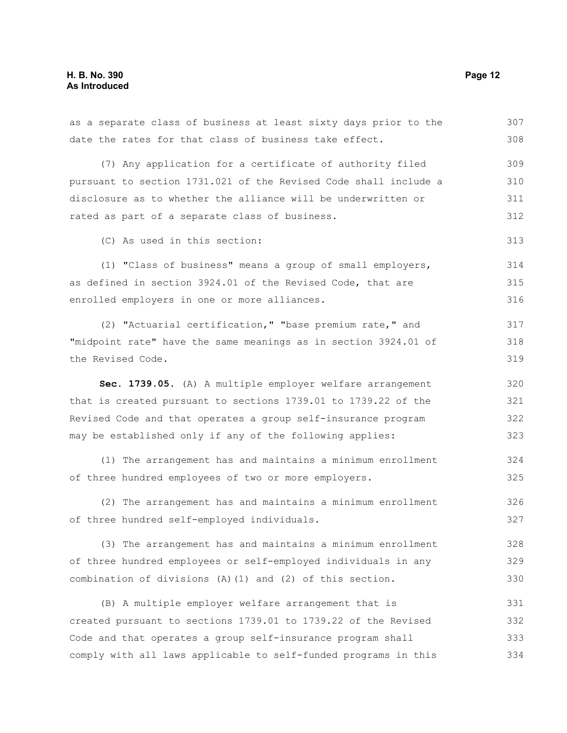date the rates for that class of business take effect. (7) Any application for a certificate of authority filed pursuant to section 1731.021 of the Revised Code shall include a disclosure as to whether the alliance will be underwritten or rated as part of a separate class of business. (C) As used in this section: (1) "Class of business" means a group of small employers, as defined in section 3924.01 of the Revised Code, that are enrolled employers in one or more alliances. (2) "Actuarial certification," "base premium rate," and "midpoint rate" have the same meanings as in section 3924.01 of the Revised Code. **Sec. 1739.05.** (A) A multiple employer welfare arrangement that is created pursuant to sections 1739.01 to 1739.22 of the Revised Code and that operates a group self-insurance program may be established only if any of the following applies: (1) The arrangement has and maintains a minimum enrollment of three hundred employees of two or more employers. (2) The arrangement has and maintains a minimum enrollment of three hundred self-employed individuals. (3) The arrangement has and maintains a minimum enrollment of three hundred employees or self-employed individuals in any combination of divisions (A)(1) and (2) of this section. (B) A multiple employer welfare arrangement that is created pursuant to sections 1739.01 to 1739.22 of the Revised Code and that operates a group self-insurance program shall comply with all laws applicable to self-funded programs in this 308 309 310 311 312 313 314 315 316 317 318 319 320 321 322 323 324 325 326 327 328 329 330 331 332 333 334

as a separate class of business at least sixty days prior to the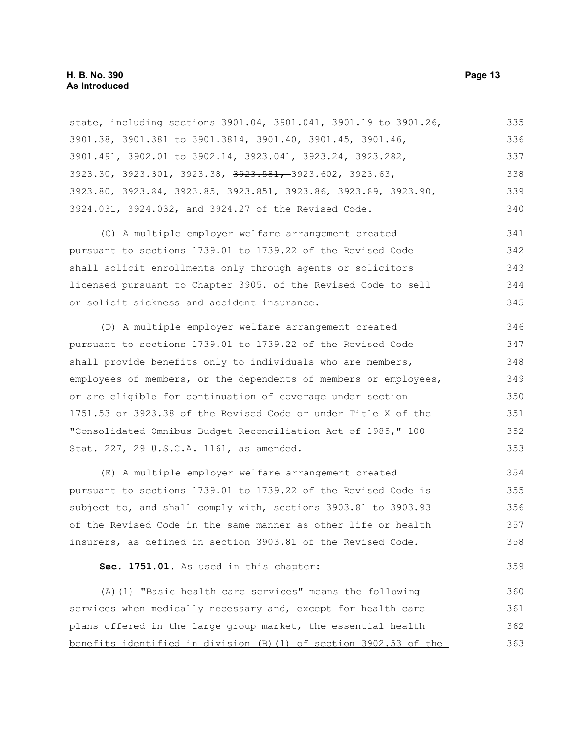state, including sections 3901.04, 3901.041, 3901.19 to 3901.26, 3901.38, 3901.381 to 3901.3814, 3901.40, 3901.45, 3901.46, 3901.491, 3902.01 to 3902.14, 3923.041, 3923.24, 3923.282, 3923.30, 3923.301, 3923.38, 3923.581, 3923.602, 3923.63, 3923.80, 3923.84, 3923.85, 3923.851, 3923.86, 3923.89, 3923.90, 3924.031, 3924.032, and 3924.27 of the Revised Code. 335 336 337 338 339 340

(C) A multiple employer welfare arrangement created pursuant to sections 1739.01 to 1739.22 of the Revised Code shall solicit enrollments only through agents or solicitors licensed pursuant to Chapter 3905. of the Revised Code to sell or solicit sickness and accident insurance. 341 342 343 344 345

(D) A multiple employer welfare arrangement created pursuant to sections 1739.01 to 1739.22 of the Revised Code shall provide benefits only to individuals who are members, employees of members, or the dependents of members or employees, or are eligible for continuation of coverage under section 1751.53 or 3923.38 of the Revised Code or under Title X of the "Consolidated Omnibus Budget Reconciliation Act of 1985," 100 Stat. 227, 29 U.S.C.A. 1161, as amended. 346 347 348 349 350 351 352 353

(E) A multiple employer welfare arrangement created pursuant to sections 1739.01 to 1739.22 of the Revised Code is subject to, and shall comply with, sections 3903.81 to 3903.93 of the Revised Code in the same manner as other life or health insurers, as defined in section 3903.81 of the Revised Code. 354 355 356 357 358

**Sec. 1751.01.** As used in this chapter:

(A)(1) "Basic health care services" means the following services when medically necessary and, except for health care plans offered in the large group market, the essential health benefits identified in division (B)(1) of section 3902.53 of the 360 361 362 363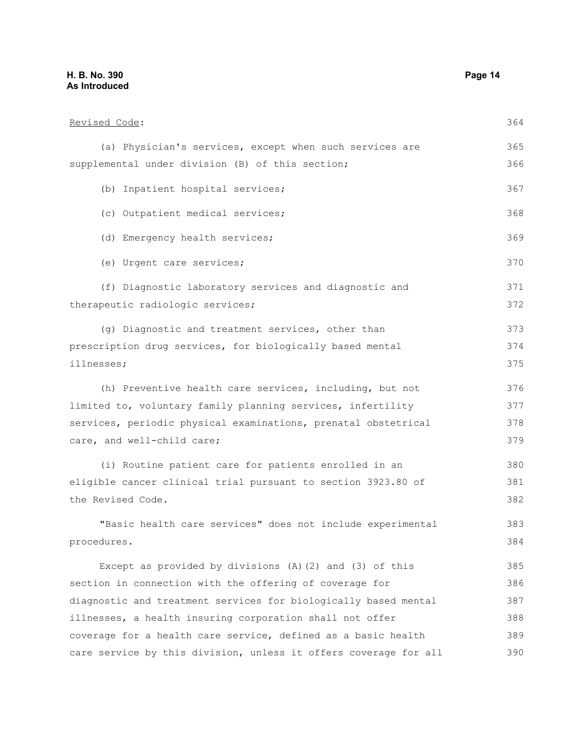### **H. B. No. 390 Page 14 As Introduced**

| Revised Code:                                                   | 364 |
|-----------------------------------------------------------------|-----|
| (a) Physician's services, except when such services are         | 365 |
| supplemental under division (B) of this section;                | 366 |
| (b) Inpatient hospital services;                                | 367 |
| (c) Outpatient medical services;                                | 368 |
| (d) Emergency health services;                                  | 369 |
| (e) Urgent care services;                                       | 370 |
| (f) Diagnostic laboratory services and diagnostic and           | 371 |
| therapeutic radiologic services;                                | 372 |
| (q) Diagnostic and treatment services, other than               | 373 |
| prescription drug services, for biologically based mental       | 374 |
| illnesses;                                                      | 375 |
| (h) Preventive health care services, including, but not         | 376 |
| limited to, voluntary family planning services, infertility     | 377 |
| services, periodic physical examinations, prenatal obstetrical  | 378 |
| care, and well-child care;                                      | 379 |
| (i) Routine patient care for patients enrolled in an            | 380 |
| eligible cancer clinical trial pursuant to section 3923.80 of   | 381 |
| the Revised Code.                                               | 382 |
| "Basic health care services" does not include experimental      | 383 |
| procedures.                                                     | 384 |
| Except as provided by divisions (A) (2) and (3) of this         | 385 |
| section in connection with the offering of coverage for         | 386 |
| diagnostic and treatment services for biologically based mental | 387 |
| illnesses, a health insuring corporation shall not offer        | 388 |
| coverage for a health care service, defined as a basic health   | 389 |

care service by this division, unless it offers coverage for all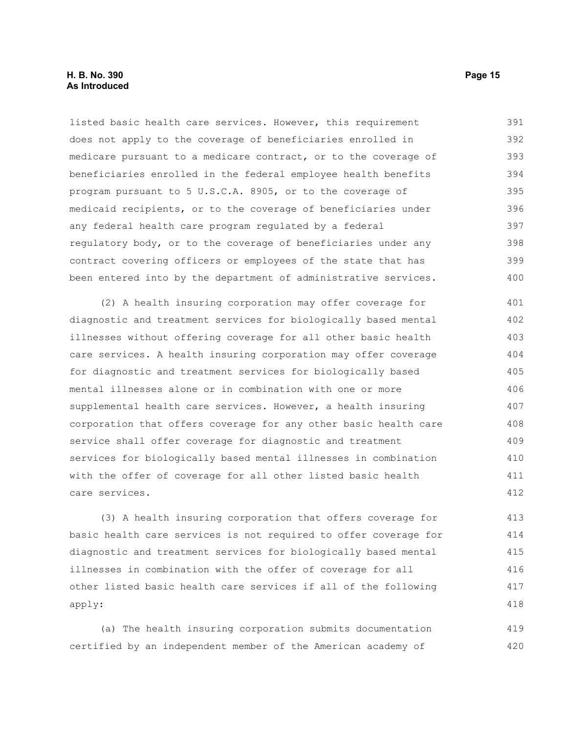#### **H. B. No. 390 Page 15 As Introduced**

listed basic health care services. However, this requirement does not apply to the coverage of beneficiaries enrolled in medicare pursuant to a medicare contract, or to the coverage of beneficiaries enrolled in the federal employee health benefits program pursuant to 5 U.S.C.A. 8905, or to the coverage of medicaid recipients, or to the coverage of beneficiaries under any federal health care program regulated by a federal regulatory body, or to the coverage of beneficiaries under any contract covering officers or employees of the state that has been entered into by the department of administrative services. 391 392 393 394 395 396 397 398 399 400

(2) A health insuring corporation may offer coverage for diagnostic and treatment services for biologically based mental illnesses without offering coverage for all other basic health care services. A health insuring corporation may offer coverage for diagnostic and treatment services for biologically based mental illnesses alone or in combination with one or more supplemental health care services. However, a health insuring corporation that offers coverage for any other basic health care service shall offer coverage for diagnostic and treatment services for biologically based mental illnesses in combination with the offer of coverage for all other listed basic health care services. 401 402 403 404 405 406 407 408 409 410 411 412

(3) A health insuring corporation that offers coverage for basic health care services is not required to offer coverage for diagnostic and treatment services for biologically based mental illnesses in combination with the offer of coverage for all other listed basic health care services if all of the following apply: 413 414 415 416 417 418

(a) The health insuring corporation submits documentation certified by an independent member of the American academy of 419 420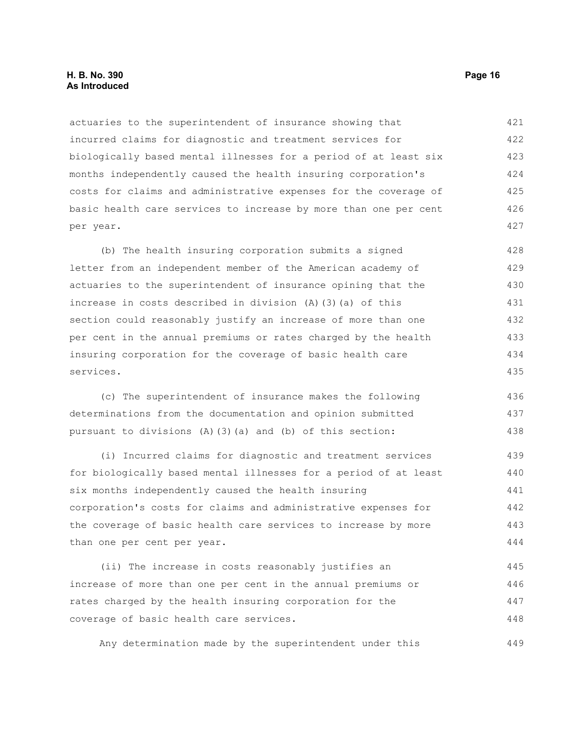#### **H. B. No. 390 Page 16 As Introduced**

actuaries to the superintendent of insurance showing that incurred claims for diagnostic and treatment services for biologically based mental illnesses for a period of at least six months independently caused the health insuring corporation's costs for claims and administrative expenses for the coverage of basic health care services to increase by more than one per cent per year. 421 422 423 424 425 426 427

(b) The health insuring corporation submits a signed letter from an independent member of the American academy of actuaries to the superintendent of insurance opining that the increase in costs described in division (A)(3)(a) of this section could reasonably justify an increase of more than one per cent in the annual premiums or rates charged by the health insuring corporation for the coverage of basic health care services. 428 429 430 431 432 433 434 435

(c) The superintendent of insurance makes the following determinations from the documentation and opinion submitted pursuant to divisions (A)(3)(a) and (b) of this section: 436 437 438

(i) Incurred claims for diagnostic and treatment services for biologically based mental illnesses for a period of at least six months independently caused the health insuring corporation's costs for claims and administrative expenses for the coverage of basic health care services to increase by more than one per cent per year. 439 440 441 442 443 444

(ii) The increase in costs reasonably justifies an increase of more than one per cent in the annual premiums or rates charged by the health insuring corporation for the coverage of basic health care services. 445 446 447 448

Any determination made by the superintendent under this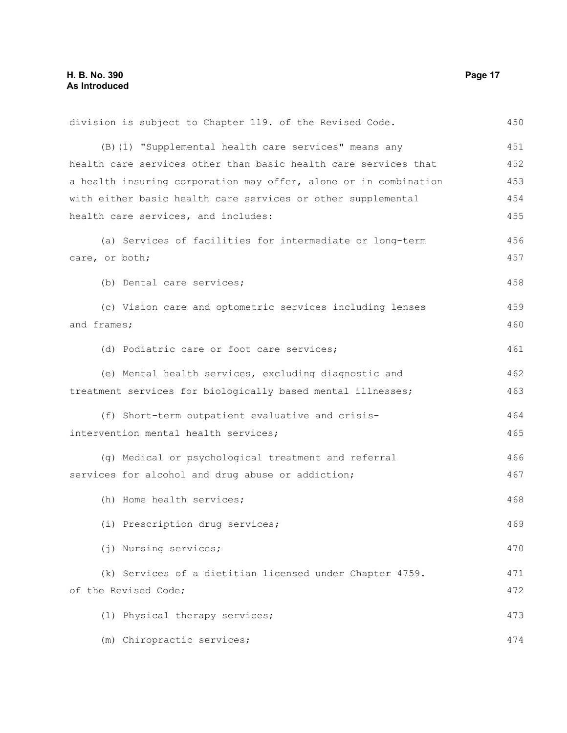division is subject to Chapter 119. of the Revised Code. (B)(1) "Supplemental health care services" means any health care services other than basic health care services that a health insuring corporation may offer, alone or in combination with either basic health care services or other supplemental health care services, and includes: (a) Services of facilities for intermediate or long-term care, or both; (b) Dental care services; (c) Vision care and optometric services including lenses and frames; (d) Podiatric care or foot care services; (e) Mental health services, excluding diagnostic and treatment services for biologically based mental illnesses; (f) Short-term outpatient evaluative and crisisintervention mental health services; (g) Medical or psychological treatment and referral services for alcohol and drug abuse or addiction; (h) Home health services; (i) Prescription drug services; (j) Nursing services; (k) Services of a dietitian licensed under Chapter 4759. of the Revised Code; (l) Physical therapy services; (m) Chiropractic services; 450 451 452 453 454 455 456 457 458 459 460 461 462 463 464 465 466 467 468 469 470 471 472 473 474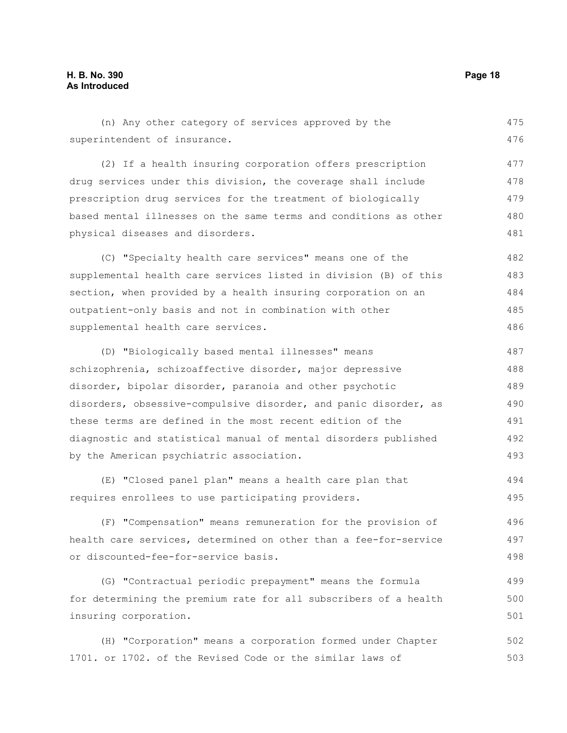(n) Any other category of services approved by the superintendent of insurance. (2) If a health insuring corporation offers prescription drug services under this division, the coverage shall include prescription drug services for the treatment of biologically based mental illnesses on the same terms and conditions as other physical diseases and disorders. (C) "Specialty health care services" means one of the supplemental health care services listed in division (B) of this section, when provided by a health insuring corporation on an outpatient-only basis and not in combination with other supplemental health care services. (D) "Biologically based mental illnesses" means schizophrenia, schizoaffective disorder, major depressive disorder, bipolar disorder, paranoia and other psychotic disorders, obsessive-compulsive disorder, and panic disorder, as these terms are defined in the most recent edition of the diagnostic and statistical manual of mental disorders published by the American psychiatric association. (E) "Closed panel plan" means a health care plan that requires enrollees to use participating providers. (F) "Compensation" means remuneration for the provision of 475 476 477 478 479 480 481 482 483 484 485 486 487 488 489 490 491 492 493 494 495 496

health care services, determined on other than a fee-for-service or discounted-fee-for-service basis. 497 498

(G) "Contractual periodic prepayment" means the formula for determining the premium rate for all subscribers of a health insuring corporation. 499 500 501

(H) "Corporation" means a corporation formed under Chapter 1701. or 1702. of the Revised Code or the similar laws of 502 503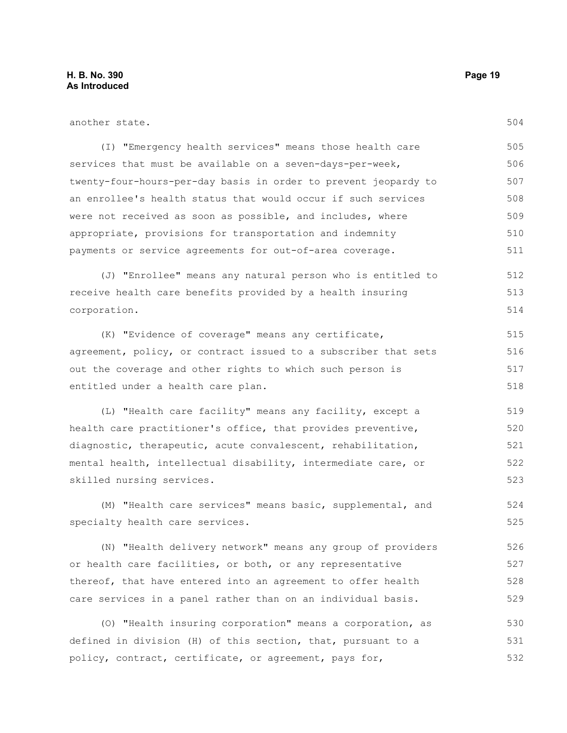| another state.                                                  | 504 |
|-----------------------------------------------------------------|-----|
| (I) "Emergency health services" means those health care         | 505 |
| services that must be available on a seven-days-per-week,       | 506 |
| twenty-four-hours-per-day basis in order to prevent jeopardy to | 507 |
| an enrollee's health status that would occur if such services   | 508 |
| were not received as soon as possible, and includes, where      | 509 |
| appropriate, provisions for transportation and indemnity        | 510 |
| payments or service agreements for out-of-area coverage.        | 511 |
| (J) "Enrollee" means any natural person who is entitled to      | 512 |
| receive health care benefits provided by a health insuring      | 513 |
| corporation.                                                    | 514 |
| (K) "Evidence of coverage" means any certificate,               | 515 |
| agreement, policy, or contract issued to a subscriber that sets | 516 |
| out the coverage and other rights to which such person is       | 517 |
| entitled under a health care plan.                              | 518 |
| (L) "Health care facility" means any facility, except a         | 519 |
| health care practitioner's office, that provides preventive,    | 520 |
| diagnostic, therapeutic, acute convalescent, rehabilitation,    | 521 |
| mental health, intellectual disability, intermediate care, or   | 522 |
| skilled nursing services.                                       | 523 |
| (M) "Health care services" means basic, supplemental, and       | 524 |
| specialty health care services.                                 | 525 |
| (N) "Health delivery network" means any group of providers      | 526 |
| or health care facilities, or both, or any representative       | 527 |
| thereof, that have entered into an agreement to offer health    | 528 |
| care services in a panel rather than on an individual basis.    | 529 |
| (0) "Health insuring corporation" means a corporation, as       | 530 |
| defined in division (H) of this section, that, pursuant to a    | 531 |
| policy, contract, certificate, or agreement, pays for,          | 532 |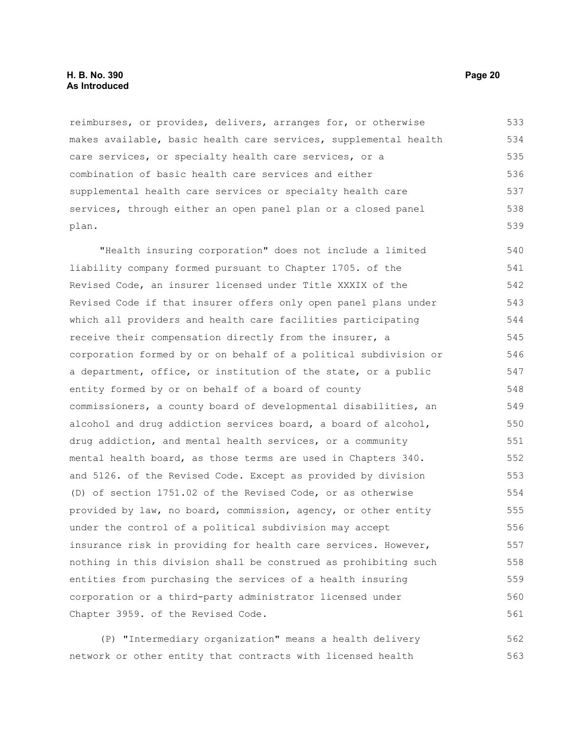reimburses, or provides, delivers, arranges for, or otherwise makes available, basic health care services, supplemental health care services, or specialty health care services, or a combination of basic health care services and either supplemental health care services or specialty health care services, through either an open panel plan or a closed panel plan. 533 534 535 536 537 538 539

"Health insuring corporation" does not include a limited liability company formed pursuant to Chapter 1705. of the Revised Code, an insurer licensed under Title XXXIX of the Revised Code if that insurer offers only open panel plans under which all providers and health care facilities participating receive their compensation directly from the insurer, a corporation formed by or on behalf of a political subdivision or a department, office, or institution of the state, or a public entity formed by or on behalf of a board of county commissioners, a county board of developmental disabilities, an alcohol and drug addiction services board, a board of alcohol, drug addiction, and mental health services, or a community mental health board, as those terms are used in Chapters 340. and 5126. of the Revised Code. Except as provided by division (D) of section 1751.02 of the Revised Code, or as otherwise provided by law, no board, commission, agency, or other entity under the control of a political subdivision may accept insurance risk in providing for health care services. However, nothing in this division shall be construed as prohibiting such entities from purchasing the services of a health insuring corporation or a third-party administrator licensed under Chapter 3959. of the Revised Code. 540 541 542 543 544 545 546 547 548 549 550 551 552 553 554 555 556 557 558 559 560 561

(P) "Intermediary organization" means a health delivery network or other entity that contracts with licensed health 562 563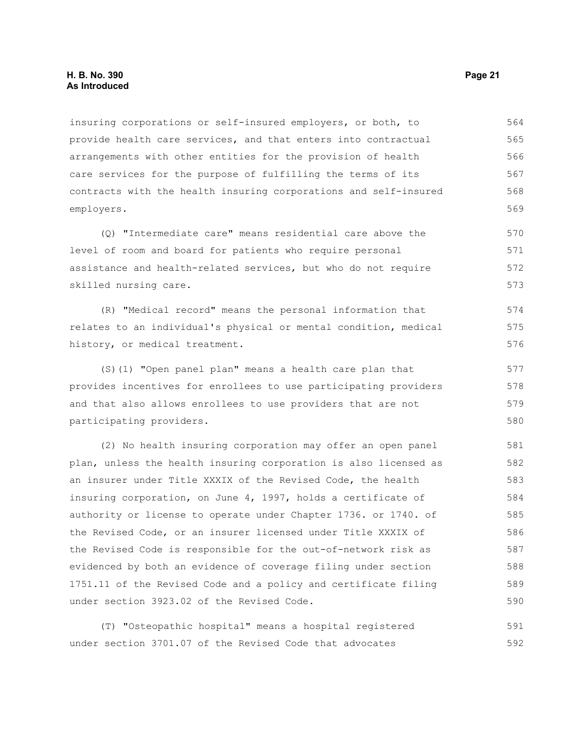#### **H. B. No. 390 Page 21 As Introduced**

insuring corporations or self-insured employers, or both, to provide health care services, and that enters into contractual arrangements with other entities for the provision of health care services for the purpose of fulfilling the terms of its contracts with the health insuring corporations and self-insured employers. 564 565 566 567 568 569

(Q) "Intermediate care" means residential care above the level of room and board for patients who require personal assistance and health-related services, but who do not require skilled nursing care. 570 571 572 573

(R) "Medical record" means the personal information that relates to an individual's physical or mental condition, medical history, or medical treatment. 574 575 576

(S)(1) "Open panel plan" means a health care plan that provides incentives for enrollees to use participating providers and that also allows enrollees to use providers that are not participating providers.

(2) No health insuring corporation may offer an open panel plan, unless the health insuring corporation is also licensed as an insurer under Title XXXIX of the Revised Code, the health insuring corporation, on June 4, 1997, holds a certificate of authority or license to operate under Chapter 1736. or 1740. of the Revised Code, or an insurer licensed under Title XXXIX of the Revised Code is responsible for the out-of-network risk as evidenced by both an evidence of coverage filing under section 1751.11 of the Revised Code and a policy and certificate filing under section 3923.02 of the Revised Code. 581 582 583 584 585 586 587 588 589 590

(T) "Osteopathic hospital" means a hospital registered under section 3701.07 of the Revised Code that advocates 591 592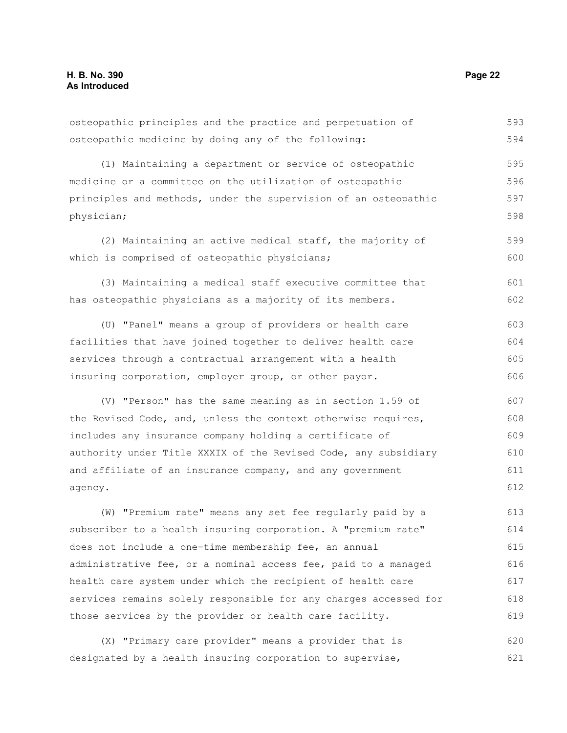osteopathic principles and the practice and perpetuation of osteopathic medicine by doing any of the following: (1) Maintaining a department or service of osteopathic medicine or a committee on the utilization of osteopathic principles and methods, under the supervision of an osteopathic physician; (2) Maintaining an active medical staff, the majority of which is comprised of osteopathic physicians; (3) Maintaining a medical staff executive committee that has osteopathic physicians as a majority of its members. (U) "Panel" means a group of providers or health care facilities that have joined together to deliver health care services through a contractual arrangement with a health insuring corporation, employer group, or other payor. (V) "Person" has the same meaning as in section 1.59 of the Revised Code, and, unless the context otherwise requires, includes any insurance company holding a certificate of authority under Title XXXIX of the Revised Code, any subsidiary and affiliate of an insurance company, and any government agency. (W) "Premium rate" means any set fee regularly paid by a subscriber to a health insuring corporation. A "premium rate" does not include a one-time membership fee, an annual administrative fee, or a nominal access fee, paid to a managed health care system under which the recipient of health care services remains solely responsible for any charges accessed for those services by the provider or health care facility. (X) "Primary care provider" means a provider that is 593 594 595 596 597 598 599 600 601 602 603 604 605 606 607 608 609 610 611 612 613 614 615 616 617 618 619 620

designated by a health insuring corporation to supervise, 621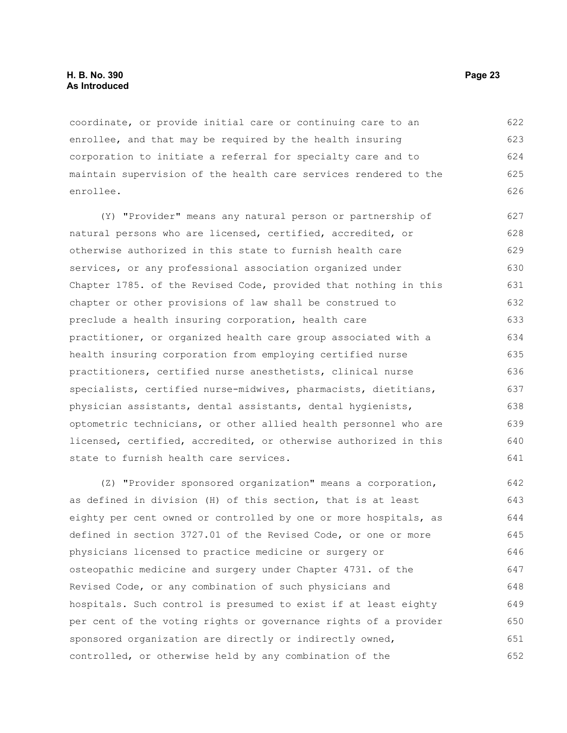coordinate, or provide initial care or continuing care to an enrollee, and that may be required by the health insuring corporation to initiate a referral for specialty care and to maintain supervision of the health care services rendered to the enrollee. 622 623 624 625 626

(Y) "Provider" means any natural person or partnership of natural persons who are licensed, certified, accredited, or otherwise authorized in this state to furnish health care services, or any professional association organized under Chapter 1785. of the Revised Code, provided that nothing in this chapter or other provisions of law shall be construed to preclude a health insuring corporation, health care practitioner, or organized health care group associated with a health insuring corporation from employing certified nurse practitioners, certified nurse anesthetists, clinical nurse specialists, certified nurse-midwives, pharmacists, dietitians, physician assistants, dental assistants, dental hygienists, optometric technicians, or other allied health personnel who are licensed, certified, accredited, or otherwise authorized in this state to furnish health care services. 627 628 629 630 631 632 633 634 635 636 637 638 639 640 641

(Z) "Provider sponsored organization" means a corporation, as defined in division (H) of this section, that is at least eighty per cent owned or controlled by one or more hospitals, as defined in section 3727.01 of the Revised Code, or one or more physicians licensed to practice medicine or surgery or osteopathic medicine and surgery under Chapter 4731. of the Revised Code, or any combination of such physicians and hospitals. Such control is presumed to exist if at least eighty per cent of the voting rights or governance rights of a provider sponsored organization are directly or indirectly owned, controlled, or otherwise held by any combination of the 642 643 644 645 646 647 648 649 650 651 652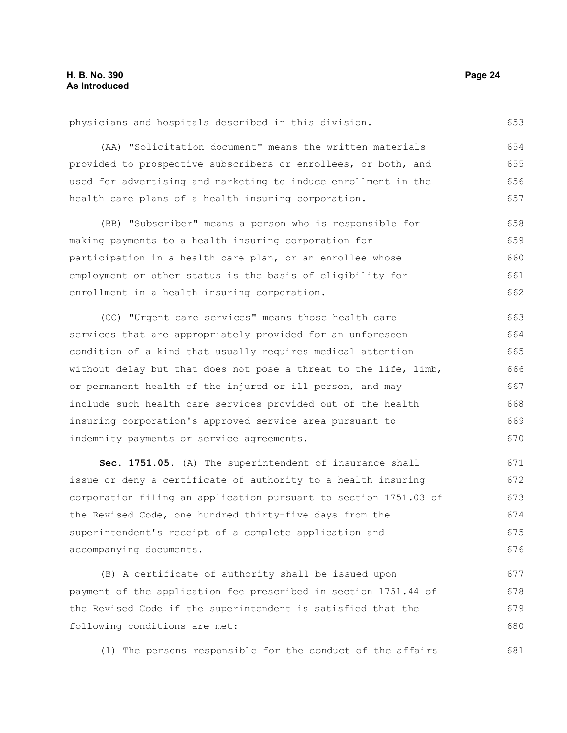physicians and hospitals described in this division.

(AA) "Solicitation document" means the written materials provided to prospective subscribers or enrollees, or both, and used for advertising and marketing to induce enrollment in the health care plans of a health insuring corporation. 654 655 656 657

(BB) "Subscriber" means a person who is responsible for making payments to a health insuring corporation for participation in a health care plan, or an enrollee whose employment or other status is the basis of eligibility for enrollment in a health insuring corporation. 658 659 660 661 662

(CC) "Urgent care services" means those health care services that are appropriately provided for an unforeseen condition of a kind that usually requires medical attention without delay but that does not pose a threat to the life, limb, or permanent health of the injured or ill person, and may include such health care services provided out of the health insuring corporation's approved service area pursuant to indemnity payments or service agreements. 663 664 665 666 667 668 669 670

**Sec. 1751.05.** (A) The superintendent of insurance shall issue or deny a certificate of authority to a health insuring corporation filing an application pursuant to section 1751.03 of the Revised Code, one hundred thirty-five days from the superintendent's receipt of a complete application and accompanying documents. 671 672 673 674 675 676

(B) A certificate of authority shall be issued upon payment of the application fee prescribed in section 1751.44 of the Revised Code if the superintendent is satisfied that the following conditions are met: 677 678 679 680

(1) The persons responsible for the conduct of the affairs

653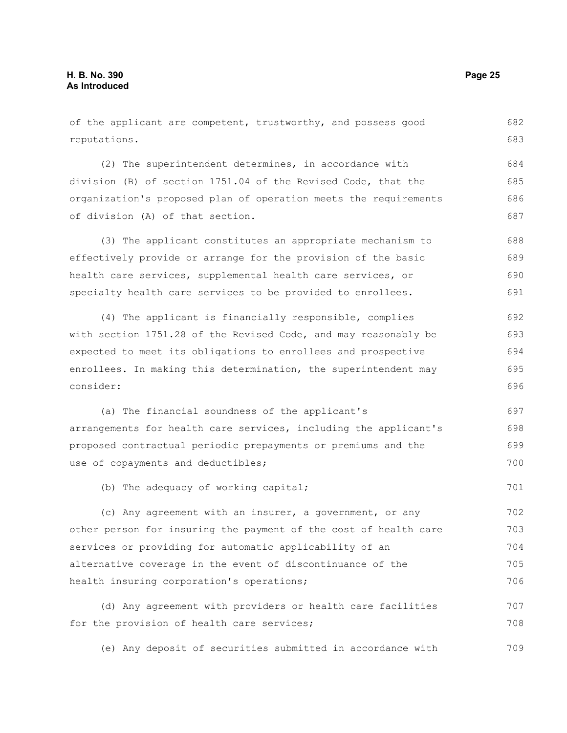of the applicant are competent, trustworthy, and possess good reputations. (2) The superintendent determines, in accordance with division (B) of section 1751.04 of the Revised Code, that the organization's proposed plan of operation meets the requirements of division (A) of that section. (3) The applicant constitutes an appropriate mechanism to effectively provide or arrange for the provision of the basic health care services, supplemental health care services, or specialty health care services to be provided to enrollees. (4) The applicant is financially responsible, complies with section 1751.28 of the Revised Code, and may reasonably be expected to meet its obligations to enrollees and prospective enrollees. In making this determination, the superintendent may consider: (a) The financial soundness of the applicant's arrangements for health care services, including the applicant's proposed contractual periodic prepayments or premiums and the use of copayments and deductibles; (b) The adequacy of working capital; (c) Any agreement with an insurer, a government, or any other person for insuring the payment of the cost of health care services or providing for automatic applicability of an alternative coverage in the event of discontinuance of the health insuring corporation's operations; (d) Any agreement with providers or health care facilities for the provision of health care services; 682 683 684 685 686 687 688 689 690 691 692 693 694 695 696 697 698 699 700 701 702 703 704 705 706 707 708

(e) Any deposit of securities submitted in accordance with 709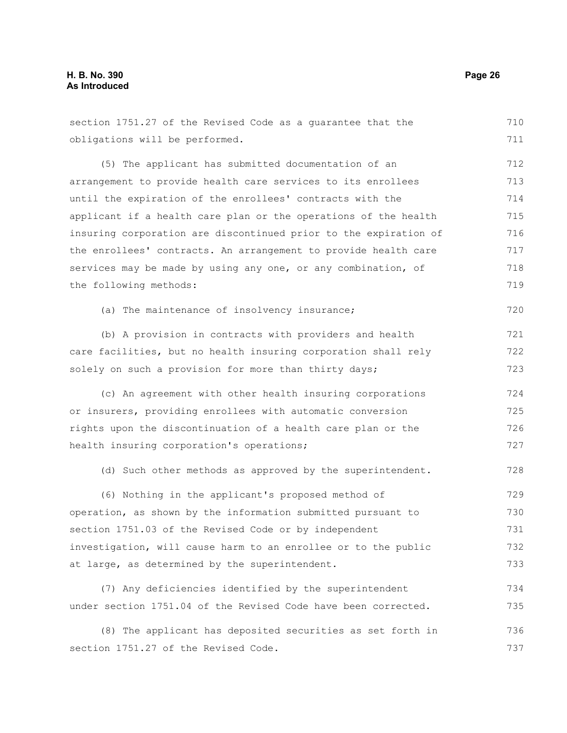obligations will be performed. (5) The applicant has submitted documentation of an arrangement to provide health care services to its enrollees until the expiration of the enrollees' contracts with the applicant if a health care plan or the operations of the health insuring corporation are discontinued prior to the expiration of the enrollees' contracts. An arrangement to provide health care services may be made by using any one, or any combination, of the following methods: (a) The maintenance of insolvency insurance; (b) A provision in contracts with providers and health care facilities, but no health insuring corporation shall rely solely on such a provision for more than thirty days; (c) An agreement with other health insuring corporations or insurers, providing enrollees with automatic conversion rights upon the discontinuation of a health care plan or the health insuring corporation's operations; (d) Such other methods as approved by the superintendent. (6) Nothing in the applicant's proposed method of operation, as shown by the information submitted pursuant to section 1751.03 of the Revised Code or by independent investigation, will cause harm to an enrollee or to the public at large, as determined by the superintendent. (7) Any deficiencies identified by the superintendent under section 1751.04 of the Revised Code have been corrected. (8) The applicant has deposited securities as set forth in section 1751.27 of the Revised Code. 711 712 713 714 715 716 717 718 719 720 721 722 723 724 725 726 727 728 729 730 731 732 733 734 735 736 737

section 1751.27 of the Revised Code as a guarantee that the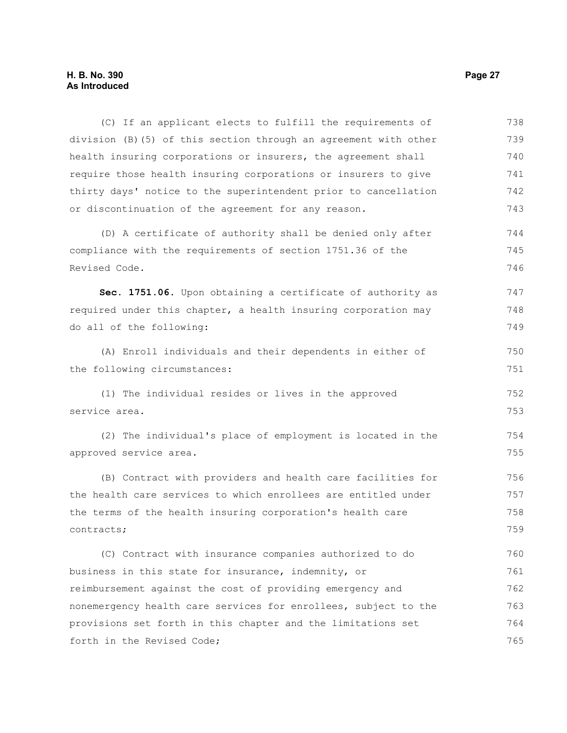#### **H. B. No. 390 Page 27 As Introduced**

(C) If an applicant elects to fulfill the requirements of division (B)(5) of this section through an agreement with other health insuring corporations or insurers, the agreement shall require those health insuring corporations or insurers to give thirty days' notice to the superintendent prior to cancellation or discontinuation of the agreement for any reason. (D) A certificate of authority shall be denied only after 738 739 740 741 742 743 744

compliance with the requirements of section 1751.36 of the Revised Code. 745 746

**Sec. 1751.06.** Upon obtaining a certificate of authority as required under this chapter, a health insuring corporation may do all of the following: 747 748 749

(A) Enroll individuals and their dependents in either of the following circumstances:

(1) The individual resides or lives in the approved service area. 752 753

(2) The individual's place of employment is located in the approved service area. 754 755

(B) Contract with providers and health care facilities for the health care services to which enrollees are entitled under the terms of the health insuring corporation's health care contracts; 756 757 758 759

(C) Contract with insurance companies authorized to do business in this state for insurance, indemnity, or reimbursement against the cost of providing emergency and nonemergency health care services for enrollees, subject to the provisions set forth in this chapter and the limitations set forth in the Revised Code; 760 761 762 763 764 765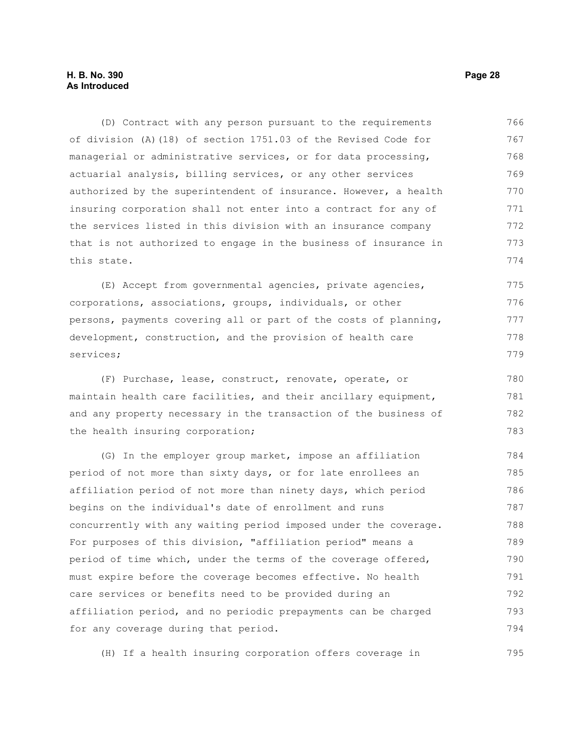#### **H. B. No. 390 Page 28 As Introduced**

(D) Contract with any person pursuant to the requirements of division (A)(18) of section 1751.03 of the Revised Code for managerial or administrative services, or for data processing, actuarial analysis, billing services, or any other services authorized by the superintendent of insurance. However, a health insuring corporation shall not enter into a contract for any of the services listed in this division with an insurance company that is not authorized to engage in the business of insurance in this state. 766 767 768 769 770 771 772 773 774

(E) Accept from governmental agencies, private agencies, corporations, associations, groups, individuals, or other persons, payments covering all or part of the costs of planning, development, construction, and the provision of health care services; 775 776 777 778 779

(F) Purchase, lease, construct, renovate, operate, or maintain health care facilities, and their ancillary equipment, and any property necessary in the transaction of the business of the health insuring corporation; 780 781 782 783

(G) In the employer group market, impose an affiliation period of not more than sixty days, or for late enrollees an affiliation period of not more than ninety days, which period begins on the individual's date of enrollment and runs concurrently with any waiting period imposed under the coverage. For purposes of this division, "affiliation period" means a period of time which, under the terms of the coverage offered, must expire before the coverage becomes effective. No health care services or benefits need to be provided during an affiliation period, and no periodic prepayments can be charged for any coverage during that period. 784 785 786 787 788 789 790 791 792 793 794

(H) If a health insuring corporation offers coverage in 795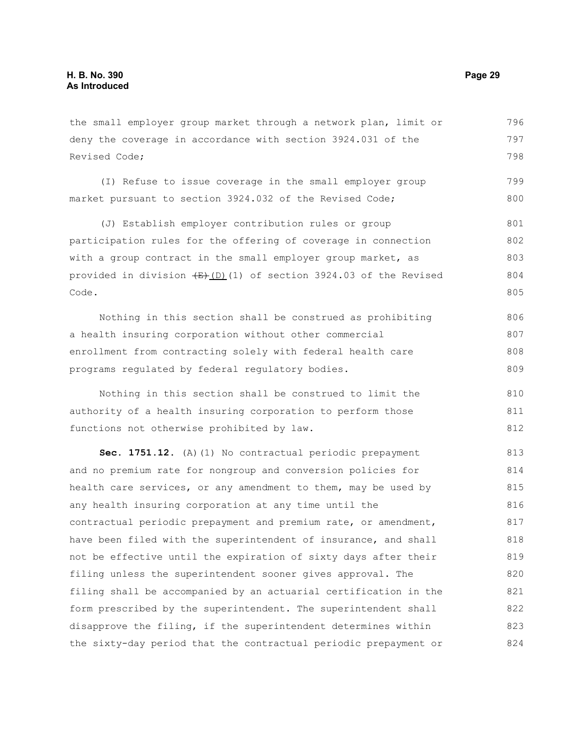the small employer group market through a network plan, limit or deny the coverage in accordance with section 3924.031 of the Revised Code; 796 797 798

(I) Refuse to issue coverage in the small employer group market pursuant to section 3924.032 of the Revised Code; 799 800

(J) Establish employer contribution rules or group participation rules for the offering of coverage in connection with a group contract in the small employer group market, as provided in division  $\frac{E}{(D)}(1)$  of section 3924.03 of the Revised Code. 801 802 803 804 805

Nothing in this section shall be construed as prohibiting a health insuring corporation without other commercial enrollment from contracting solely with federal health care programs regulated by federal regulatory bodies. 806 807 808 809

Nothing in this section shall be construed to limit the authority of a health insuring corporation to perform those functions not otherwise prohibited by law. 810 811 812

Sec. 1751.12. (A)(1) No contractual periodic prepayment and no premium rate for nongroup and conversion policies for health care services, or any amendment to them, may be used by any health insuring corporation at any time until the contractual periodic prepayment and premium rate, or amendment, have been filed with the superintendent of insurance, and shall not be effective until the expiration of sixty days after their filing unless the superintendent sooner gives approval. The filing shall be accompanied by an actuarial certification in the form prescribed by the superintendent. The superintendent shall disapprove the filing, if the superintendent determines within the sixty-day period that the contractual periodic prepayment or 813 814 815 816 817 818 819 820 821 822 823 824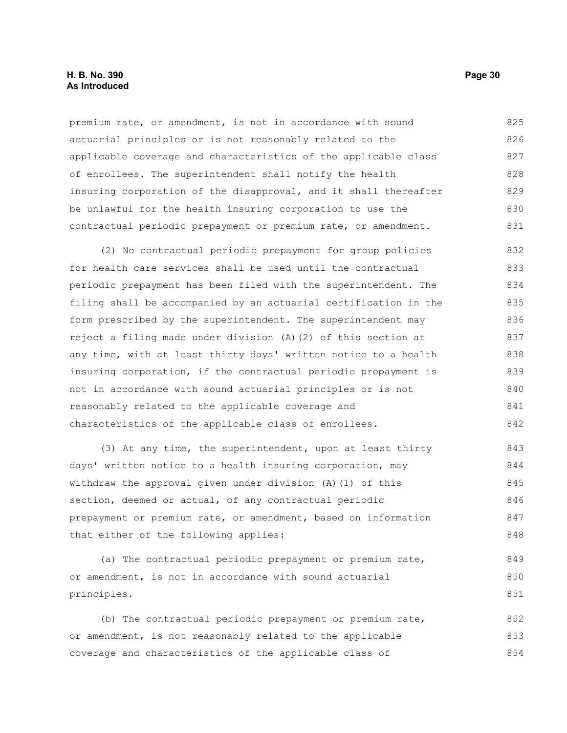premium rate, or amendment, is not in accordance with sound actuarial principles or is not reasonably related to the applicable coverage and characteristics of the applicable class of enrollees. The superintendent shall notify the health insuring corporation of the disapproval, and it shall thereafter be unlawful for the health insuring corporation to use the contractual periodic prepayment or premium rate, or amendment. 825 826 827 828 829 830 831

(2) No contractual periodic prepayment for group policies for health care services shall be used until the contractual periodic prepayment has been filed with the superintendent. The filing shall be accompanied by an actuarial certification in the form prescribed by the superintendent. The superintendent may reject a filing made under division (A)(2) of this section at any time, with at least thirty days' written notice to a health insuring corporation, if the contractual periodic prepayment is not in accordance with sound actuarial principles or is not reasonably related to the applicable coverage and characteristics of the applicable class of enrollees. 832 833 834 835 836 837 838 839 840 841 842

(3) At any time, the superintendent, upon at least thirty days' written notice to a health insuring corporation, may withdraw the approval given under division (A)(1) of this section, deemed or actual, of any contractual periodic prepayment or premium rate, or amendment, based on information that either of the following applies: 843 844 845 846 847 848

(a) The contractual periodic prepayment or premium rate, or amendment, is not in accordance with sound actuarial principles. 849 850 851

(b) The contractual periodic prepayment or premium rate, or amendment, is not reasonably related to the applicable coverage and characteristics of the applicable class of 852 853 854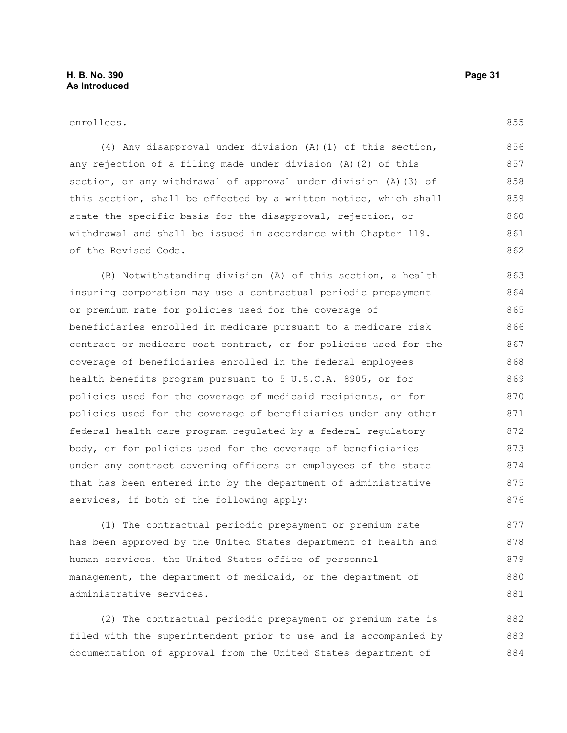enrollees.

(4) Any disapproval under division (A)(1) of this section, any rejection of a filing made under division (A)(2) of this section, or any withdrawal of approval under division (A)(3) of this section, shall be effected by a written notice, which shall state the specific basis for the disapproval, rejection, or withdrawal and shall be issued in accordance with Chapter 119. of the Revised Code. 856 857 858 859 860 861 862

(B) Notwithstanding division (A) of this section, a health insuring corporation may use a contractual periodic prepayment or premium rate for policies used for the coverage of beneficiaries enrolled in medicare pursuant to a medicare risk contract or medicare cost contract, or for policies used for the coverage of beneficiaries enrolled in the federal employees health benefits program pursuant to 5 U.S.C.A. 8905, or for policies used for the coverage of medicaid recipients, or for policies used for the coverage of beneficiaries under any other federal health care program regulated by a federal regulatory body, or for policies used for the coverage of beneficiaries under any contract covering officers or employees of the state that has been entered into by the department of administrative services, if both of the following apply: 863 864 865 866 867 868 869 870 871 872 873 874 875 876

(1) The contractual periodic prepayment or premium rate has been approved by the United States department of health and human services, the United States office of personnel management, the department of medicaid, or the department of administrative services. 877 878 879 880 881

(2) The contractual periodic prepayment or premium rate is filed with the superintendent prior to use and is accompanied by documentation of approval from the United States department of 882 883 884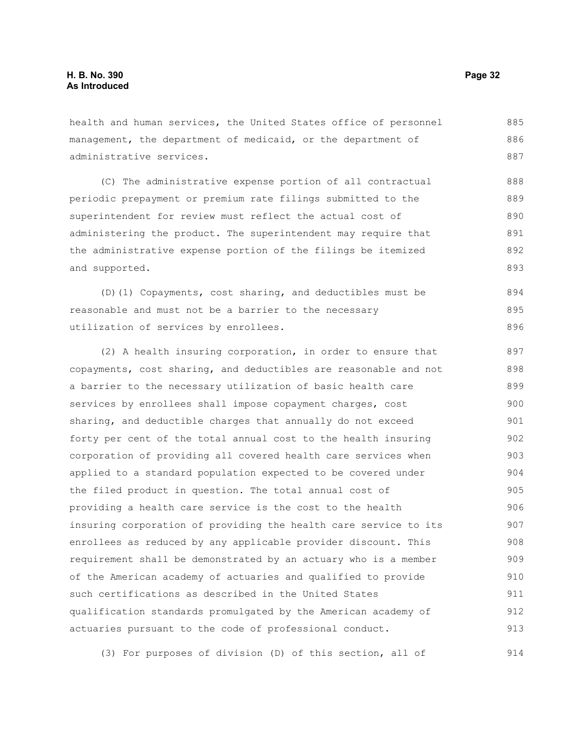health and human services, the United States office of personnel management, the department of medicaid, or the department of administrative services. 885 886 887

(C) The administrative expense portion of all contractual periodic prepayment or premium rate filings submitted to the superintendent for review must reflect the actual cost of administering the product. The superintendent may require that the administrative expense portion of the filings be itemized and supported. 888 889 890 891 892 893

(D)(1) Copayments, cost sharing, and deductibles must be reasonable and must not be a barrier to the necessary utilization of services by enrollees. 894 895 896

(2) A health insuring corporation, in order to ensure that copayments, cost sharing, and deductibles are reasonable and not a barrier to the necessary utilization of basic health care services by enrollees shall impose copayment charges, cost sharing, and deductible charges that annually do not exceed forty per cent of the total annual cost to the health insuring corporation of providing all covered health care services when applied to a standard population expected to be covered under the filed product in question. The total annual cost of providing a health care service is the cost to the health insuring corporation of providing the health care service to its enrollees as reduced by any applicable provider discount. This requirement shall be demonstrated by an actuary who is a member of the American academy of actuaries and qualified to provide such certifications as described in the United States qualification standards promulgated by the American academy of actuaries pursuant to the code of professional conduct. 897 898 899 900 901 902 903 904 905 906 907 908 909 910 911 912 913

(3) For purposes of division (D) of this section, all of 914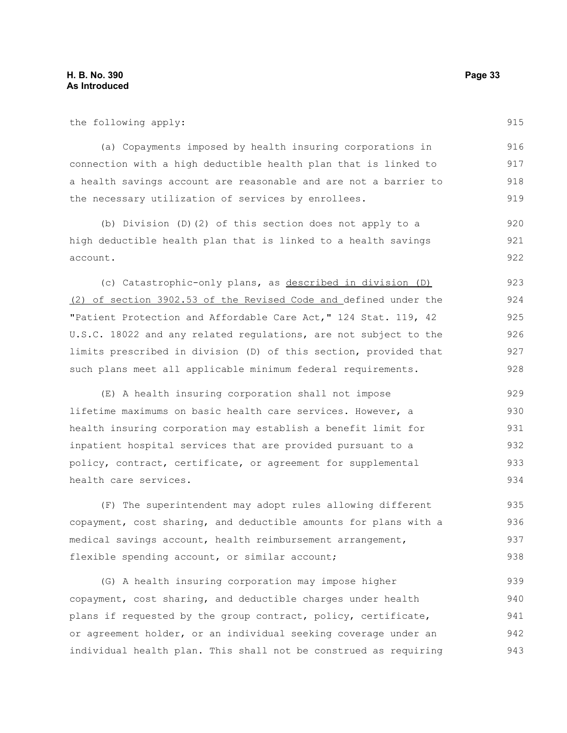| the following apply:                                             | 915 |
|------------------------------------------------------------------|-----|
| (a) Copayments imposed by health insuring corporations in        | 916 |
| connection with a high deductible health plan that is linked to  | 917 |
| a health savings account are reasonable and are not a barrier to | 918 |
| the necessary utilization of services by enrollees.              | 919 |
| (b) Division (D) (2) of this section does not apply to a         | 920 |
| high deductible health plan that is linked to a health savings   | 921 |
| account.                                                         | 922 |
| (c) Catastrophic-only plans, as described in division (D)        | 923 |
| (2) of section 3902.53 of the Revised Code and defined under the | 924 |
| "Patient Protection and Affordable Care Act," 124 Stat. 119, 42  | 925 |
| U.S.C. 18022 and any related regulations, are not subject to the | 926 |
| limits prescribed in division (D) of this section, provided that | 927 |
| such plans meet all applicable minimum federal requirements.     | 928 |
| (E) A health insuring corporation shall not impose               | 929 |
| lifetime maximums on basic health care services. However, a      | 930 |
| health insuring corporation may establish a benefit limit for    | 931 |
| inpatient hospital services that are provided pursuant to a      | 932 |
| policy, contract, certificate, or agreement for supplemental     | 933 |
| health care services.                                            | 934 |
| (F) The superintendent may adopt rules allowing different        | 935 |
| copayment, cost sharing, and deductible amounts for plans with a | 936 |
| medical savings account, health reimbursement arrangement,       | 937 |
| flexible spending account, or similar account;                   | 938 |

(G) A health insuring corporation may impose higher copayment, cost sharing, and deductible charges under health plans if requested by the group contract, policy, certificate, or agreement holder, or an individual seeking coverage under an individual health plan. This shall not be construed as requiring 939 940 941 942 943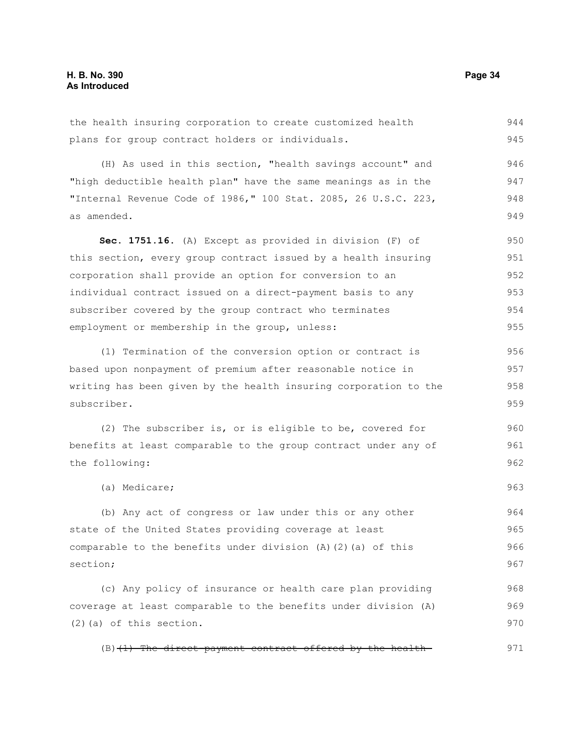as amended.

the health insuring corporation to create customized health 944

(H) As used in this section, "health savings account" and "high deductible health plan" have the same meanings as in the "Internal Revenue Code of 1986," 100 Stat. 2085, 26 U.S.C. 223,

plans for group contract holders or individuals.

**Sec. 1751.16.** (A) Except as provided in division (F) of this section, every group contract issued by a health insuring corporation shall provide an option for conversion to an individual contract issued on a direct-payment basis to any subscriber covered by the group contract who terminates employment or membership in the group, unless: 950 951 952 953 954 955

(1) Termination of the conversion option or contract is based upon nonpayment of premium after reasonable notice in writing has been given by the health insuring corporation to the subscriber. 956 957 958 959

(2) The subscriber is, or is eligible to be, covered for benefits at least comparable to the group contract under any of the following: 960 961 962

(a) Medicare; 963

(b) Any act of congress or law under this or any other state of the United States providing coverage at least comparable to the benefits under division  $(A)$   $(2)$   $(a)$  of this section; 964 965 966 967

(c) Any policy of insurance or health care plan providing coverage at least comparable to the benefits under division (A) (2)(a) of this section. 968 969 970

 $(B)$   $(1)$  The direct-payment contract offered by the health-

945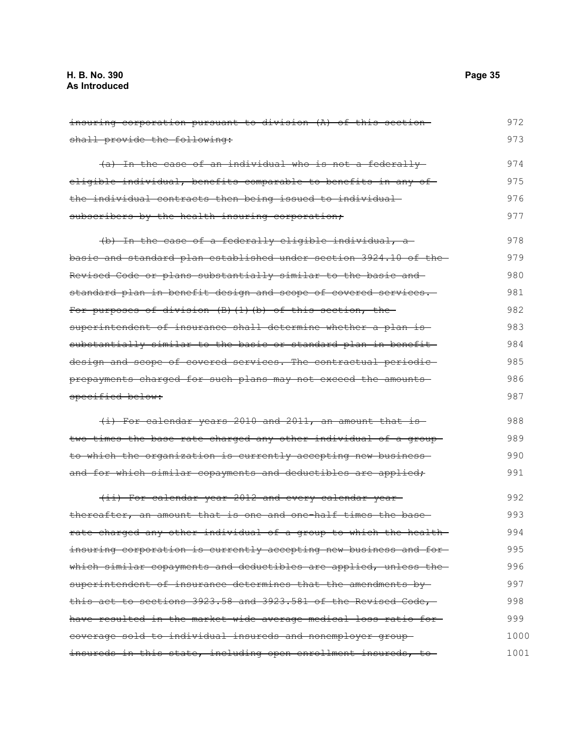## **H. B. No. 390 Page 35 As Introduced**

| insuring corporation pursuant to division (A) of this section-    | 972  |
|-------------------------------------------------------------------|------|
| shall provide the following:                                      | 973  |
| (a) In the case of an individual who is not a federally           | 974  |
| eligible individual, benefits comparable to benefits in any of-   | 975  |
| the individual contracts then being issued to individual          | 976  |
| subscribers by the health insuring corporation;                   | 977  |
| (b) In the case of a federally eligible individual, a             | 978  |
| basic and standard plan established under section 3924.10 of the- | 979  |
| Revised Code or plans substantially similar to the basic and-     | 980  |
| standard plan in benefit design and scope of covered services.    | 981  |
| For purposes of division (B) (1) (b) of this section, the         | 982  |
| superintendent of insurance shall determine whether a plan is-    | 983  |
| substantially similar to the basic or standard plan in benefit-   | 984  |
| design and scope of covered services. The contractual periodic-   | 985  |
| prepayments charged for such plans may not exceed the amounts     | 986  |
| specified below:                                                  | 987  |
| (i) For calendar years 2010 and 2011, an amount that is-          | 988  |
| two times the base rate charged any other individual of a group-  | 989  |
| to which the organization is currently accepting new business-    | 990  |
| and for which similar copayments and deductibles are applied,     | 991  |
| (ii) For calendar year 2012 and every calendar year               | 992  |
| thereafter, an amount that is one and one-half times the base-    | 993  |
| rate charged any other individual of a group to which the health  | 994  |
| insuring corporation is currently accepting new business and for- | 995  |
| which similar copayments and deductibles are applied, unless the  | 996  |
| superintendent of insurance determines that the amendments by-    | 997  |
| this act to sections 3923.58 and 3923.581 of the Revised Code,    | 998  |
| have resulted in the market-wide average medical loss ratio for-  | 999  |
| coverage sold to individual insureds and nonemployer group-       | 1000 |
| insureds in this state, including open enrollment insureds, to-   | 1001 |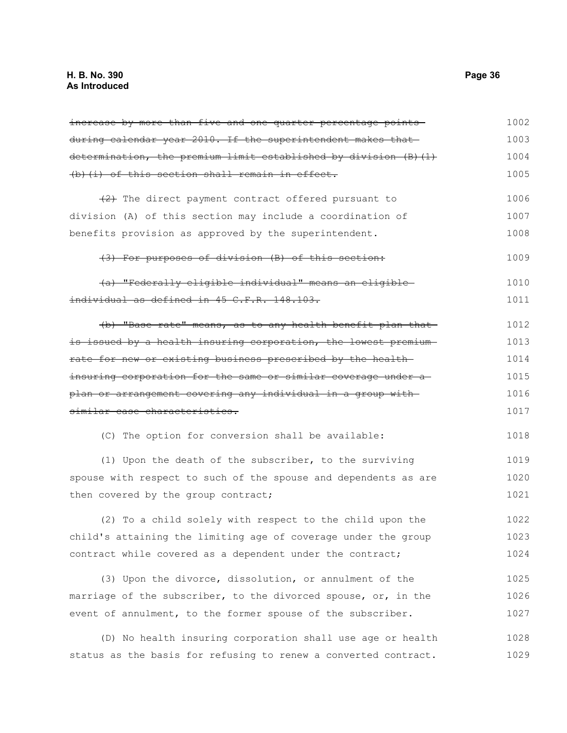| increase by more than five and one quarter percentage points     | 1002 |
|------------------------------------------------------------------|------|
| during calendar year 2010. If the superintendent makes that      | 1003 |
| determination, the premium limit established by division (B) (1) | 1004 |
| (b) (i) of this section shall remain in effect.                  | 1005 |
| $\{2\}$ The direct payment contract offered pursuant to          | 1006 |
| division (A) of this section may include a coordination of       | 1007 |
| benefits provision as approved by the superintendent.            | 1008 |
| (3) For purposes of division (B) of this section:                | 1009 |
| (a) "Federally eligible individual" means an eligible-           | 1010 |
| individual as defined in 45 C.F.R. 148.103.                      | 1011 |
| (b) "Base rate" means, as to any health benefit plan that        | 1012 |
| is issued by a health insuring corporation, the lowest premium-  | 1013 |
| rate for new or existing business prescribed by the health-      | 1014 |
| insuring corporation for the same or similar coverage under a    | 1015 |
| plan or arrangement covering any individual in a group with-     |      |
| similar case characteristics.                                    | 1017 |
| (C) The option for conversion shall be available:                | 1018 |
| (1) Upon the death of the subscriber, to the surviving           | 1019 |
| spouse with respect to such of the spouse and dependents as are  | 1020 |
| then covered by the group contract;                              | 1021 |
| (2) To a child solely with respect to the child upon the         | 1022 |
| child's attaining the limiting age of coverage under the group   | 1023 |
| contract while covered as a dependent under the contract;        | 1024 |
| (3) Upon the divorce, dissolution, or annulment of the           | 1025 |
| marriage of the subscriber, to the divorced spouse, or, in the   | 1026 |
| event of annulment, to the former spouse of the subscriber.      | 1027 |
| (D) No health insuring corporation shall use age or health       | 1028 |
| status as the basis for refusing to renew a converted contract.  | 1029 |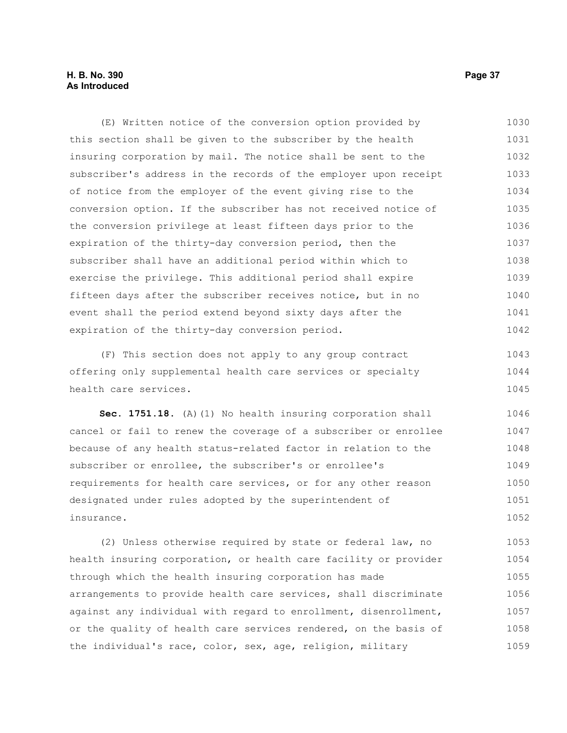(E) Written notice of the conversion option provided by this section shall be given to the subscriber by the health insuring corporation by mail. The notice shall be sent to the subscriber's address in the records of the employer upon receipt of notice from the employer of the event giving rise to the conversion option. If the subscriber has not received notice of the conversion privilege at least fifteen days prior to the expiration of the thirty-day conversion period, then the subscriber shall have an additional period within which to exercise the privilege. This additional period shall expire fifteen days after the subscriber receives notice, but in no event shall the period extend beyond sixty days after the expiration of the thirty-day conversion period. 1030 1031 1032 1033 1034 1035 1036 1037 1038 1039 1040 1041 1042

(F) This section does not apply to any group contract offering only supplemental health care services or specialty health care services. 1043 1044 1045

**Sec. 1751.18.** (A)(1) No health insuring corporation shall cancel or fail to renew the coverage of a subscriber or enrollee because of any health status-related factor in relation to the subscriber or enrollee, the subscriber's or enrollee's requirements for health care services, or for any other reason designated under rules adopted by the superintendent of insurance. 1046 1047 1048 1049 1050 1051 1052

(2) Unless otherwise required by state or federal law, no health insuring corporation, or health care facility or provider through which the health insuring corporation has made arrangements to provide health care services, shall discriminate against any individual with regard to enrollment, disenrollment, or the quality of health care services rendered, on the basis of the individual's race, color, sex, age, religion, military 1053 1054 1055 1056 1057 1058 1059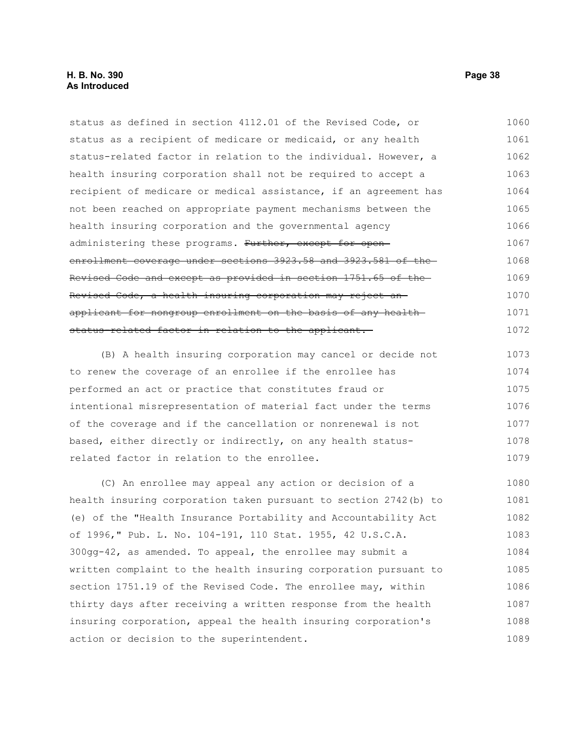status as defined in section 4112.01 of the Revised Code, or status as a recipient of medicare or medicaid, or any health status-related factor in relation to the individual. However, a health insuring corporation shall not be required to accept a recipient of medicare or medical assistance, if an agreement has not been reached on appropriate payment mechanisms between the health insuring corporation and the governmental agency administering these programs. Further, except for openenrollment coverage under sections 3923.58 and 3923.581 of the Revised Code and except as provided in section 1751.65 of the Revised Code, a health insuring corporation may reject an applicant for nongroup enrollment on the basis of any health status-related factor in relation to the applicant. 1060 1061 1062 1063 1064 1065 1066 1067 1068 1069 1070 1071 1072

(B) A health insuring corporation may cancel or decide not to renew the coverage of an enrollee if the enrollee has performed an act or practice that constitutes fraud or intentional misrepresentation of material fact under the terms of the coverage and if the cancellation or nonrenewal is not based, either directly or indirectly, on any health statusrelated factor in relation to the enrollee. 1073 1074 1075 1076 1077 1078 1079

(C) An enrollee may appeal any action or decision of a health insuring corporation taken pursuant to section 2742(b) to (e) of the "Health Insurance Portability and Accountability Act of 1996," Pub. L. No. 104-191, 110 Stat. 1955, 42 U.S.C.A. 300gg-42, as amended. To appeal, the enrollee may submit a written complaint to the health insuring corporation pursuant to section 1751.19 of the Revised Code. The enrollee may, within thirty days after receiving a written response from the health insuring corporation, appeal the health insuring corporation's action or decision to the superintendent. 1080 1081 1082 1083 1084 1085 1086 1087 1088 1089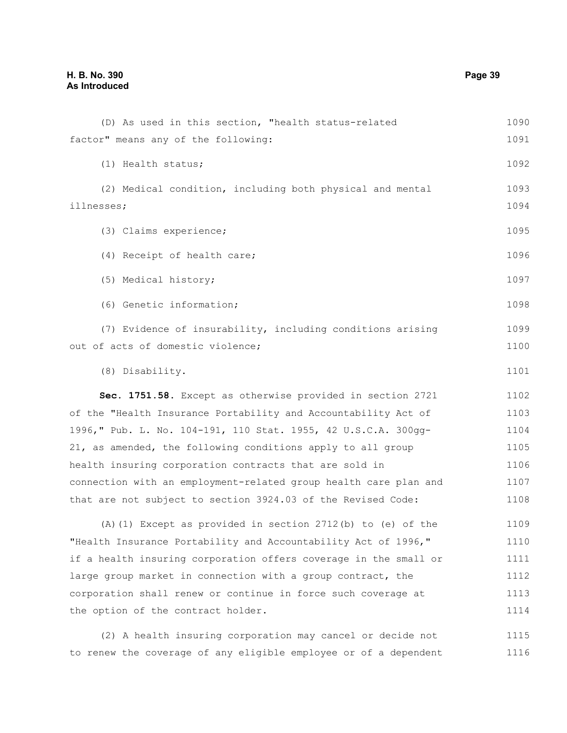# **H. B. No. 390 Page 39 As Introduced**

| (D) As used in this section, "health status-related              | 1090 |
|------------------------------------------------------------------|------|
| factor" means any of the following:                              | 1091 |
| (1) Health status;                                               | 1092 |
| (2) Medical condition, including both physical and mental        | 1093 |
| illnesses;                                                       | 1094 |
| (3) Claims experience;                                           | 1095 |
| (4) Receipt of health care;                                      | 1096 |
| (5) Medical history;                                             | 1097 |
| (6) Genetic information;                                         | 1098 |
| (7) Evidence of insurability, including conditions arising       | 1099 |
| out of acts of domestic violence;                                | 1100 |
| (8) Disability.                                                  | 1101 |
| Sec. 1751.58. Except as otherwise provided in section 2721       | 1102 |
| of the "Health Insurance Portability and Accountability Act of   | 1103 |
| 1996, "Pub. L. No. 104-191, 110 Stat. 1955, 42 U.S.C.A. 300gg-   | 1104 |
| 21, as amended, the following conditions apply to all group      | 1105 |
| health insuring corporation contracts that are sold in           | 1106 |
| connection with an employment-related group health care plan and | 1107 |
| that are not subject to section 3924.03 of the Revised Code:     | 1108 |
| $(A)$ (1) Except as provided in section 2712(b) to (e) of the    | 1109 |
| "Health Insurance Portability and Accountability Act of 1996,"   | 1110 |
| if a health insuring corporation offers coverage in the small or | 1111 |
| large group market in connection with a group contract, the      | 1112 |
| corporation shall renew or continue in force such coverage at    | 1113 |
| the option of the contract holder.                               | 1114 |
| (2) A health insuring corporation may cancel or decide not       | 1115 |

to renew the coverage of any eligible employee or of a dependent

1116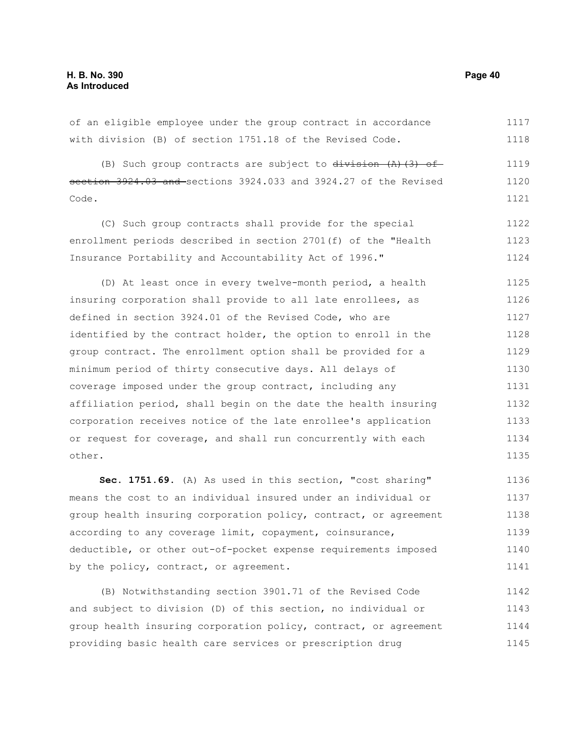of an eligible employee under the group contract in accordance with division (B) of section 1751.18 of the Revised Code. (B) Such group contracts are subject to  $division (A)$  (3) of section 3924.03 and sections 3924.033 and 3924.27 of the Revised Code. (C) Such group contracts shall provide for the special enrollment periods described in section 2701(f) of the "Health Insurance Portability and Accountability Act of 1996." (D) At least once in every twelve-month period, a health insuring corporation shall provide to all late enrollees, as defined in section 3924.01 of the Revised Code, who are identified by the contract holder, the option to enroll in the group contract. The enrollment option shall be provided for a minimum period of thirty consecutive days. All delays of coverage imposed under the group contract, including any affiliation period, shall begin on the date the health insuring corporation receives notice of the late enrollee's application or request for coverage, and shall run concurrently with each other. 1117 1118 1119 1120 1121 1122 1123 1124 1125 1126 1127 1128 1129 1130 1131 1132 1133 1134 1135

**Sec. 1751.69.** (A) As used in this section, "cost sharing" means the cost to an individual insured under an individual or group health insuring corporation policy, contract, or agreement according to any coverage limit, copayment, coinsurance, deductible, or other out-of-pocket expense requirements imposed by the policy, contract, or agreement. 1136 1137 1138 1139 1140 1141

(B) Notwithstanding section 3901.71 of the Revised Code and subject to division (D) of this section, no individual or group health insuring corporation policy, contract, or agreement providing basic health care services or prescription drug 1142 1143 1144 1145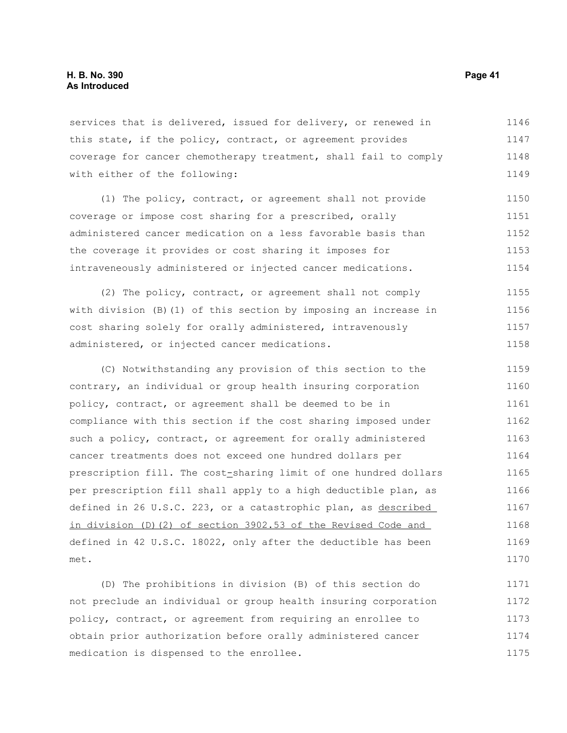services that is delivered, issued for delivery, or renewed in this state, if the policy, contract, or agreement provides coverage for cancer chemotherapy treatment, shall fail to comply with either of the following: 1146 1147 1148 1149

(1) The policy, contract, or agreement shall not provide coverage or impose cost sharing for a prescribed, orally administered cancer medication on a less favorable basis than the coverage it provides or cost sharing it imposes for intraveneously administered or injected cancer medications. 1150 1151 1152 1153 1154

(2) The policy, contract, or agreement shall not comply with division (B)(1) of this section by imposing an increase in cost sharing solely for orally administered, intravenously administered, or injected cancer medications. 1155 1156 1157 1158

(C) Notwithstanding any provision of this section to the contrary, an individual or group health insuring corporation policy, contract, or agreement shall be deemed to be in compliance with this section if the cost sharing imposed under such a policy, contract, or agreement for orally administered cancer treatments does not exceed one hundred dollars per prescription fill. The cost-sharing limit of one hundred dollars per prescription fill shall apply to a high deductible plan, as defined in 26 U.S.C. 223, or a catastrophic plan, as described in division (D)(2) of section 3902.53 of the Revised Code and defined in 42 U.S.C. 18022, only after the deductible has been met. 1159 1160 1161 1162 1163 1164 1165 1166 1167 1168 1169 1170

(D) The prohibitions in division (B) of this section do not preclude an individual or group health insuring corporation policy, contract, or agreement from requiring an enrollee to obtain prior authorization before orally administered cancer medication is dispensed to the enrollee. 1171 1172 1173 1174 1175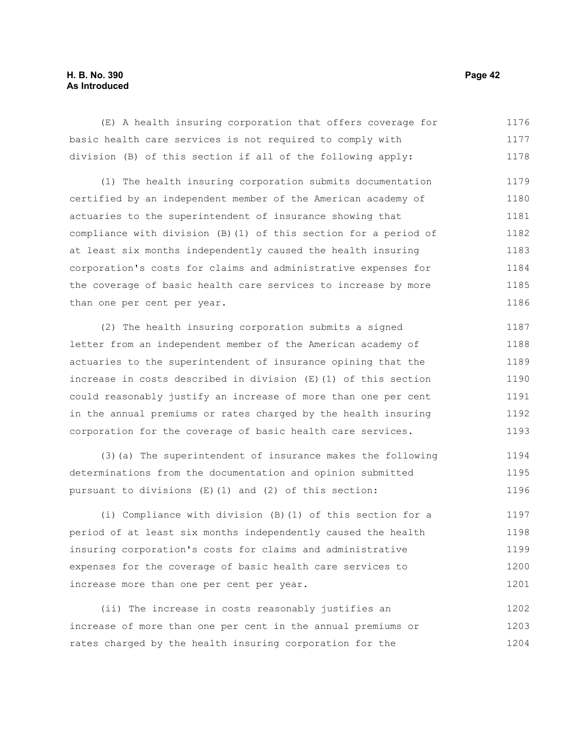# **H. B. No. 390 Page 42 As Introduced**

(E) A health insuring corporation that offers coverage for basic health care services is not required to comply with division (B) of this section if all of the following apply: (1) The health insuring corporation submits documentation certified by an independent member of the American academy of actuaries to the superintendent of insurance showing that compliance with division (B)(1) of this section for a period of at least six months independently caused the health insuring corporation's costs for claims and administrative expenses for the coverage of basic health care services to increase by more than one per cent per year. (2) The health insuring corporation submits a signed 1176 1177 1178 1179 1180 1181 1182 1183 1184 1185 1186 1187

letter from an independent member of the American academy of actuaries to the superintendent of insurance opining that the increase in costs described in division (E)(1) of this section could reasonably justify an increase of more than one per cent in the annual premiums or rates charged by the health insuring corporation for the coverage of basic health care services. 1188 1189 1190 1191 1192 1193

(3)(a) The superintendent of insurance makes the following determinations from the documentation and opinion submitted pursuant to divisions (E)(1) and (2) of this section: 1194 1195 1196

(i) Compliance with division (B)(1) of this section for a period of at least six months independently caused the health insuring corporation's costs for claims and administrative expenses for the coverage of basic health care services to increase more than one per cent per year. 1197 1198 1199 1200 1201

(ii) The increase in costs reasonably justifies an increase of more than one per cent in the annual premiums or rates charged by the health insuring corporation for the 1202 1203 1204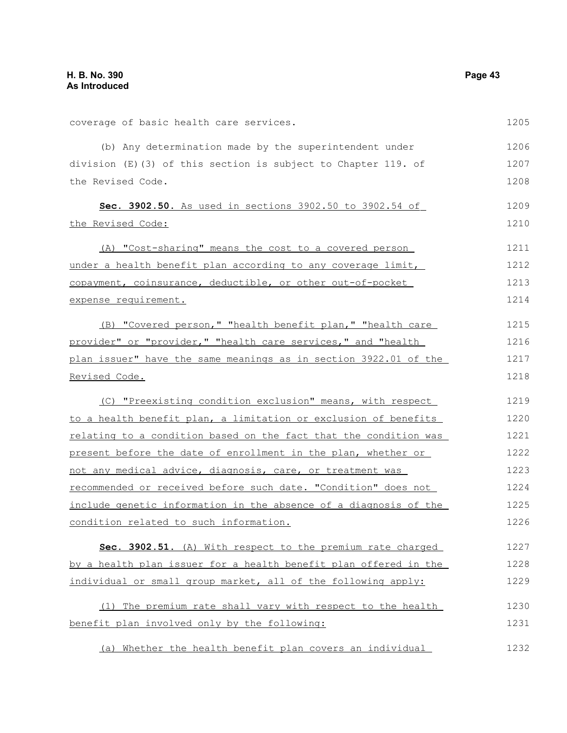| coverage of basic health care services.                          | 1205 |
|------------------------------------------------------------------|------|
| (b) Any determination made by the superintendent under           | 1206 |
| division (E)(3) of this section is subject to Chapter 119. of    | 1207 |
| the Revised Code.                                                | 1208 |
| Sec. 3902.50. As used in sections 3902.50 to 3902.54 of          | 1209 |
| the Revised Code:                                                | 1210 |
| (A) "Cost-sharing" means the cost to a covered person            | 1211 |
| under a health benefit plan according to any coverage limit,     | 1212 |
| copayment, coinsurance, deductible, or other out-of-pocket       | 1213 |
| expense requirement.                                             | 1214 |
| (B) "Covered person," "health benefit plan," "health care        | 1215 |
| provider" or "provider," "health care services," and "health     | 1216 |
| plan issuer" have the same meanings as in section 3922.01 of the | 1217 |
| Revised Code.                                                    | 1218 |
| (C) "Preexisting condition exclusion" means, with respect        | 1219 |
| to a health benefit plan, a limitation or exclusion of benefits  | 1220 |
| relating to a condition based on the fact that the condition was | 1221 |
| present before the date of enrollment in the plan, whether or    | 1222 |
| not any medical advice, diagnosis, care, or treatment was        | 1223 |
| recommended or received before such date. "Condition" does not   | 1224 |
| include genetic information in the absence of a diagnosis of the | 1225 |
| condition related to such information.                           | 1226 |
| Sec. 3902.51. (A) With respect to the premium rate charged       | 1227 |
| by a health plan issuer for a health benefit plan offered in the | 1228 |
| individual or small group market, all of the following apply:    | 1229 |
| (1) The premium rate shall vary with respect to the health       | 1230 |
| benefit plan involved only by the following:                     | 1231 |
| (a) Whether the health benefit plan covers an individual         | 1232 |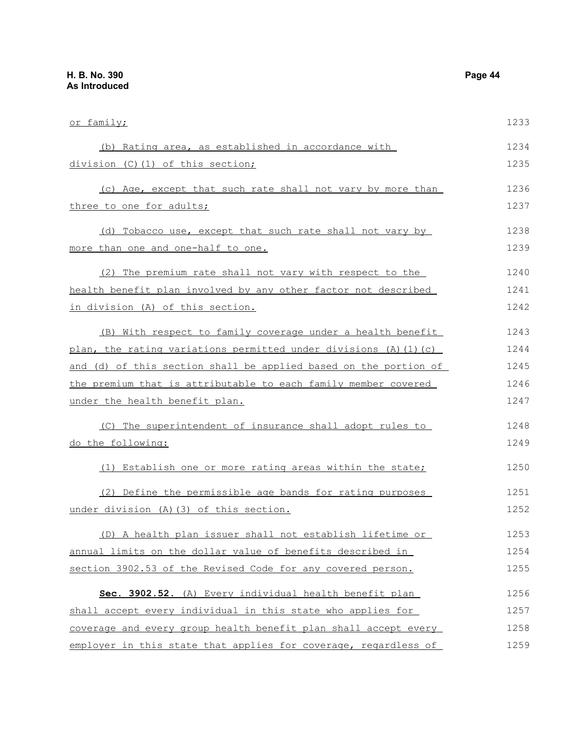| or family;                                                        | 1233 |
|-------------------------------------------------------------------|------|
| (b) Rating area, as established in accordance with                | 1234 |
| division (C)(1) of this section;                                  | 1235 |
| (c) Age, except that such rate shall not vary by more than        | 1236 |
| three to one for adults;                                          | 1237 |
| (d) Tobacco use, except that such rate shall not vary by          | 1238 |
| more than one and one-half to one.                                | 1239 |
| (2) The premium rate shall not vary with respect to the           | 1240 |
| health benefit plan involved by any other factor not described    | 1241 |
| in division (A) of this section.                                  | 1242 |
| (B) With respect to family coverage under a health benefit        | 1243 |
| plan, the rating variations permitted under divisions (A) (1) (c) | 1244 |
| and (d) of this section shall be applied based on the portion of  | 1245 |
| the premium that is attributable to each family member covered    | 1246 |
| under the health benefit plan.                                    | 1247 |
| (C) The superintendent of insurance shall adopt rules to          | 1248 |
| do the following:                                                 | 1249 |
| (1) Establish one or more rating areas within the state;          | 1250 |
| (2) Define the permissible age bands for rating purposes          | 1251 |
| under division (A) (3) of this section.                           | 1252 |
| (D) A health plan issuer shall not establish lifetime or          | 1253 |
| annual limits on the dollar value of benefits described in        | 1254 |
| section 3902.53 of the Revised Code for any covered person.       | 1255 |
| Sec. 3902.52. (A) Every individual health benefit plan            | 1256 |
| shall accept every individual in this state who applies for       | 1257 |
| coverage and every group health benefit plan shall accept every   | 1258 |
| employer in this state that applies for coverage, regardless of   | 1259 |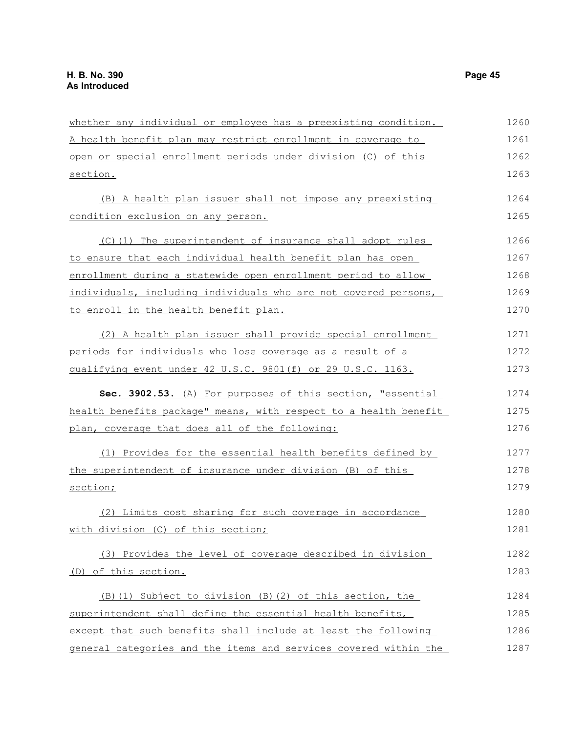| whether any individual or employee has a preexisting condition.  | 1260 |
|------------------------------------------------------------------|------|
| A health benefit plan may restrict enrollment in coverage to     | 1261 |
| open or special enrollment periods under division (C) of this    | 1262 |
| section.                                                         | 1263 |
| (B) A health plan issuer shall not impose any preexisting        | 1264 |
| condition exclusion on any person.                               | 1265 |
| (C)(1) The superintendent of insurance shall adopt rules         | 1266 |
| to ensure that each individual health benefit plan has open      | 1267 |
| enrollment during a statewide open enrollment period to allow    | 1268 |
| individuals, including individuals who are not covered persons,  | 1269 |
| to enroll in the health benefit plan.                            | 1270 |
| (2) A health plan issuer shall provide special enrollment        | 1271 |
| periods for individuals who lose coverage as a result of a       | 1272 |
| qualifying event under 42 U.S.C. 9801(f) or 29 U.S.C. 1163.      | 1273 |
| Sec. 3902.53. (A) For purposes of this section, "essential       | 1274 |
| health benefits package" means, with respect to a health benefit | 1275 |
| plan, coverage that does all of the following:                   | 1276 |
| (1) Provides for the essential health benefits defined by        | 1277 |
| the superintendent of insurance under division (B) of this       | 1278 |
| section;                                                         | 1279 |
| (2) Limits cost sharing for such coverage in accordance          | 1280 |
| with division (C) of this section;                               | 1281 |
| (3) Provides the level of coverage described in division         | 1282 |
| (D) of this section.                                             | 1283 |
| (B) (1) Subject to division (B) (2) of this section, the         | 1284 |
| superintendent shall define the essential health benefits,       | 1285 |
| except that such benefits shall include at least the following   | 1286 |
| general categories and the items and services covered within the | 1287 |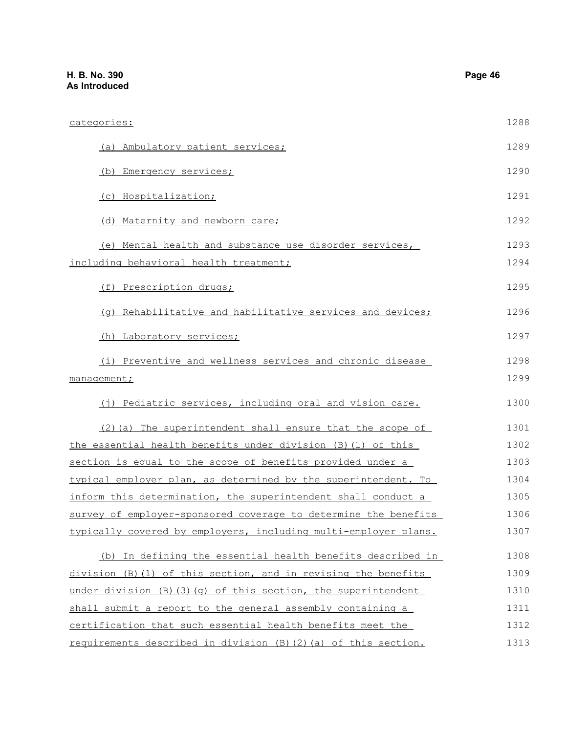| categories:                                                          | 1288 |
|----------------------------------------------------------------------|------|
| (a) Ambulatory patient services;                                     | 1289 |
| (b) Emergency services;                                              | 1290 |
| (c) Hospitalization;                                                 | 1291 |
| (d) Maternity and newborn care;                                      | 1292 |
| (e) Mental health and substance use disorder services,               | 1293 |
| including behavioral health treatment;                               | 1294 |
| (f) Prescription drugs;                                              | 1295 |
| (q) Rehabilitative and habilitative services and devices;            | 1296 |
| (h) Laboratory services;                                             | 1297 |
| (i) Preventive and wellness services and chronic disease             | 1298 |
| management;                                                          | 1299 |
| (j) Pediatric services, including oral and vision care.              | 1300 |
| (2) (a) The superintendent shall ensure that the scope of            | 1301 |
| the essential health benefits under division (B) (1) of this         | 1302 |
| section is equal to the scope of benefits provided under a           | 1303 |
| typical employer plan, as determined by the superintendent. To       | 1304 |
| inform this determination, the superintendent shall conduct a        | 1305 |
| survey of employer-sponsored coverage to determine the benefits      | 1306 |
| typically covered by employers, including multi-employer plans.      | 1307 |
| (b) In defining the essential health benefits described in           | 1308 |
| division (B) (1) of this section, and in revising the benefits       | 1309 |
| under division $(B)$ $(3)$ $(q)$ of this section, the superintendent | 1310 |
| shall submit a report to the general assembly containing a           | 1311 |
| certification that such essential health benefits meet the           | 1312 |
| requirements described in division (B)(2)(a) of this section.        | 1313 |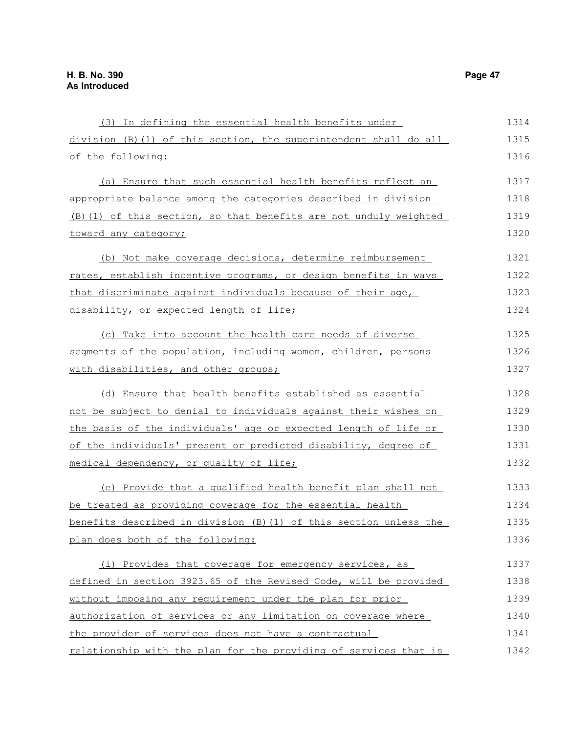| (3) In defining the essential health benefits under                 | 1314 |
|---------------------------------------------------------------------|------|
| division (B)(1) of this section, the superintendent shall do all    | 1315 |
| of the following:                                                   | 1316 |
| (a) Ensure that such essential health benefits reflect an           | 1317 |
| appropriate balance among the categories described in division      | 1318 |
| (B) (1) of this section, so that benefits are not unduly weighted   | 1319 |
| toward any category;                                                | 1320 |
| (b) Not make coverage decisions, determine reimbursement            | 1321 |
| rates, establish incentive programs, or design benefits in ways     | 1322 |
| that discriminate against individuals because of their age,         | 1323 |
| disability, or expected length of life;                             | 1324 |
| (c) Take into account the health care needs of diverse              | 1325 |
| segments of the population, including women, children, persons      | 1326 |
| with disabilities, and other groups;                                | 1327 |
| (d) Ensure that health benefits established as essential            | 1328 |
| not be subject to denial to individuals against their wishes on     | 1329 |
| the basis of the individuals' age or expected length of life or     | 1330 |
| of the individuals' present or predicted disability, degree of      | 1331 |
| medical dependency, or quality of life;                             | 1332 |
| (e) Provide that a qualified health benefit plan shall not          | 1333 |
| be treated as providing coverage for the essential health           | 1334 |
| benefits described in division $(B)$ (1) of this section unless the | 1335 |
| plan does both of the following:                                    | 1336 |
| (i) Provides that coverage for emergency services, as               | 1337 |
| defined in section 3923.65 of the Revised Code, will be provided    | 1338 |
| without imposing any requirement under the plan for prior           | 1339 |
| authorization of services or any limitation on coverage where       | 1340 |
| the provider of services does not have a contractual                | 1341 |
| relationship with the plan for the providing of services that is    | 1342 |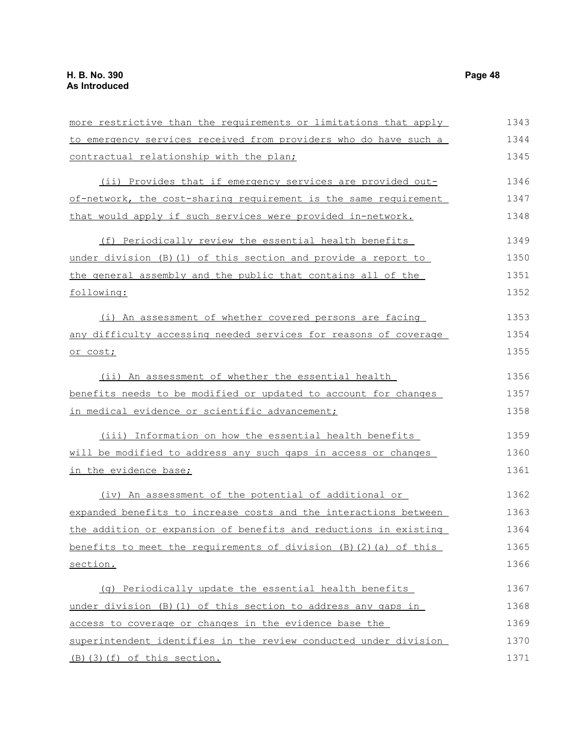| more restrictive than the requirements or limitations that apply        | 1343 |
|-------------------------------------------------------------------------|------|
| to emergency services received from providers who do have such a        | 1344 |
| contractual relationship with the plan;                                 | 1345 |
| (ii) Provides that if emergency services are provided out-              | 1346 |
| of-network, the cost-sharing requirement is the same requirement        | 1347 |
| that would apply if such services were provided in-network.             | 1348 |
| (f) Periodically review the essential health benefits                   | 1349 |
| under division (B) (1) of this section and provide a report to          | 1350 |
| the general assembly and the public that contains all of the            | 1351 |
| following:                                                              | 1352 |
| (i) An assessment of whether covered persons are facing                 | 1353 |
| any difficulty accessing needed services for reasons of coverage        | 1354 |
| or cost;                                                                | 1355 |
| (ii) An assessment of whether the essential health                      | 1356 |
| benefits needs to be modified or updated to account for changes         | 1357 |
| in medical evidence or scientific advancement;                          | 1358 |
| (iii) Information on how the essential health benefits                  | 1359 |
| will be modified to address any such gaps in access or changes          | 1360 |
| in the evidence base;                                                   | 1361 |
| (iv) An assessment of the potential of additional or                    | 1362 |
| expanded benefits to increase costs and the interactions between        | 1363 |
| the addition or expansion of benefits and reductions in existing        | 1364 |
| benefits to meet the requirements of division $(B)$ $(2)$ $(a)$ of this | 1365 |
| section.                                                                | 1366 |
| (q) Periodically update the essential health benefits                   | 1367 |
| under division (B) (1) of this section to address any gaps in           | 1368 |
| access to coverage or changes in the evidence base the                  | 1369 |
| superintendent identifies in the review conducted under division        | 1370 |
| $(B)$ $(3)$ $(f)$ of this section.                                      | 1371 |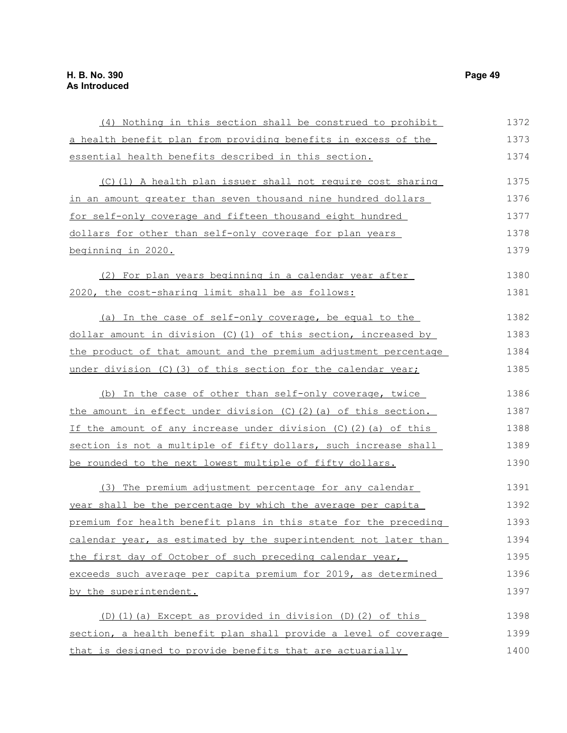| (4) Nothing in this section shall be construed to prohibit       | 1372 |
|------------------------------------------------------------------|------|
| a health benefit plan from providing benefits in excess of the   | 1373 |
| essential health benefits described in this section.             | 1374 |
| (C)(1) A health plan issuer shall not require cost sharing       | 1375 |
| in an amount greater than seven thousand nine hundred dollars    | 1376 |
| for self-only coverage and fifteen thousand eight hundred        | 1377 |
| dollars for other than self-only coverage for plan years         | 1378 |
| beginning in 2020.                                               | 1379 |
| (2) For plan years beginning in a calendar year after            | 1380 |
| 2020, the cost-sharing limit shall be as follows:                | 1381 |
| (a) In the case of self-only coverage, be equal to the           | 1382 |
| dollar amount in division (C)(1) of this section, increased by   | 1383 |
| the product of that amount and the premium adjustment percentage | 1384 |
| under division (C) (3) of this section for the calendar year;    | 1385 |
| (b) In the case of other than self-only coverage, twice          | 1386 |
| the amount in effect under division (C)(2)(a) of this section.   | 1387 |
| If the amount of any increase under division (C) (2) (a) of this | 1388 |
| section is not a multiple of fifty dollars, such increase shall  | 1389 |
| be rounded to the next lowest multiple of fifty dollars.         | 1390 |
| (3) The premium adjustment percentage for any calendar           | 1391 |
| year shall be the percentage by which the average per capita     | 1392 |
| premium for health benefit plans in this state for the preceding | 1393 |
| calendar year, as estimated by the superintendent not later than | 1394 |
| the first day of October of such preceding calendar year,        | 1395 |
| exceeds such average per capita premium for 2019, as determined  | 1396 |
| by the superintendent.                                           | 1397 |
| (D) (1) (a) Except as provided in division (D) (2) of this       | 1398 |
| section, a health benefit plan shall provide a level of coverage | 1399 |
| that is designed to provide benefits that are actuarially        | 1400 |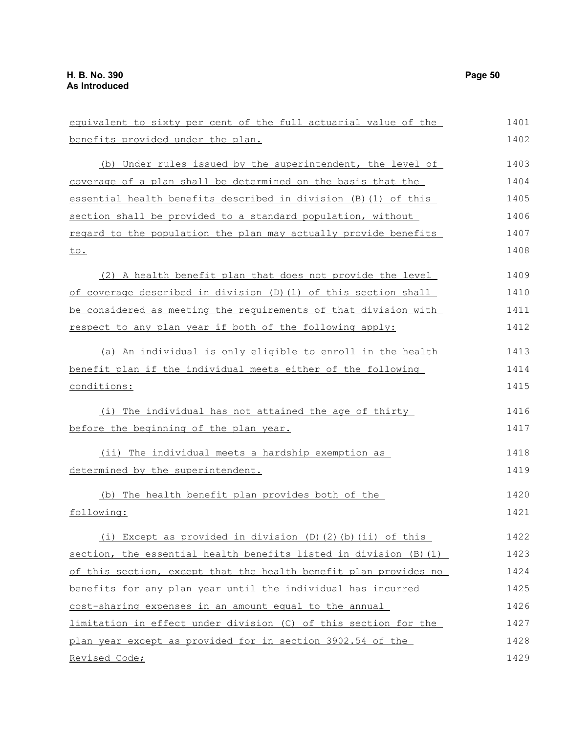| equivalent to sixty per cent of the full actuarial value of the   | 1401 |
|-------------------------------------------------------------------|------|
| benefits provided under the plan.                                 | 1402 |
| (b) Under rules issued by the superintendent, the level of        | 1403 |
| coverage of a plan shall be determined on the basis that the      | 1404 |
| essential health benefits described in division (B) (1) of this   | 1405 |
| section shall be provided to a standard population, without       | 1406 |
| regard to the population the plan may actually provide benefits   | 1407 |
| <u>to.</u>                                                        | 1408 |
| (2) A health benefit plan that does not provide the level         | 1409 |
| of coverage described in division (D)(1) of this section shall    | 1410 |
| be considered as meeting the requirements of that division with   | 1411 |
| respect to any plan year if both of the following apply:          | 1412 |
| (a) An individual is only eligible to enroll in the health        | 1413 |
| benefit plan if the individual meets either of the following      | 1414 |
| conditions:                                                       | 1415 |
| (i) The individual has not attained the age of thirty             | 1416 |
| before the beginning of the plan year.                            | 1417 |
| (ii) The individual meets a hardship exemption as                 | 1418 |
| determined by the superintendent.                                 | 1419 |
| (b) The health benefit plan provides both of the                  | 1420 |
| following:                                                        | 1421 |
| Except as provided in division (D)(2)(b)(ii) of this<br>(i)       | 1422 |
| section, the essential health benefits listed in division (B) (1) | 1423 |
| of this section, except that the health benefit plan provides no  | 1424 |
| benefits for any plan year until the individual has incurred      | 1425 |
| cost-sharing expenses in an amount equal to the annual            | 1426 |
| limitation in effect under division (C) of this section for the   | 1427 |
| plan year except as provided for in section 3902.54 of the        | 1428 |
| Revised Code;                                                     | 1429 |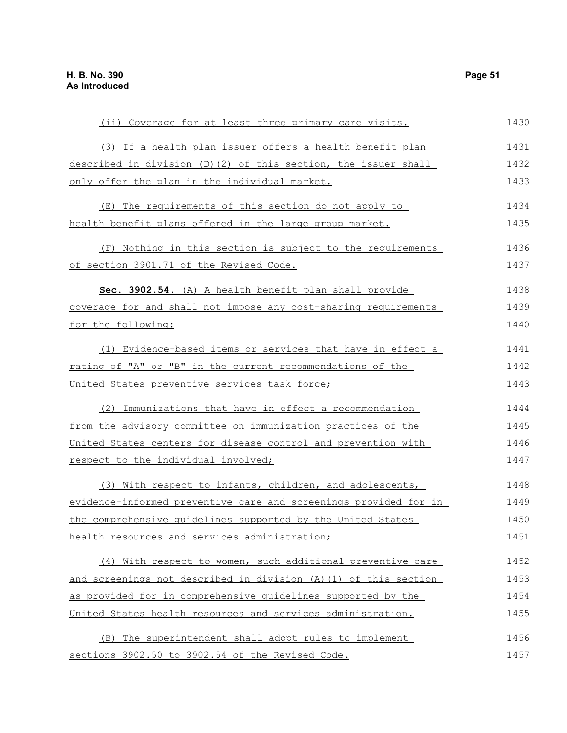| (ii) Coverage for at least three primary care visits.            | 1430 |
|------------------------------------------------------------------|------|
| (3) If a health plan issuer offers a health benefit plan         | 1431 |
| described in division (D)(2) of this section, the issuer shall   | 1432 |
| only offer the plan in the individual market.                    | 1433 |
| (E) The requirements of this section do not apply to             | 1434 |
| health benefit plans offered in the large group market.          | 1435 |
| (F) Nothing in this section is subject to the requirements       | 1436 |
| of section 3901.71 of the Revised Code.                          | 1437 |
| Sec. 3902.54. (A) A health benefit plan shall provide            | 1438 |
| coverage for and shall not impose any cost-sharing requirements  | 1439 |
| for the following:                                               | 1440 |
| (1) Evidence-based items or services that have in effect a       | 1441 |
| rating of "A" or "B" in the current recommendations of the       | 1442 |
| United States preventive services task force;                    | 1443 |
| (2) Immunizations that have in effect a recommendation           | 1444 |
| from the advisory committee on immunization practices of the     | 1445 |
| United States centers for disease control and prevention with    | 1446 |
| respect to the individual involved;                              | 1447 |
| (3) With respect to infants, children, and adolescents,          | 1448 |
| evidence-informed preventive care and screenings provided for in | 1449 |
| the comprehensive quidelines supported by the United States      | 1450 |
| health resources and services administration;                    | 1451 |
| (4) With respect to women, such additional preventive care       | 1452 |
| and screenings not described in division (A) (1) of this section | 1453 |
| as provided for in comprehensive quidelines supported by the     | 1454 |
| United States health resources and services administration.      | 1455 |
| (B) The superintendent shall adopt rules to implement            | 1456 |
| sections 3902.50 to 3902.54 of the Revised Code.                 | 1457 |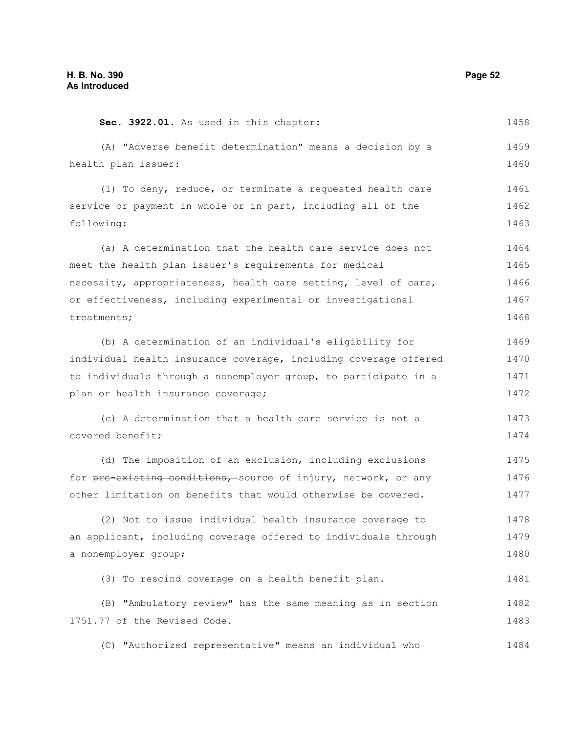| Sec. 3922.01. As used in this chapter:                           | 1458 |
|------------------------------------------------------------------|------|
| (A) "Adverse benefit determination" means a decision by a        | 1459 |
| health plan issuer:                                              | 1460 |
| (1) To deny, reduce, or terminate a requested health care        | 1461 |
| service or payment in whole or in part, including all of the     | 1462 |
| following:                                                       | 1463 |
| (a) A determination that the health care service does not        | 1464 |
| meet the health plan issuer's requirements for medical           | 1465 |
| necessity, appropriateness, health care setting, level of care,  | 1466 |
| or effectiveness, including experimental or investigational      | 1467 |
| treatments;                                                      | 1468 |
| (b) A determination of an individual's eligibility for           | 1469 |
| individual health insurance coverage, including coverage offered | 1470 |
| to individuals through a nonemployer group, to participate in a  | 1471 |
| plan or health insurance coverage;                               | 1472 |
| (c) A determination that a health care service is not a          | 1473 |
| covered benefit;                                                 | 1474 |
| (d) The imposition of an exclusion, including exclusions         | 1475 |
| for pre-existing conditions, source of injury, network, or any   | 1476 |
| other limitation on benefits that would otherwise be covered.    | 1477 |
| (2) Not to issue individual health insurance coverage to         | 1478 |
| an applicant, including coverage offered to individuals through  | 1479 |
| a nonemployer group;                                             | 1480 |
| (3) To rescind coverage on a health benefit plan.                | 1481 |
| (B) "Ambulatory review" has the same meaning as in section       | 1482 |
| 1751.77 of the Revised Code.                                     | 1483 |
| (C) "Authorized representative" means an individual who          | 1484 |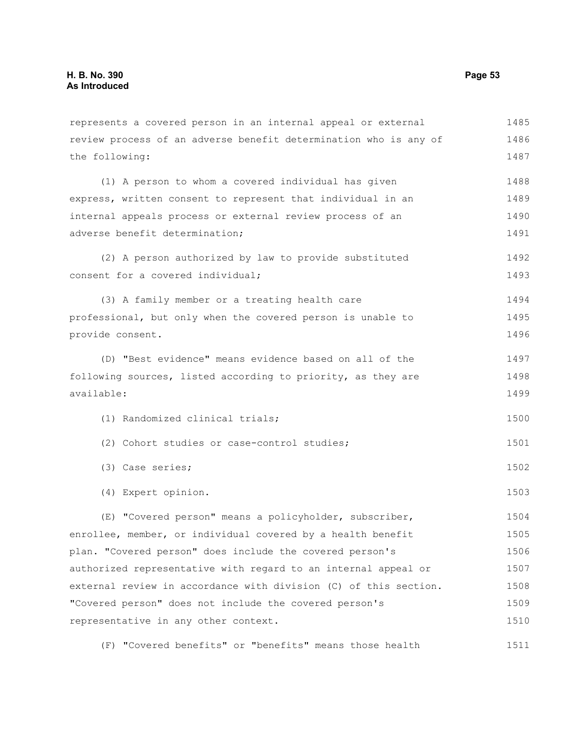represents a covered person in an internal appeal or external review process of an adverse benefit determination who is any of the following: (1) A person to whom a covered individual has given express, written consent to represent that individual in an internal appeals process or external review process of an adverse benefit determination; (2) A person authorized by law to provide substituted consent for a covered individual; (3) A family member or a treating health care professional, but only when the covered person is unable to provide consent. (D) "Best evidence" means evidence based on all of the following sources, listed according to priority, as they are available: (1) Randomized clinical trials; (2) Cohort studies or case-control studies; (3) Case series; (4) Expert opinion. (E) "Covered person" means a policyholder, subscriber, enrollee, member, or individual covered by a health benefit plan. "Covered person" does include the covered person's authorized representative with regard to an internal appeal or external review in accordance with division (C) of this section. "Covered person" does not include the covered person's representative in any other context. 1485 1486 1487 1488 1489 1490 1491 1492 1493 1494 1495 1496 1497 1498 1499 1500 1501 1502 1503 1504 1505 1506 1507 1508 1509 1510

(F) "Covered benefits" or "benefits" means those health 1511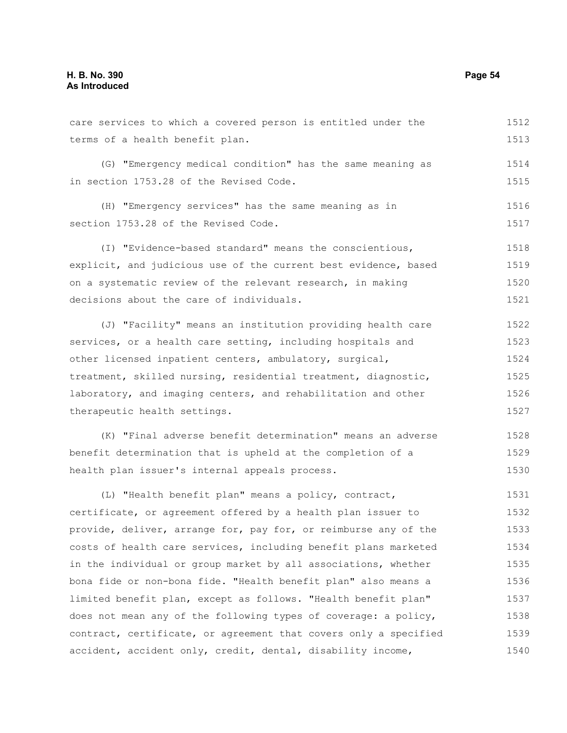terms of a health benefit plan. (G) "Emergency medical condition" has the same meaning as in section 1753.28 of the Revised Code. (H) "Emergency services" has the same meaning as in section 1753.28 of the Revised Code. (I) "Evidence-based standard" means the conscientious, explicit, and judicious use of the current best evidence, based on a systematic review of the relevant research, in making decisions about the care of individuals. (J) "Facility" means an institution providing health care services, or a health care setting, including hospitals and other licensed inpatient centers, ambulatory, surgical, treatment, skilled nursing, residential treatment, diagnostic, laboratory, and imaging centers, and rehabilitation and other therapeutic health settings. (K) "Final adverse benefit determination" means an adverse benefit determination that is upheld at the completion of a health plan issuer's internal appeals process. (L) "Health benefit plan" means a policy, contract, certificate, or agreement offered by a health plan issuer to provide, deliver, arrange for, pay for, or reimburse any of the costs of health care services, including benefit plans marketed in the individual or group market by all associations, whether bona fide or non-bona fide. "Health benefit plan" also means a 1513 1514 1515 1516 1517 1518 1519 1520 1521 1522 1523 1524 1525 1526 1527 1528 1529 1530 1531 1532 1533 1534 1535 1536

care services to which a covered person is entitled under the

limited benefit plan, except as follows. "Health benefit plan" does not mean any of the following types of coverage: a policy, contract, certificate, or agreement that covers only a specified accident, accident only, credit, dental, disability income, 1537 1538 1539 1540

1512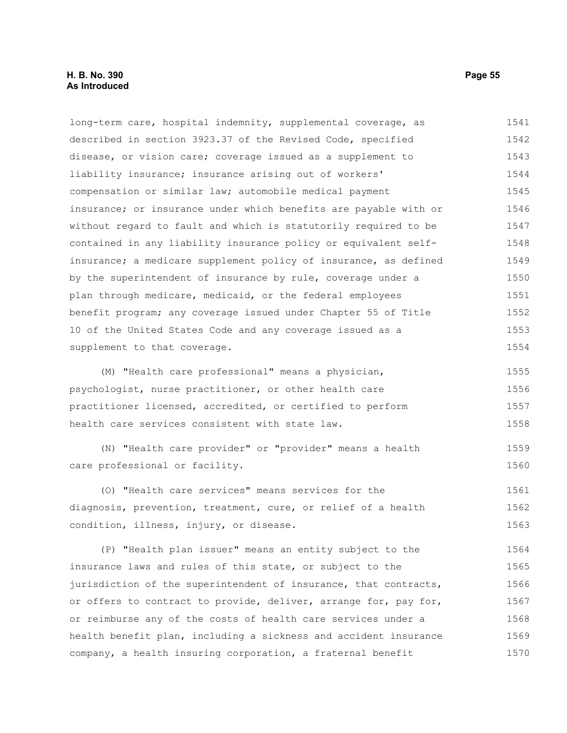long-term care, hospital indemnity, supplemental coverage, as described in section 3923.37 of the Revised Code, specified disease, or vision care; coverage issued as a supplement to liability insurance; insurance arising out of workers' compensation or similar law; automobile medical payment insurance; or insurance under which benefits are payable with or without regard to fault and which is statutorily required to be contained in any liability insurance policy or equivalent selfinsurance; a medicare supplement policy of insurance, as defined by the superintendent of insurance by rule, coverage under a plan through medicare, medicaid, or the federal employees benefit program; any coverage issued under Chapter 55 of Title 10 of the United States Code and any coverage issued as a supplement to that coverage. 1541 1542 1543 1544 1545 1546 1547 1548 1549 1550 1551 1552 1553 1554

(M) "Health care professional" means a physician, psychologist, nurse practitioner, or other health care practitioner licensed, accredited, or certified to perform health care services consistent with state law. 1555 1556 1557 1558

(N) "Health care provider" or "provider" means a health care professional or facility. 1559 1560

(O) "Health care services" means services for the diagnosis, prevention, treatment, cure, or relief of a health condition, illness, injury, or disease. 1561 1562 1563

(P) "Health plan issuer" means an entity subject to the insurance laws and rules of this state, or subject to the jurisdiction of the superintendent of insurance, that contracts, or offers to contract to provide, deliver, arrange for, pay for, or reimburse any of the costs of health care services under a health benefit plan, including a sickness and accident insurance company, a health insuring corporation, a fraternal benefit 1564 1565 1566 1567 1568 1569 1570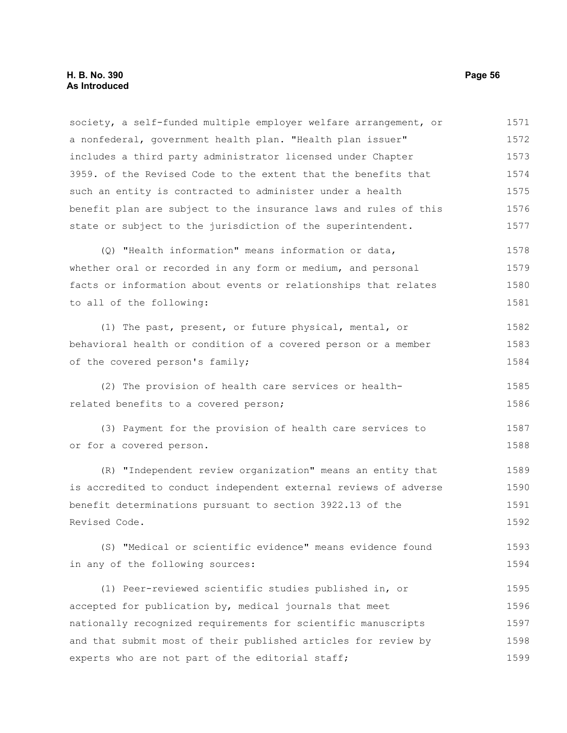society, a self-funded multiple employer welfare arrangement, or a nonfederal, government health plan. "Health plan issuer" includes a third party administrator licensed under Chapter 3959. of the Revised Code to the extent that the benefits that such an entity is contracted to administer under a health benefit plan are subject to the insurance laws and rules of this state or subject to the jurisdiction of the superintendent. 1571 1572 1573 1574 1575 1576 1577

(Q) "Health information" means information or data, whether oral or recorded in any form or medium, and personal facts or information about events or relationships that relates to all of the following: 1578 1579 1580 1581

(1) The past, present, or future physical, mental, or behavioral health or condition of a covered person or a member of the covered person's family; 1582 1583 1584

(2) The provision of health care services or healthrelated benefits to a covered person; 1585 1586

(3) Payment for the provision of health care services to or for a covered person. 1587 1588

(R) "Independent review organization" means an entity that is accredited to conduct independent external reviews of adverse benefit determinations pursuant to section 3922.13 of the Revised Code. 1589 1590 1591 1592

(S) "Medical or scientific evidence" means evidence found in any of the following sources: 1593 1594

(1) Peer-reviewed scientific studies published in, or accepted for publication by, medical journals that meet nationally recognized requirements for scientific manuscripts and that submit most of their published articles for review by experts who are not part of the editorial staff; 1595 1596 1597 1598 1599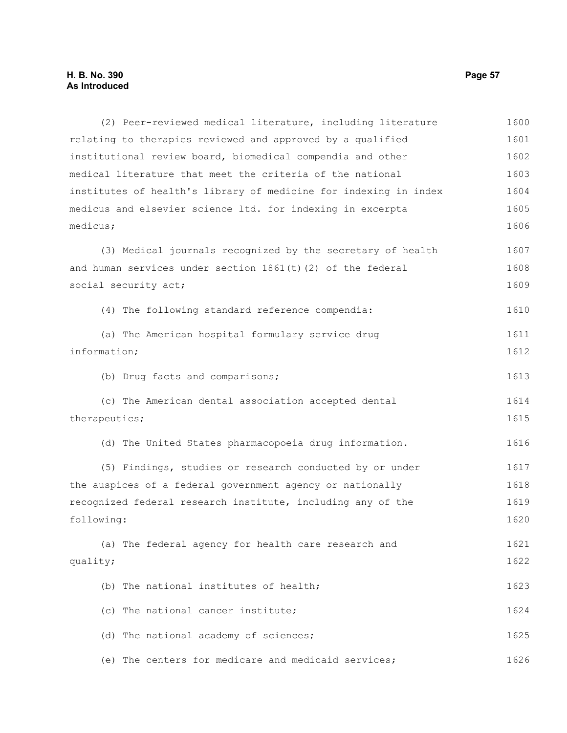(2) Peer-reviewed medical literature, including literature relating to therapies reviewed and approved by a qualified institutional review board, biomedical compendia and other medical literature that meet the criteria of the national institutes of health's library of medicine for indexing in index medicus and elsevier science ltd. for indexing in excerpta medicus; (3) Medical journals recognized by the secretary of health and human services under section  $1861(t)(2)$  of the federal social security act; (4) The following standard reference compendia: (a) The American hospital formulary service drug information; (b) Drug facts and comparisons; (c) The American dental association accepted dental therapeutics; (d) The United States pharmacopoeia drug information. (5) Findings, studies or research conducted by or under the auspices of a federal government agency or nationally recognized federal research institute, including any of the following: (a) The federal agency for health care research and quality; (b) The national institutes of health; (c) The national cancer institute; (d) The national academy of sciences; (e) The centers for medicare and medicaid services; 1600 1601 1602 1603 1604 1605 1606 1607 1608 1609 1610 1611 1612 1613 1614 1615 1616 1617 1618 1619 1620 1621 1622 1623 1624 1625 1626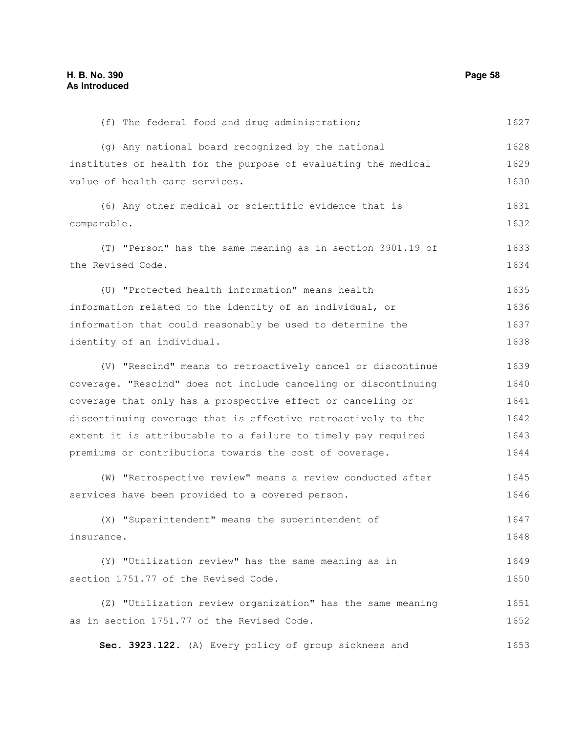(f) The federal food and drug administration; (g) Any national board recognized by the national institutes of health for the purpose of evaluating the medical value of health care services. (6) Any other medical or scientific evidence that is comparable. (T) "Person" has the same meaning as in section 3901.19 of the Revised Code. (U) "Protected health information" means health information related to the identity of an individual, or information that could reasonably be used to determine the identity of an individual. (V) "Rescind" means to retroactively cancel or discontinue coverage. "Rescind" does not include canceling or discontinuing coverage that only has a prospective effect or canceling or discontinuing coverage that is effective retroactively to the extent it is attributable to a failure to timely pay required premiums or contributions towards the cost of coverage. (W) "Retrospective review" means a review conducted after services have been provided to a covered person. (X) "Superintendent" means the superintendent of insurance. (Y) "Utilization review" has the same meaning as in section 1751.77 of the Revised Code. (Z) "Utilization review organization" has the same meaning as in section 1751.77 of the Revised Code. **Sec. 3923.122.** (A) Every policy of group sickness and 1627 1628 1629 1630 1631 1632 1633 1634 1635 1636 1637 1638 1639 1640 1641 1642 1643 1644 1645 1646 1647 1648 1649 1650 1651 1652 1653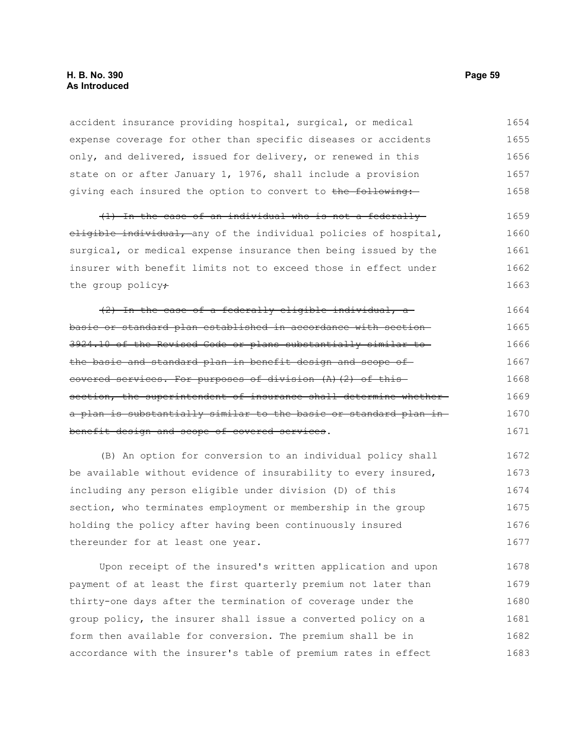accident insurance providing hospital, surgical, or medical expense coverage for other than specific diseases or accidents only, and delivered, issued for delivery, or renewed in this state on or after January 1, 1976, shall include a provision giving each insured the option to convert to the following: 1654 1655 1656 1657 1658

(1) In the case of an individual who is not a federally eligible individual, any of the individual policies of hospital, surgical, or medical expense insurance then being issued by the insurer with benefit limits not to exceed those in effect under the group policy $\ddot{ }$ 1659 1660 1661 1662 1663

(2) In the case of a federally eligible individual, a basic or standard plan established in accordance with section 3924.10 of the Revised Code or plans substantially similar to the basic and standard plan in benefit design and scope of covered services. For purposes of division (A)(2) of this section, the superintendent of insurance shall determine whethera plan is substantially similar to the basic or standard plan in benefit design and scope of covered services. 1664 1665 1666 1667 1668 1669 1670 1671

(B) An option for conversion to an individual policy shall be available without evidence of insurability to every insured, including any person eligible under division (D) of this section, who terminates employment or membership in the group holding the policy after having been continuously insured thereunder for at least one year. 1672 1673 1674 1675 1676 1677

Upon receipt of the insured's written application and upon payment of at least the first quarterly premium not later than thirty-one days after the termination of coverage under the group policy, the insurer shall issue a converted policy on a form then available for conversion. The premium shall be in accordance with the insurer's table of premium rates in effect 1678 1679 1680 1681 1682 1683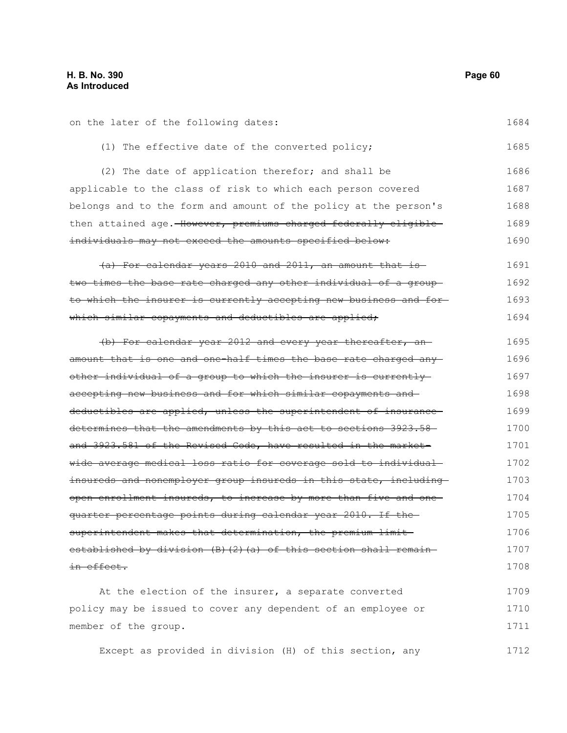#### on the later of the following dates: (1) The effective date of the converted policy; (2) The date of application therefor; and shall be applicable to the class of risk to which each person covered belongs and to the form and amount of the policy at the person's then attained age. However, premiums charged federally eligibleindividuals may not exceed the amounts specified below: (a) For calendar years 2010 and 2011, an amount that is two times the base rate charged any other individual of a group to which the insurer is currently accepting new business and for which similar copayments and deductibles are applied; (b) For calendar year 2012 and every year thereafter, an amount that is one and one-half times the base rate charged anyother individual of a group to which the insurer is currently accepting new business and for which similar copayments and deductibles are applied, unless the superintendent of insurancedetermines that the amendments by this act to sections 3923.58and 3923.581 of the Revised Code, have resulted in the marketwide average medical loss ratio for coverage sold to individual insureds and nonemployer group insureds in this state, including open enrollment insureds, to increase by more than five and one quarter percentage points during calendar year 2010. If the superintendent makes that determination, the premium limitestablished by division  $(B)$   $(2)$   $(a)$  of this section shall remainin effect. At the election of the insurer, a separate converted policy may be issued to cover any dependent of an employee or member of the group. 1684 1685 1686 1687 1688 1689 1690 1691 1692 1693 1694 1695 1696 1697 1698 1699 1700 1701 1702 1703 1704 1705 1706 1707 1708 1709 1710 1711

Except as provided in division (H) of this section, any 1712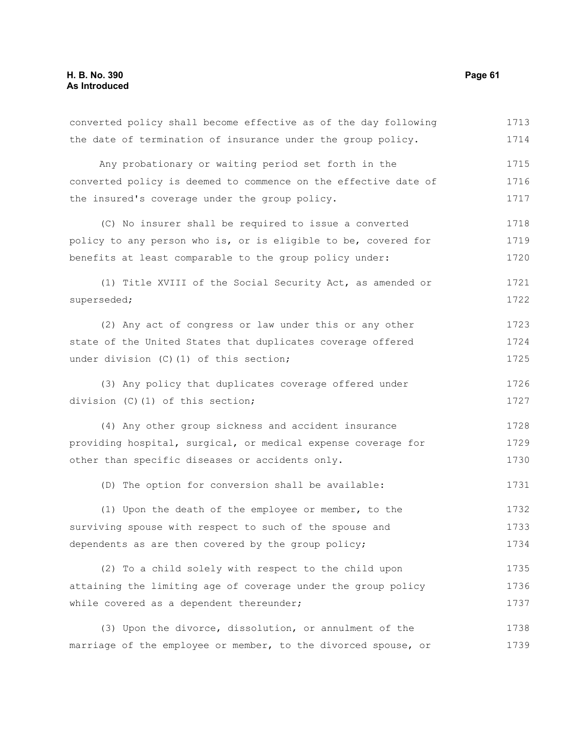converted policy shall become effective as of the day following the date of termination of insurance under the group policy. Any probationary or waiting period set forth in the converted policy is deemed to commence on the effective date of the insured's coverage under the group policy. (C) No insurer shall be required to issue a converted policy to any person who is, or is eligible to be, covered for benefits at least comparable to the group policy under: (1) Title XVIII of the Social Security Act, as amended or superseded; (2) Any act of congress or law under this or any other state of the United States that duplicates coverage offered under division (C)(1) of this section; (3) Any policy that duplicates coverage offered under division (C)(1) of this section; (4) Any other group sickness and accident insurance providing hospital, surgical, or medical expense coverage for other than specific diseases or accidents only. (D) The option for conversion shall be available: (1) Upon the death of the employee or member, to the surviving spouse with respect to such of the spouse and dependents as are then covered by the group policy; (2) To a child solely with respect to the child upon attaining the limiting age of coverage under the group policy while covered as a dependent thereunder; (3) Upon the divorce, dissolution, or annulment of the marriage of the employee or member, to the divorced spouse, or 1713 1714 1715 1716 1717 1718 1719 1720 1721 1722 1723 1724 1725 1726 1727 1728 1729 1730 1731 1732 1733 1734 1735 1736 1737 1738 1739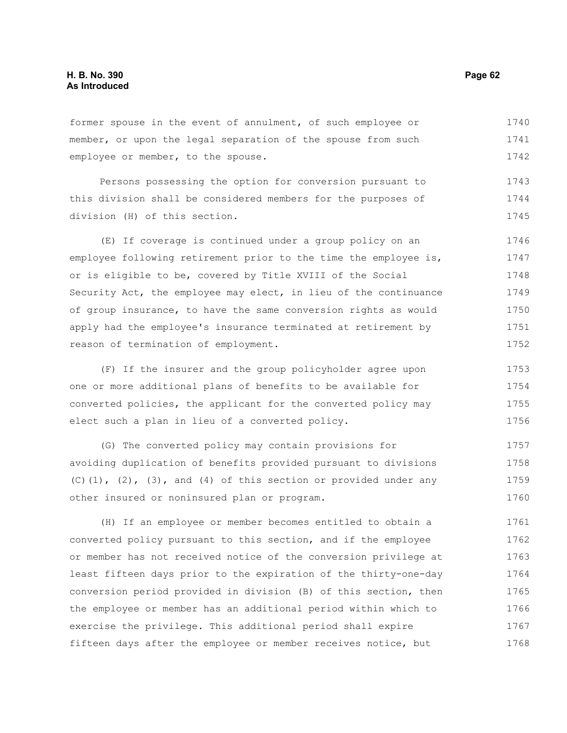former spouse in the event of annulment, of such employee or member, or upon the legal separation of the spouse from such employee or member, to the spouse. 1740 1741 1742

Persons possessing the option for conversion pursuant to this division shall be considered members for the purposes of division (H) of this section. 1743 1744 1745

(E) If coverage is continued under a group policy on an employee following retirement prior to the time the employee is, or is eligible to be, covered by Title XVIII of the Social Security Act, the employee may elect, in lieu of the continuance of group insurance, to have the same conversion rights as would apply had the employee's insurance terminated at retirement by reason of termination of employment. 1746 1747 1748 1749 1750 1751 1752

(F) If the insurer and the group policyholder agree upon one or more additional plans of benefits to be available for converted policies, the applicant for the converted policy may elect such a plan in lieu of a converted policy. 1753 1754 1755 1756

(G) The converted policy may contain provisions for avoiding duplication of benefits provided pursuant to divisions  $(C)$ (1), (2), (3), and (4) of this section or provided under any other insured or noninsured plan or program. 1757 1758 1759 1760

(H) If an employee or member becomes entitled to obtain a converted policy pursuant to this section, and if the employee or member has not received notice of the conversion privilege at least fifteen days prior to the expiration of the thirty-one-day conversion period provided in division (B) of this section, then the employee or member has an additional period within which to exercise the privilege. This additional period shall expire fifteen days after the employee or member receives notice, but 1761 1762 1763 1764 1765 1766 1767 1768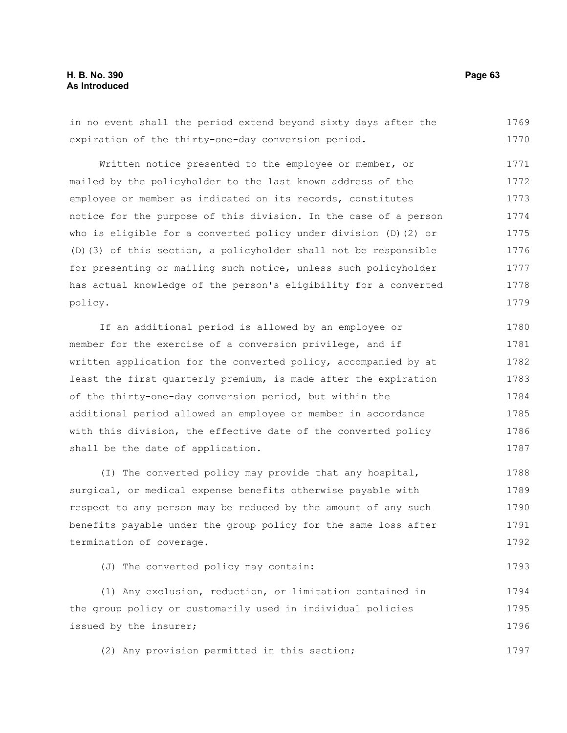in no event shall the period extend beyond sixty days after the expiration of the thirty-one-day conversion period. 1769 1770

Written notice presented to the employee or member, or mailed by the policyholder to the last known address of the employee or member as indicated on its records, constitutes notice for the purpose of this division. In the case of a person who is eligible for a converted policy under division (D)(2) or (D)(3) of this section, a policyholder shall not be responsible for presenting or mailing such notice, unless such policyholder has actual knowledge of the person's eligibility for a converted policy. 1771 1772 1773 1774 1775 1776 1777 1778 1779

If an additional period is allowed by an employee or member for the exercise of a conversion privilege, and if written application for the converted policy, accompanied by at least the first quarterly premium, is made after the expiration of the thirty-one-day conversion period, but within the additional period allowed an employee or member in accordance with this division, the effective date of the converted policy shall be the date of application. 1780 1781 1782 1783 1784 1785 1786 1787

(I) The converted policy may provide that any hospital, surgical, or medical expense benefits otherwise payable with respect to any person may be reduced by the amount of any such benefits payable under the group policy for the same loss after termination of coverage. 1788 1789 1790 1791 1792

```
(J) The converted policy may contain:
                                                           1793
```
(1) Any exclusion, reduction, or limitation contained in the group policy or customarily used in individual policies issued by the insurer; 1794 1795 1796

(2) Any provision permitted in this section; 1797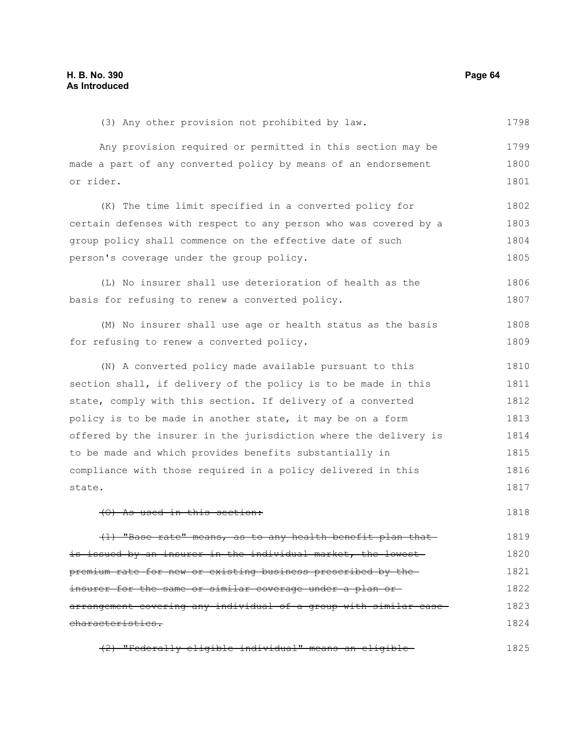1798

| Any provision required or permitted in this section may be        | 1799 |
|-------------------------------------------------------------------|------|
| made a part of any converted policy by means of an endorsement    | 1800 |
| or rider.                                                         | 1801 |
| (K) The time limit specified in a converted policy for            | 1802 |
| certain defenses with respect to any person who was covered by a  | 1803 |
| group policy shall commence on the effective date of such         | 1804 |
| person's coverage under the group policy.                         | 1805 |
| (L) No insurer shall use deterioration of health as the           | 1806 |
| basis for refusing to renew a converted policy.                   | 1807 |
| (M) No insurer shall use age or health status as the basis        | 1808 |
| for refusing to renew a converted policy.                         | 1809 |
| (N) A converted policy made available pursuant to this            | 1810 |
| section shall, if delivery of the policy is to be made in this    | 1811 |
| state, comply with this section. If delivery of a converted       | 1812 |
| policy is to be made in another state, it may be on a form        | 1813 |
| offered by the insurer in the jurisdiction where the delivery is  | 1814 |
| to be made and which provides benefits substantially in           | 1815 |
| compliance with those required in a policy delivered in this      | 1816 |
| state.                                                            | 1817 |
| <del>(O) As used in this secti</del>                              | 1818 |
| (1) "Base rate" means, as to any health benefit plan that         | 1819 |
| issued by an insurer in the individual market, the lowest         | 1820 |
| premium rate for new or existing business prescribed by the-      | 1821 |
| insurer for the same or similar coverage under a plan or-         | 1822 |
| arrangement covering any individual of a group with similar case- | 1823 |
| characteristics.                                                  | 1824 |
| (2) "Federally eligible individual" means an eligible-            | 1825 |

(3) Any other provision not prohibited by law.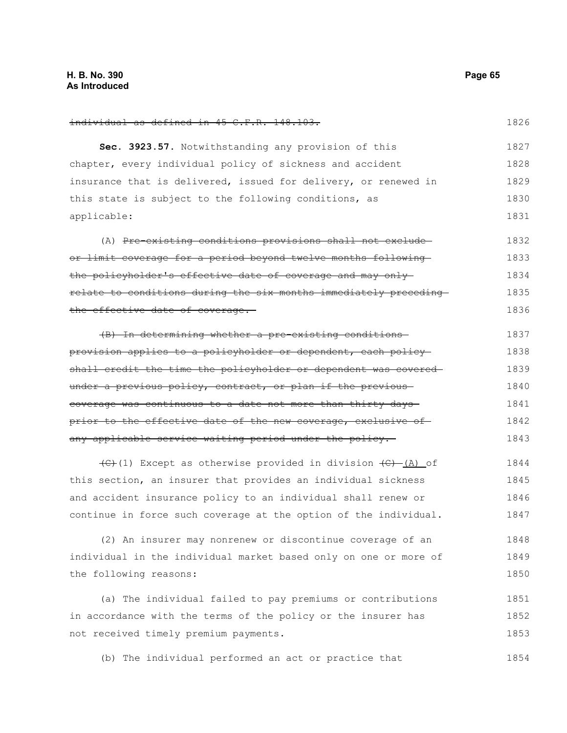#### individual as defined in 45 C.F.R. 148.103.

1826

**Sec. 3923.57.** Notwithstanding any provision of this chapter, every individual policy of sickness and accident insurance that is delivered, issued for delivery, or renewed in this state is subject to the following conditions, as applicable: 1827 1828 1829 1830 1831

(A) Pre-existing conditions provisions shall not excludeor limit coverage for a period beyond twelve months following the policyholder's effective date of coverage and may only relate to conditions during the six months immediately preceding the effective date of coverage. 1832 1833 1834 1835 1836

(B) In determining whether a pre-existing conditions provision applies to a policyholder or dependent, each policy shall credit the time the policyholder or dependent was coveredunder a previous policy, contract, or plan if the previouscoverage was continuous to a date not more than thirty days prior to the effective date of the new coverage, exclusive of any applicable service waiting period under the policy. 1837 1838 1839 1840 1841 1842 1843

 $\left(\frac{C}{C}\right)$ (1) Except as otherwise provided in division  $\left(\frac{C}{C}\right)$  (A) of this section, an insurer that provides an individual sickness and accident insurance policy to an individual shall renew or continue in force such coverage at the option of the individual. 1844 1845 1846 1847

(2) An insurer may nonrenew or discontinue coverage of an individual in the individual market based only on one or more of the following reasons: 1848 1849 1850

(a) The individual failed to pay premiums or contributions in accordance with the terms of the policy or the insurer has not received timely premium payments. 1851 1852 1853

(b) The individual performed an act or practice that 1854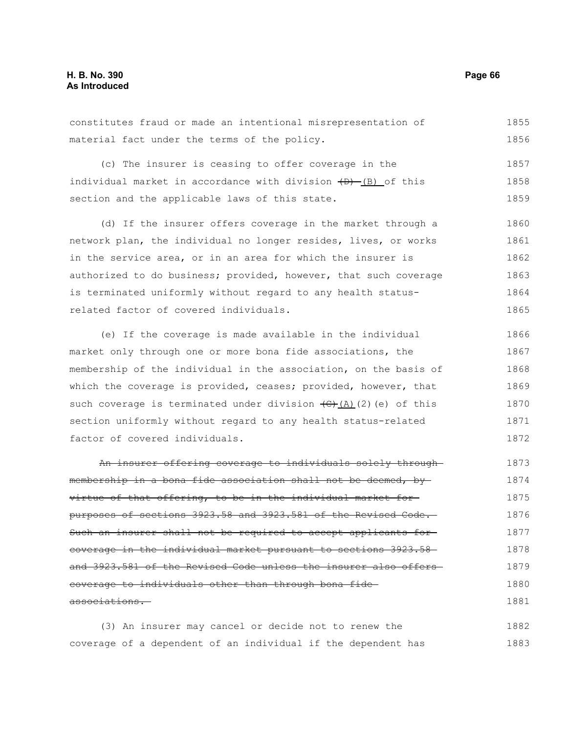constitutes fraud or made an intentional misrepresentation of material fact under the terms of the policy. 1855 1856

(c) The insurer is ceasing to offer coverage in the individual market in accordance with division  $(D)$  (B) of this section and the applicable laws of this state. 1857 1858 1859

(d) If the insurer offers coverage in the market through a network plan, the individual no longer resides, lives, or works in the service area, or in an area for which the insurer is authorized to do business; provided, however, that such coverage is terminated uniformly without regard to any health statusrelated factor of covered individuals. 1860 1861 1862 1863 1864 1865

(e) If the coverage is made available in the individual market only through one or more bona fide associations, the membership of the individual in the association, on the basis of which the coverage is provided, ceases; provided, however, that such coverage is terminated under division  $\left(\frac{C}{A}\right)(2)$  (e) of this section uniformly without regard to any health status-related factor of covered individuals. 1866 1867 1868 1869 1870 1871 1872

An insurer offering coverage to individuals solely through membership in a bona fide association shall not be deemed, by virtue of that offering, to be in the individual market for purposes of sections 3923.58 and 3923.581 of the Revised Code. Such an insurer shall not be required to accept applicants forcoverage in the individual market pursuant to sections 3923.58 and 3923.581 of the Revised Code unless the insurer also offers coverage to individuals other than through bona fide associations. 1873 1874 1875 1876 1877 1878 1879 1880 1881

(3) An insurer may cancel or decide not to renew the coverage of a dependent of an individual if the dependent has 1882 1883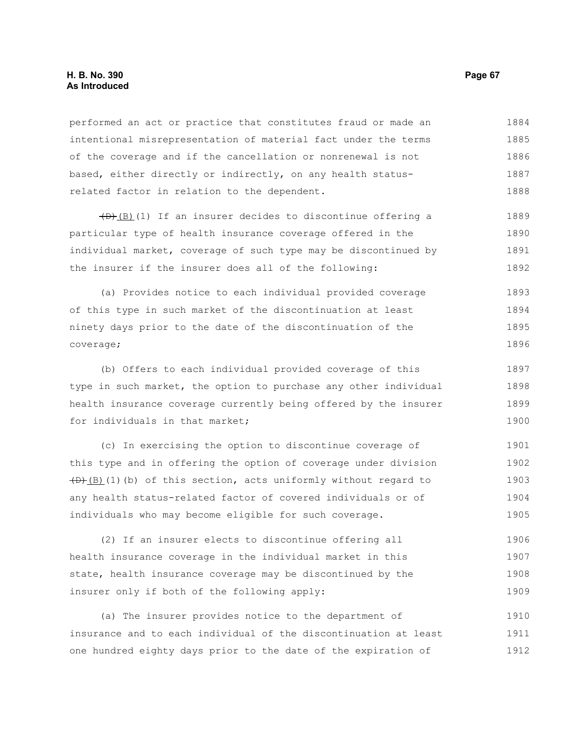# **H. B. No. 390 Page 67 As Introduced**

performed an act or practice that constitutes fraud or made an intentional misrepresentation of material fact under the terms of the coverage and if the cancellation or nonrenewal is not based, either directly or indirectly, on any health statusrelated factor in relation to the dependent. 1884 1885 1886 1887 1888

 $(D+(B)(1))$  If an insurer decides to discontinue offering a particular type of health insurance coverage offered in the individual market, coverage of such type may be discontinued by the insurer if the insurer does all of the following: 1889 1890 1891 1892

(a) Provides notice to each individual provided coverage of this type in such market of the discontinuation at least ninety days prior to the date of the discontinuation of the coverage; 1893 1894 1895 1896

(b) Offers to each individual provided coverage of this type in such market, the option to purchase any other individual health insurance coverage currently being offered by the insurer for individuals in that market; 1897 1898 1899 1900

(c) In exercising the option to discontinue coverage of this type and in offering the option of coverage under division  $(D+(B)(1)(b)$  of this section, acts uniformly without regard to any health status-related factor of covered individuals or of individuals who may become eligible for such coverage. 1901 1902 1903 1904 1905

(2) If an insurer elects to discontinue offering all health insurance coverage in the individual market in this state, health insurance coverage may be discontinued by the insurer only if both of the following apply: 1906 1907 1908 1909

(a) The insurer provides notice to the department of insurance and to each individual of the discontinuation at least one hundred eighty days prior to the date of the expiration of 1910 1911 1912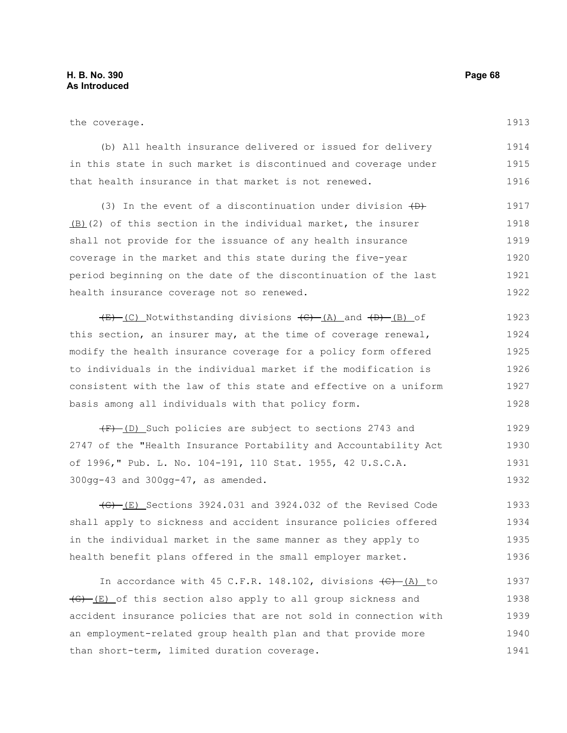the coverage.

(b) All health insurance delivered or issued for delivery in this state in such market is discontinued and coverage under that health insurance in that market is not renewed. 1914 1915 1916

(3) In the event of a discontinuation under division  $\overline{(+)}$ (B)(2) of this section in the individual market, the insurer shall not provide for the issuance of any health insurance coverage in the market and this state during the five-year period beginning on the date of the discontinuation of the last health insurance coverage not so renewed. 1917 1918 1919 1920 1921 1922

 $(E)$  (C) Notwithstanding divisions  $(E)$  (A) and  $(D)$  (B) of this section, an insurer may, at the time of coverage renewal, modify the health insurance coverage for a policy form offered to individuals in the individual market if the modification is consistent with the law of this state and effective on a uniform basis among all individuals with that policy form. 1923 1924 1925 1926 1927 1928

 $(F)$  (D) Such policies are subject to sections 2743 and 2747 of the "Health Insurance Portability and Accountability Act of 1996," Pub. L. No. 104-191, 110 Stat. 1955, 42 U.S.C.A. 300gg-43 and 300gg-47, as amended. 1929 1930 1931 1932

 $\left(\frac{1}{6}\right)$  (E) Sections 3924.031 and 3924.032 of the Revised Code shall apply to sickness and accident insurance policies offered in the individual market in the same manner as they apply to health benefit plans offered in the small employer market. 1933 1934 1935 1936

In accordance with 45 C.F.R. 148.102, divisions  $\left(\theta\right)$  (A) to  $\overline{(G)}$  (E) of this section also apply to all group sickness and accident insurance policies that are not sold in connection with an employment-related group health plan and that provide more than short-term, limited duration coverage. 1937 1938 1939 1940 1941

1913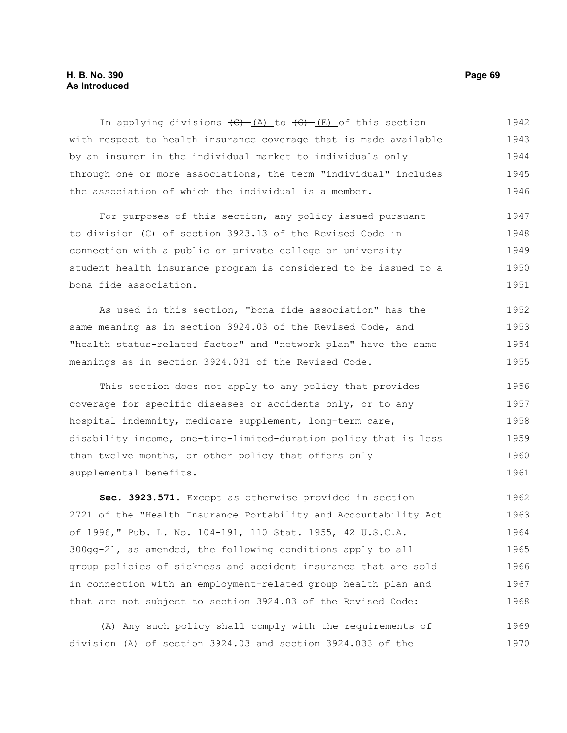# **H. B. No. 390 Page 69 As Introduced**

In applying divisions  $\overline{(C) - (A)}$  to  $\overline{(G) - (E)}$  of this section with respect to health insurance coverage that is made available by an insurer in the individual market to individuals only through one or more associations, the term "individual" includes the association of which the individual is a member. 1942 1943 1944 1945 1946

For purposes of this section, any policy issued pursuant to division (C) of section 3923.13 of the Revised Code in connection with a public or private college or university student health insurance program is considered to be issued to a bona fide association. 1947 1948 1949 1950 1951

As used in this section, "bona fide association" has the same meaning as in section 3924.03 of the Revised Code, and "health status-related factor" and "network plan" have the same meanings as in section 3924.031 of the Revised Code. 1952 1953 1954 1955

This section does not apply to any policy that provides coverage for specific diseases or accidents only, or to any hospital indemnity, medicare supplement, long-term care, disability income, one-time-limited-duration policy that is less than twelve months, or other policy that offers only supplemental benefits. 1956 1957 1958 1959 1960 1961

**Sec. 3923.571.** Except as otherwise provided in section 2721 of the "Health Insurance Portability and Accountability Act of 1996," Pub. L. No. 104-191, 110 Stat. 1955, 42 U.S.C.A. 300gg-21, as amended, the following conditions apply to all group policies of sickness and accident insurance that are sold in connection with an employment-related group health plan and that are not subject to section 3924.03 of the Revised Code: 1962 1963 1964 1965 1966 1967 1968

(A) Any such policy shall comply with the requirements of division (A) of section 3924.03 and section 3924.033 of the 1969 1970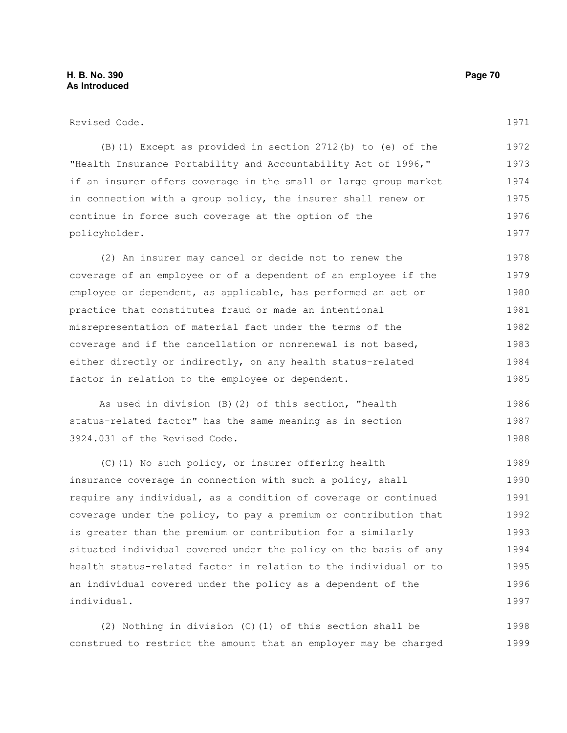Revised Code.

(B)(1) Except as provided in section 2712(b) to (e) of the "Health Insurance Portability and Accountability Act of 1996," if an insurer offers coverage in the small or large group market in connection with a group policy, the insurer shall renew or continue in force such coverage at the option of the policyholder. 1972 1973 1974 1975 1976 1977

(2) An insurer may cancel or decide not to renew the coverage of an employee or of a dependent of an employee if the employee or dependent, as applicable, has performed an act or practice that constitutes fraud or made an intentional misrepresentation of material fact under the terms of the coverage and if the cancellation or nonrenewal is not based, either directly or indirectly, on any health status-related factor in relation to the employee or dependent. 1978 1979 1980 1981 1982 1983 1984 1985

As used in division (B)(2) of this section, "health status-related factor" has the same meaning as in section 3924.031 of the Revised Code. 1986 1987 1988

(C)(1) No such policy, or insurer offering health insurance coverage in connection with such a policy, shall require any individual, as a condition of coverage or continued coverage under the policy, to pay a premium or contribution that is greater than the premium or contribution for a similarly situated individual covered under the policy on the basis of any health status-related factor in relation to the individual or to an individual covered under the policy as a dependent of the individual. 1989 1990 1991 1992 1993 1994 1995 1996 1997

(2) Nothing in division (C)(1) of this section shall be construed to restrict the amount that an employer may be charged 1998 1999

1971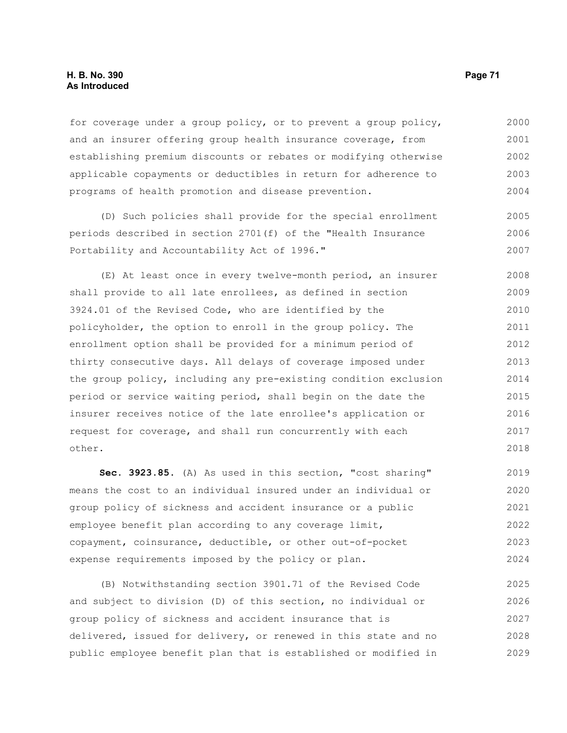### **H. B. No. 390 Page 71 As Introduced**

for coverage under a group policy, or to prevent a group policy, and an insurer offering group health insurance coverage, from establishing premium discounts or rebates or modifying otherwise applicable copayments or deductibles in return for adherence to programs of health promotion and disease prevention. 2000 2001 2002 2003 2004

(D) Such policies shall provide for the special enrollment periods described in section 2701(f) of the "Health Insurance Portability and Accountability Act of 1996." 2005 2006 2007

(E) At least once in every twelve-month period, an insurer shall provide to all late enrollees, as defined in section 3924.01 of the Revised Code, who are identified by the policyholder, the option to enroll in the group policy. The enrollment option shall be provided for a minimum period of thirty consecutive days. All delays of coverage imposed under the group policy, including any pre-existing condition exclusion period or service waiting period, shall begin on the date the insurer receives notice of the late enrollee's application or request for coverage, and shall run concurrently with each other. 2008 2009 2010 2011 2012 2013 2014 2015 2016 2017 2018

**Sec. 3923.85.** (A) As used in this section, "cost sharing" means the cost to an individual insured under an individual or group policy of sickness and accident insurance or a public employee benefit plan according to any coverage limit, copayment, coinsurance, deductible, or other out-of-pocket expense requirements imposed by the policy or plan. 2019 2020 2021 2022 2023 2024

(B) Notwithstanding section 3901.71 of the Revised Code and subject to division (D) of this section, no individual or group policy of sickness and accident insurance that is delivered, issued for delivery, or renewed in this state and no public employee benefit plan that is established or modified in 2025 2026 2027 2028 2029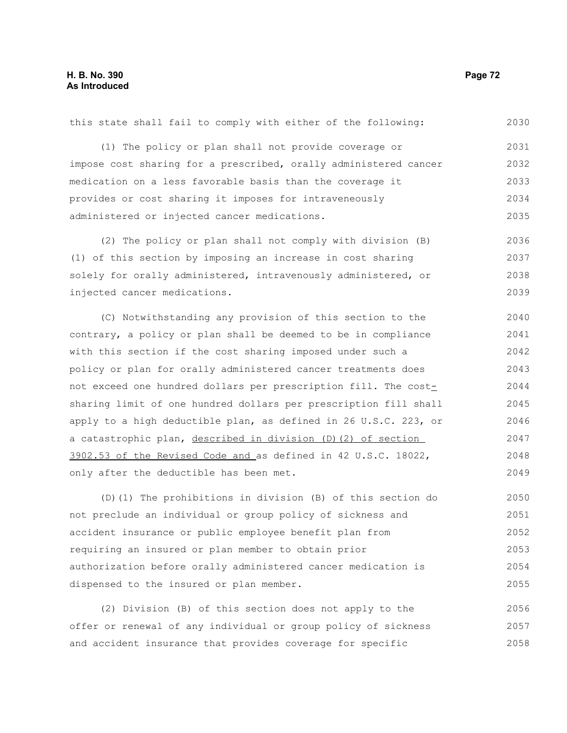injected cancer medications.

| this state shall fail to comply with either of the following:    | 2030 |
|------------------------------------------------------------------|------|
| (1) The policy or plan shall not provide coverage or             | 2031 |
| impose cost sharing for a prescribed, orally administered cancer | 2032 |
| medication on a less favorable basis than the coverage it        | 2033 |
| provides or cost sharing it imposes for intraveneously           | 2034 |
| administered or injected cancer medications.                     | 2035 |
| (2) The policy or plan shall not comply with division (B)        | 2036 |
| (1) of this section by imposing an increase in cost sharing      | 2037 |
| solely for orally administered, intravenously administered, or   | 2038 |

(C) Notwithstanding any provision of this section to the contrary, a policy or plan shall be deemed to be in compliance with this section if the cost sharing imposed under such a policy or plan for orally administered cancer treatments does not exceed one hundred dollars per prescription fill. The costsharing limit of one hundred dollars per prescription fill shall apply to a high deductible plan, as defined in 26 U.S.C. 223, or a catastrophic plan, described in division (D)(2) of section 3902.53 of the Revised Code and as defined in 42 U.S.C. 18022, only after the deductible has been met. 2040 2041 2042 2043 2044 2045 2046 2047 2048 2049

(D)(1) The prohibitions in division (B) of this section do not preclude an individual or group policy of sickness and accident insurance or public employee benefit plan from requiring an insured or plan member to obtain prior authorization before orally administered cancer medication is dispensed to the insured or plan member. 2050 2051 2052 2053 2054 2055

(2) Division (B) of this section does not apply to the offer or renewal of any individual or group policy of sickness and accident insurance that provides coverage for specific 2056 2057 2058

2039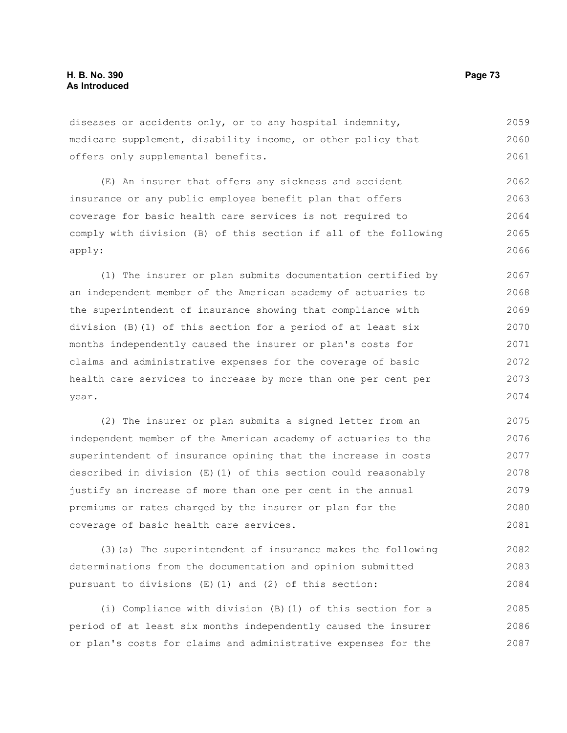diseases or accidents only, or to any hospital indemnity, medicare supplement, disability income, or other policy that offers only supplemental benefits. 2059 2060 2061

(E) An insurer that offers any sickness and accident insurance or any public employee benefit plan that offers coverage for basic health care services is not required to comply with division (B) of this section if all of the following apply: 2062 2063 2064 2065 2066

(1) The insurer or plan submits documentation certified by an independent member of the American academy of actuaries to the superintendent of insurance showing that compliance with division (B)(1) of this section for a period of at least six months independently caused the insurer or plan's costs for claims and administrative expenses for the coverage of basic health care services to increase by more than one per cent per year. 2067 2068 2069 2070 2071 2072 2073 2074

(2) The insurer or plan submits a signed letter from an independent member of the American academy of actuaries to the superintendent of insurance opining that the increase in costs described in division (E)(1) of this section could reasonably justify an increase of more than one per cent in the annual premiums or rates charged by the insurer or plan for the coverage of basic health care services. 2075 2076 2077 2078 2079 2080 2081

(3)(a) The superintendent of insurance makes the following determinations from the documentation and opinion submitted pursuant to divisions (E)(1) and (2) of this section: 2082 2083 2084

(i) Compliance with division (B)(1) of this section for a period of at least six months independently caused the insurer or plan's costs for claims and administrative expenses for the 2085 2086 2087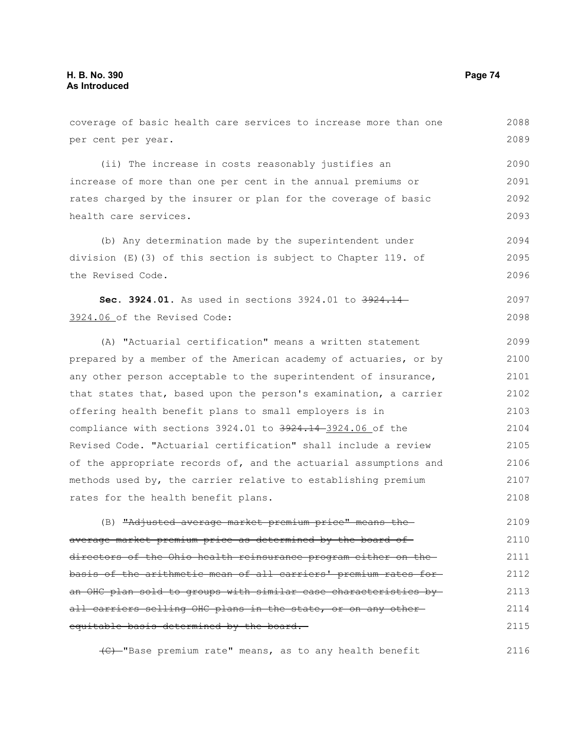per cent per year.

the Revised Code.

coverage of basic health care services to increase more than one (ii) The increase in costs reasonably justifies an increase of more than one per cent in the annual premiums or rates charged by the insurer or plan for the coverage of basic health care services. (b) Any determination made by the superintendent under division (E)(3) of this section is subject to Chapter 119. of **Sec. 3924.01.** As used in sections 3924.01 to 3924.14 3924.06 of the Revised Code: 2089 2090 2091 2092 2093 2094 2095 2096 2097 2098

(A) "Actuarial certification" means a written statement prepared by a member of the American academy of actuaries, or by any other person acceptable to the superintendent of insurance, that states that, based upon the person's examination, a carrier offering health benefit plans to small employers is in compliance with sections 3924.01 to 3924.14 3924.06 of the Revised Code. "Actuarial certification" shall include a review of the appropriate records of, and the actuarial assumptions and methods used by, the carrier relative to establishing premium rates for the health benefit plans. 2099 2100 2101 2102 2103 2104 2105 2106 2107 2108

(B) "Adjusted average market premium price" means the average market premium price as determined by the board of directors of the Ohio health reinsurance program either on the basis of the arithmetic mean of all carriers' premium rates for an OHC plan sold to groups with similar case characteristics byall carriers selling OHC plans in the state, or on any otherequitable basis determined by the board. 2109 2110 2111 2112 2113 2114 2115

(C) "Base premium rate" means, as to any health benefit 2116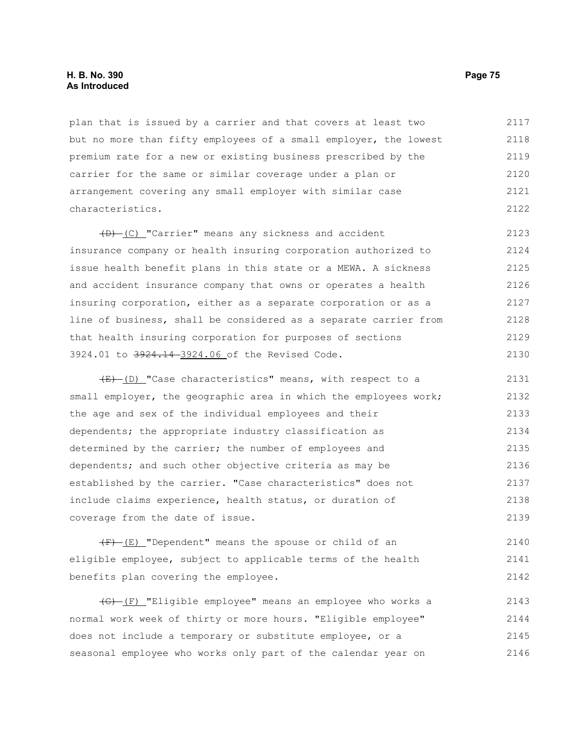## **H. B. No. 390 Page 75 As Introduced**

plan that is issued by a carrier and that covers at least two but no more than fifty employees of a small employer, the lowest premium rate for a new or existing business prescribed by the carrier for the same or similar coverage under a plan or arrangement covering any small employer with similar case characteristics. 2117 2118 2119 2120 2121 2122

(D) (C) "Carrier" means any sickness and accident insurance company or health insuring corporation authorized to issue health benefit plans in this state or a MEWA. A sickness and accident insurance company that owns or operates a health insuring corporation, either as a separate corporation or as a line of business, shall be considered as a separate carrier from that health insuring corporation for purposes of sections 3924.01 to 3924.14 3924.06 of the Revised Code. 2123 2124 2125 2126 2127 2128 2129 2130

 $(E)$  (D) "Case characteristics" means, with respect to a small employer, the geographic area in which the employees work; the age and sex of the individual employees and their dependents; the appropriate industry classification as determined by the carrier; the number of employees and dependents; and such other objective criteria as may be established by the carrier. "Case characteristics" does not include claims experience, health status, or duration of coverage from the date of issue. 2131 2132 2133 2134 2135 2136 2137 2138 2139

(F) (E) "Dependent" means the spouse or child of an eligible employee, subject to applicable terms of the health benefits plan covering the employee. 2140 2141 2142

(G) (F) "Eligible employee" means an employee who works a normal work week of thirty or more hours. "Eligible employee" does not include a temporary or substitute employee, or a seasonal employee who works only part of the calendar year on 2143 2144 2145 2146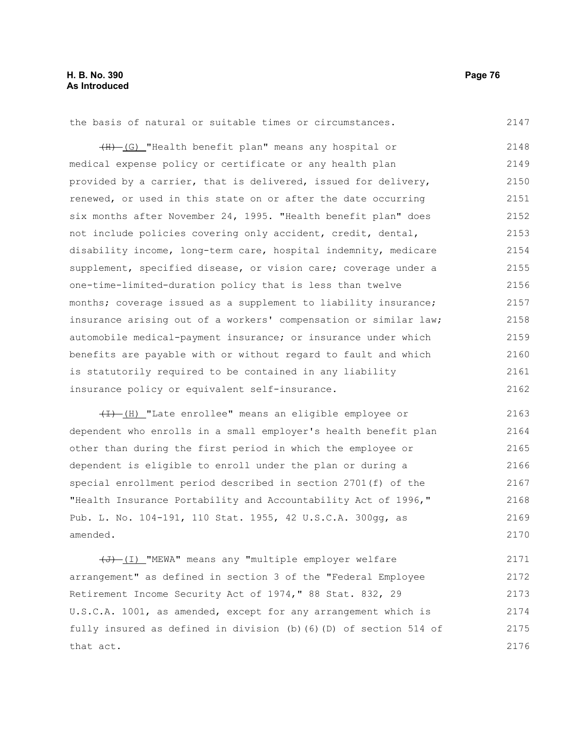the basis of natural or suitable times or circumstances. 2147

(H) (G) "Health benefit plan" means any hospital or medical expense policy or certificate or any health plan provided by a carrier, that is delivered, issued for delivery, renewed, or used in this state on or after the date occurring six months after November 24, 1995. "Health benefit plan" does not include policies covering only accident, credit, dental, disability income, long-term care, hospital indemnity, medicare supplement, specified disease, or vision care; coverage under a one-time-limited-duration policy that is less than twelve months; coverage issued as a supplement to liability insurance; insurance arising out of a workers' compensation or similar law; automobile medical-payment insurance; or insurance under which benefits are payable with or without regard to fault and which is statutorily required to be contained in any liability insurance policy or equivalent self-insurance. 2148 2149 2150 2151 2152 2153 2154 2155 2156 2157 2158 2159 2160 2161 2162

 $(H)$  "Late enrollee" means an eligible employee or dependent who enrolls in a small employer's health benefit plan other than during the first period in which the employee or dependent is eligible to enroll under the plan or during a special enrollment period described in section 2701(f) of the "Health Insurance Portability and Accountability Act of 1996," Pub. L. No. 104-191, 110 Stat. 1955, 42 U.S.C.A. 300gg, as amended. 2163 2164 2165 2166 2167 2168 2169 2170

 $(\overline{J} - (I)$  "MEWA" means any "multiple employer welfare arrangement" as defined in section 3 of the "Federal Employee Retirement Income Security Act of 1974," 88 Stat. 832, 29 U.S.C.A. 1001, as amended, except for any arrangement which is fully insured as defined in division (b)(6)(D) of section 514 of that act. 2171 2172 2173 2174 2175 2176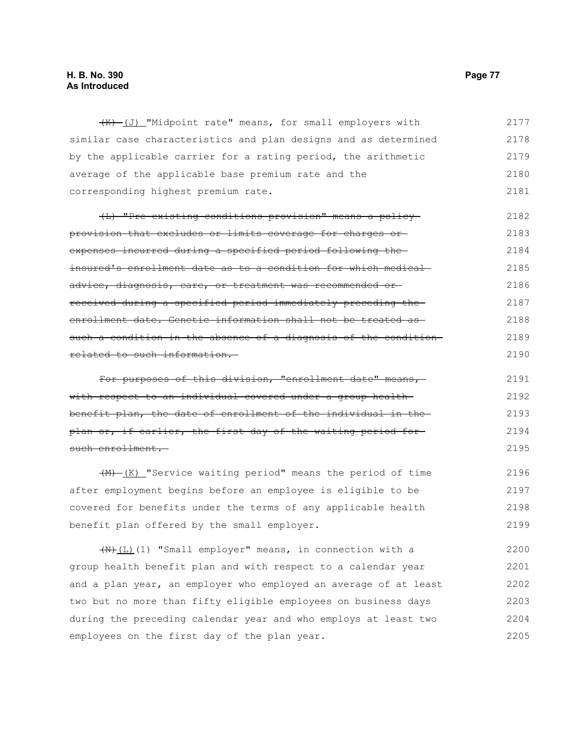## **H. B. No. 390 Page 77 As Introduced**

(K) (J) "Midpoint rate" means, for small employers with similar case characteristics and plan designs and as determined by the applicable carrier for a rating period, the arithmetic average of the applicable base premium rate and the corresponding highest premium rate. 2177 2178 2179 2180 2181

(L) "Pre-existing conditions provision" means a policy provision that excludes or limits coverage for charges or expenses incurred during a specified period following the insured's enrollment date as to a condition for which medical advice, diagnosis, care, or treatment was recommended or received during a specified period immediately preceding the enrollment date. Genetic information shall not be treated as such a condition in the absence of a diagnosis of the condition related to such information. 2182 2183 2184 2185 2186 2187 2188 2189 2190

For purposes of this division, "enrollment date" means, with respect to an individual covered under a group health benefit plan, the date of enrollment of the individual in the plan or, if earlier, the first day of the waiting period for such enrollment. 2191 2192 2193 2194 2195

(M) (K) "Service waiting period" means the period of time after employment begins before an employee is eligible to be covered for benefits under the terms of any applicable health benefit plan offered by the small employer. 2196 2197 2198 2199

 $(W+L)(1)$  "Small employer" means, in connection with a group health benefit plan and with respect to a calendar year and a plan year, an employer who employed an average of at least two but no more than fifty eligible employees on business days during the preceding calendar year and who employs at least two employees on the first day of the plan year. 2200 2201 2202 2203 2204 2205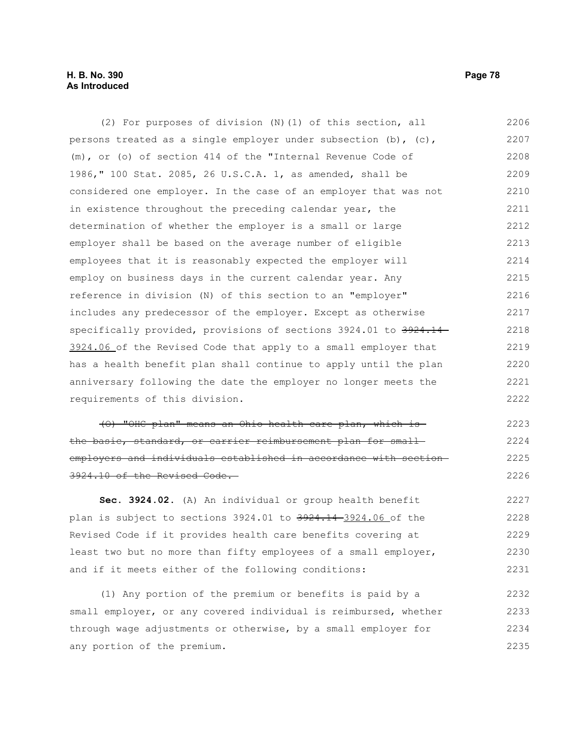(2) For purposes of division (N)(1) of this section, all persons treated as a single employer under subsection  $(b)$ ,  $(c)$ , (m), or (o) of section 414 of the "Internal Revenue Code of 1986," 100 Stat. 2085, 26 U.S.C.A. 1, as amended, shall be considered one employer. In the case of an employer that was not in existence throughout the preceding calendar year, the determination of whether the employer is a small or large employer shall be based on the average number of eligible employees that it is reasonably expected the employer will employ on business days in the current calendar year. Any reference in division (N) of this section to an "employer" includes any predecessor of the employer. Except as otherwise specifically provided, provisions of sections 3924.01 to 3924.14 3924.06 of the Revised Code that apply to a small employer that has a health benefit plan shall continue to apply until the plan anniversary following the date the employer no longer meets the requirements of this division. 2206 2207 2208 2209 2210 2211 2212 2213 2214 2215 2216 2217 2218 2219 2220 2221 2222

(O) "OHC plan" means an Ohio health care plan, which is the basic, standard, or carrier reimbursement plan for small employers and individuals established in accordance with section 3924.10 of the Revised Code. 2223 2224 2225 2226

**Sec. 3924.02.** (A) An individual or group health benefit plan is subject to sections 3924.01 to 3924.14-3924.06 of the Revised Code if it provides health care benefits covering at least two but no more than fifty employees of a small employer, and if it meets either of the following conditions: 2227 2228 2229 2230 2231

(1) Any portion of the premium or benefits is paid by a small employer, or any covered individual is reimbursed, whether through wage adjustments or otherwise, by a small employer for any portion of the premium. 2232 2233 2234 2235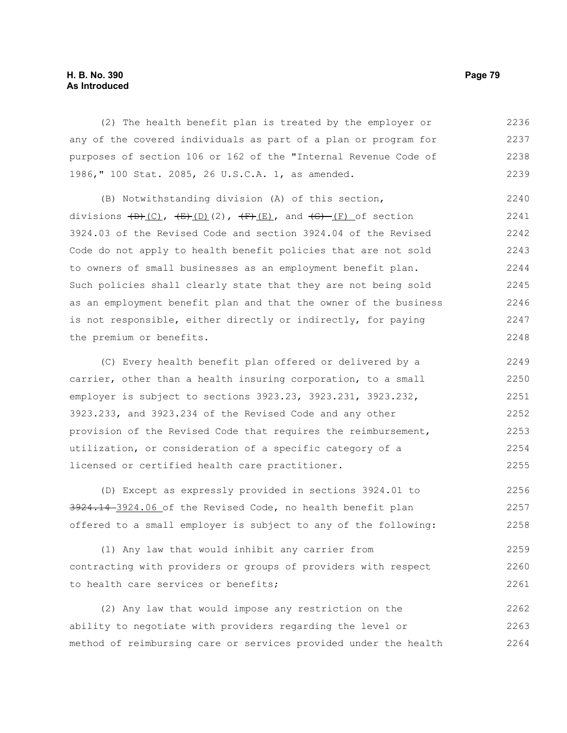## **H. B. No. 390 Page 79 As Introduced**

(2) The health benefit plan is treated by the employer or any of the covered individuals as part of a plan or program for purposes of section 106 or 162 of the "Internal Revenue Code of 1986," 100 Stat. 2085, 26 U.S.C.A. 1, as amended. 2236 2237 2238 2239

(B) Notwithstanding division (A) of this section, divisions  $(D)$  (C),  $(E)$  (D)(2),  $(F)$  (E), and  $(G)$  (F) of section 3924.03 of the Revised Code and section 3924.04 of the Revised Code do not apply to health benefit policies that are not sold to owners of small businesses as an employment benefit plan. Such policies shall clearly state that they are not being sold as an employment benefit plan and that the owner of the business is not responsible, either directly or indirectly, for paying the premium or benefits. 2240 2241 2242 2243 2244 2245 2246 2247 2248

(C) Every health benefit plan offered or delivered by a carrier, other than a health insuring corporation, to a small employer is subject to sections 3923.23, 3923.231, 3923.232, 3923.233, and 3923.234 of the Revised Code and any other provision of the Revised Code that requires the reimbursement, utilization, or consideration of a specific category of a licensed or certified health care practitioner. 2249 2250 2251 2252 2253 2254 2255

(D) Except as expressly provided in sections 3924.01 to 3924.14 3924.06 of the Revised Code, no health benefit plan offered to a small employer is subject to any of the following: 2256 2257 2258

(1) Any law that would inhibit any carrier from contracting with providers or groups of providers with respect to health care services or benefits; 2259 2260 2261

(2) Any law that would impose any restriction on the ability to negotiate with providers regarding the level or method of reimbursing care or services provided under the health 2262 2263 2264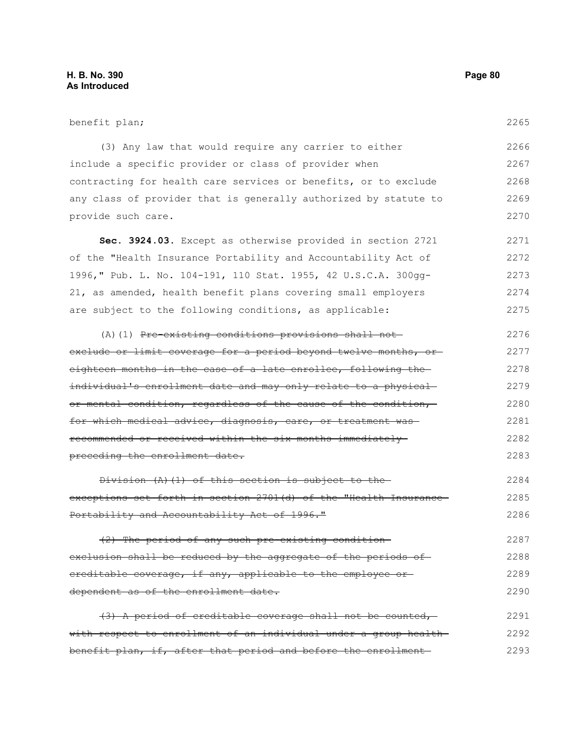| benefit plan;                                                     | 2265 |
|-------------------------------------------------------------------|------|
| (3) Any law that would require any carrier to either              | 2266 |
| include a specific provider or class of provider when             | 2267 |
| contracting for health care services or benefits, or to exclude   | 2268 |
| any class of provider that is generally authorized by statute to  | 2269 |
| provide such care.                                                | 2270 |
| Sec. 3924.03. Except as otherwise provided in section 2721        | 2271 |
| of the "Health Insurance Portability and Accountability Act of    | 2272 |
| 1996, "Pub. L. No. 104-191, 110 Stat. 1955, 42 U.S.C.A. 300gg-    | 2273 |
| 21, as amended, health benefit plans covering small employers     | 2274 |
| are subject to the following conditions, as applicable:           | 2275 |
| $(A)$ (1) Pre-existing conditions provisions shall not-           | 2276 |
| exclude or limit coverage for a period beyond twelve months, or   | 2277 |
| eighteen months in the case of a late enrollee, following the     | 2278 |
| individual's enrollment date and may only relate to a physical-   | 2279 |
| or mental condition, regardless of the cause of the condition,    | 2280 |
| for which medical advice, diagnosis, care, or treatment was-      | 2281 |
| recommended or received within the six months immediately-        | 2282 |
| preceding the enrollment date.                                    | 2283 |
| Division (A) (1) of this section is subject to the-               | 2284 |
| exceptions set forth in section 2701(d) of the "Health Insurance- | 2285 |
| Portability and Accountability Act of 1996."                      | 2286 |
| (2) The period of any such pre-existing condition-                | 2287 |
| exclusion shall be reduced by the aggregate of the periods of     | 2288 |
| ereditable coverage, if any, applicable to the employee or-       | 2289 |
| dependent as of the enrollment date.                              | 2290 |
| (3) A period of creditable coverage shall not be counted,         | 2291 |
| with respect to enrollment of an individual under a group health- | 2292 |
| benefit plan, if, after that period and before the enrollment     | 2293 |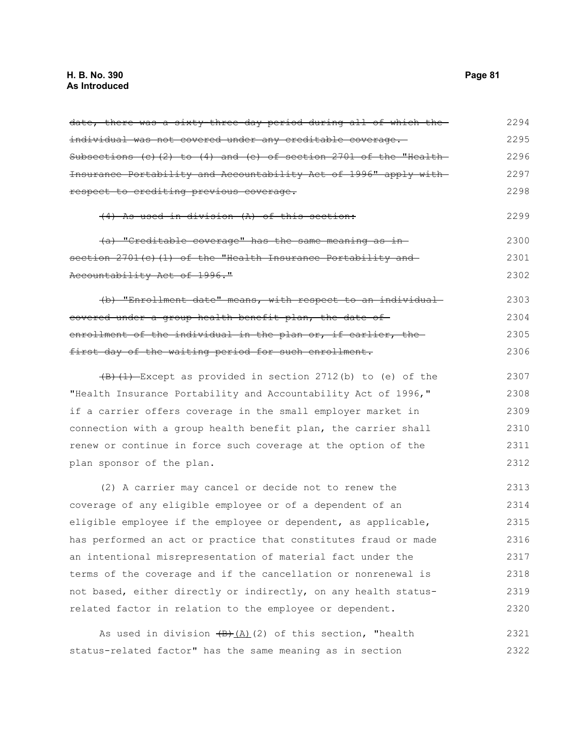| date, there was a sixty three day period during all of which the                | 2294 |
|---------------------------------------------------------------------------------|------|
| individual was not covered under any creditable coverage.                       | 2295 |
| Subsections (c)(2) to (4) and (e) of section 2701 of the "Health-               | 2296 |
| Insurance Portability and Accountability Act of 1996" apply with                | 2297 |
| respect to crediting previous coverage.                                         | 2298 |
| (4) As used in division (A) of this section:                                    | 2299 |
| (a) "Creditable coverage" has the same meaning as in-                           | 2300 |
| section 2701(c)(1) of the "Health Insurance Portability and                     | 2301 |
| Accountability Act of 1996."                                                    | 2302 |
| (b) "Enrollment date" means, with respect to an individual                      | 2303 |
| covered under a group health benefit plan, the date of                          | 2304 |
| enrollment of the individual in the plan or, if earlier, the                    | 2305 |
| first day of the waiting period for such enrollment.                            | 2306 |
| $\left(\frac{1}{1}\right)$ -Except as provided in section 2712(b) to (e) of the | 2307 |
| "Health Insurance Portability and Accountability Act of 1996,"                  | 2308 |
| if a carrier offers coverage in the small employer market in                    | 2309 |
| connection with a group health benefit plan, the carrier shall                  | 2310 |
| renew or continue in force such coverage at the option of the                   | 2311 |
| plan sponsor of the plan.                                                       | 2312 |
| (2) A carrier may cancel or decide not to renew the                             | 2313 |
| coverage of any eligible employee or of a dependent of an                       | 2314 |
| eligible employee if the employee or dependent, as applicable,                  | 2315 |
| has performed an act or practice that constitutes fraud or made                 | 2316 |
| an intentional misrepresentation of material fact under the                     | 2317 |
| terms of the coverage and if the cancellation or nonrenewal is                  | 2318 |
| not based, either directly or indirectly, on any health status-                 | 2319 |
| related factor in relation to the employee or dependent.                        | 2320 |
| As used in division $\frac{1}{(B)} (2)$ of this section, "health                | 2321 |
| status-related factor" has the same meaning as in section                       | 2322 |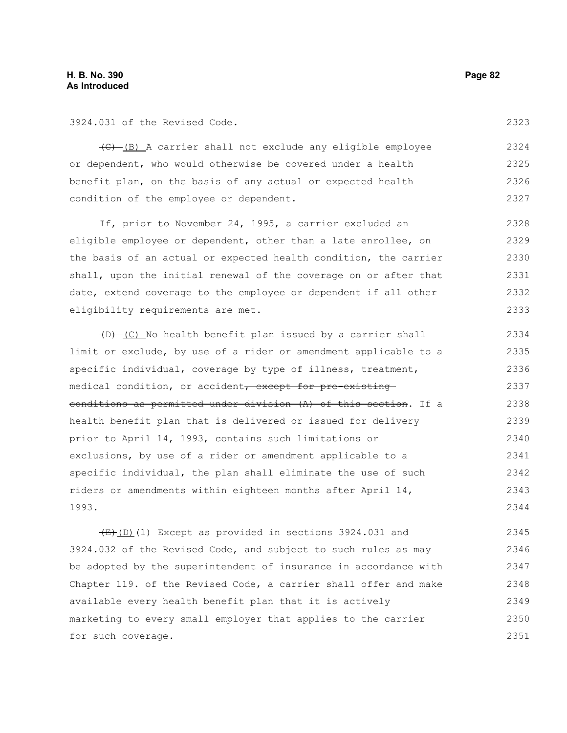3924.031 of the Revised Code.

(C) (B) A carrier shall not exclude any eligible employee or dependent, who would otherwise be covered under a health benefit plan, on the basis of any actual or expected health condition of the employee or dependent. 2324 2325 2326 2327

If, prior to November 24, 1995, a carrier excluded an eligible employee or dependent, other than a late enrollee, on the basis of an actual or expected health condition, the carrier shall, upon the initial renewal of the coverage on or after that date, extend coverage to the employee or dependent if all other eligibility requirements are met. 2328 2329 2330 2331 2332 2333

 $(D)$  (C) No health benefit plan issued by a carrier shall limit or exclude, by use of a rider or amendment applicable to a specific individual, coverage by type of illness, treatment, medical condition, or accident, except for pre-existingconditions as permitted under division (A) of this section. If a health benefit plan that is delivered or issued for delivery prior to April 14, 1993, contains such limitations or exclusions, by use of a rider or amendment applicable to a specific individual, the plan shall eliminate the use of such riders or amendments within eighteen months after April 14, 1993. 2334 2335 2336 2337 2338 2339 2340 2341 2342 2343 2344

 $\overline{(E) (D)}$ (1) Except as provided in sections 3924.031 and 3924.032 of the Revised Code, and subject to such rules as may be adopted by the superintendent of insurance in accordance with Chapter 119. of the Revised Code, a carrier shall offer and make available every health benefit plan that it is actively marketing to every small employer that applies to the carrier for such coverage. 2345 2346 2347 2348 2349 2350 2351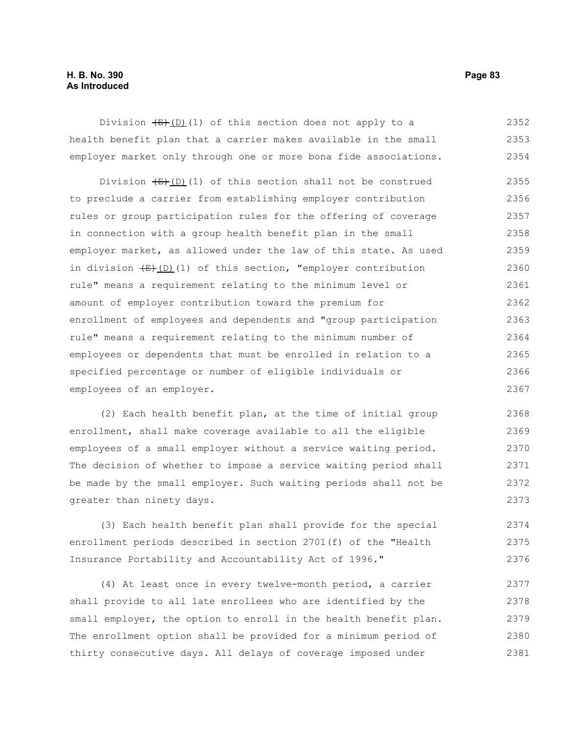## **H. B. No. 390 Page 83 As Introduced**

Division  $(E)$ (D)(1) of this section does not apply to a health benefit plan that a carrier makes available in the small employer market only through one or more bona fide associations. 2352 2353 2354

Division  $(E)$ (D)(1) of this section shall not be construed to preclude a carrier from establishing employer contribution rules or group participation rules for the offering of coverage in connection with a group health benefit plan in the small employer market, as allowed under the law of this state. As used in division  $(E)$ (1) of this section, "employer contribution rule" means a requirement relating to the minimum level or amount of employer contribution toward the premium for enrollment of employees and dependents and "group participation rule" means a requirement relating to the minimum number of employees or dependents that must be enrolled in relation to a specified percentage or number of eligible individuals or employees of an employer. 2355 2356 2357 2358 2359 2360 2361 2362 2363 2364 2365 2366 2367

(2) Each health benefit plan, at the time of initial group enrollment, shall make coverage available to all the eligible employees of a small employer without a service waiting period. The decision of whether to impose a service waiting period shall be made by the small employer. Such waiting periods shall not be greater than ninety days. 2368 2369 2370 2371 2372 2373

(3) Each health benefit plan shall provide for the special enrollment periods described in section 2701(f) of the "Health Insurance Portability and Accountability Act of 1996." 2374 2375 2376

(4) At least once in every twelve-month period, a carrier shall provide to all late enrollees who are identified by the small employer, the option to enroll in the health benefit plan. The enrollment option shall be provided for a minimum period of thirty consecutive days. All delays of coverage imposed under 2377 2378 2379 2380 2381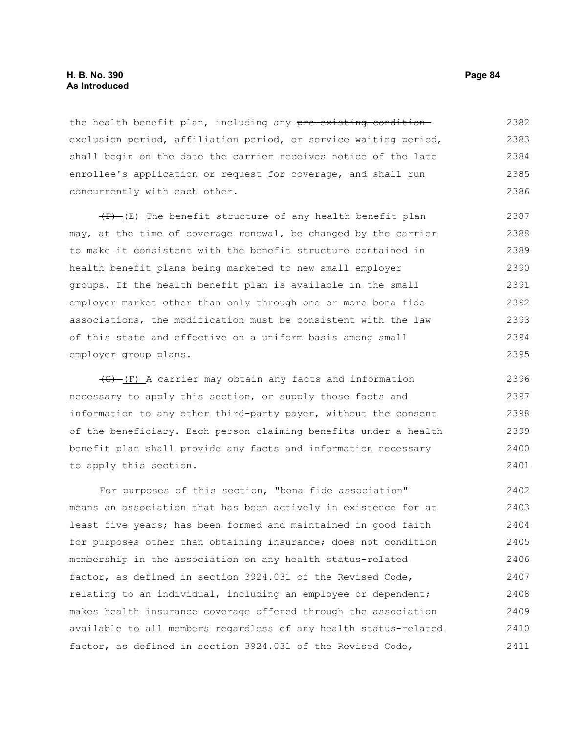the health benefit plan, including any pre-existing conditionexclusion period, affiliation period, or service waiting period, shall begin on the date the carrier receives notice of the late enrollee's application or request for coverage, and shall run concurrently with each other. 2382 2383 2384 2385 2386

 $(F)$  (E) The benefit structure of any health benefit plan may, at the time of coverage renewal, be changed by the carrier to make it consistent with the benefit structure contained in health benefit plans being marketed to new small employer groups. If the health benefit plan is available in the small employer market other than only through one or more bona fide associations, the modification must be consistent with the law of this state and effective on a uniform basis among small employer group plans. 2387 2388 2389 2390 2391 2392 2393 2394 2395

 $\overline{f}$  (F) A carrier may obtain any facts and information necessary to apply this section, or supply those facts and information to any other third-party payer, without the consent of the beneficiary. Each person claiming benefits under a health benefit plan shall provide any facts and information necessary to apply this section.

For purposes of this section, "bona fide association" means an association that has been actively in existence for at least five years; has been formed and maintained in good faith for purposes other than obtaining insurance; does not condition membership in the association on any health status-related factor, as defined in section 3924.031 of the Revised Code, relating to an individual, including an employee or dependent; makes health insurance coverage offered through the association available to all members regardless of any health status-related factor, as defined in section 3924.031 of the Revised Code, 2402 2403 2404 2405 2406 2407 2408 2409 2410 2411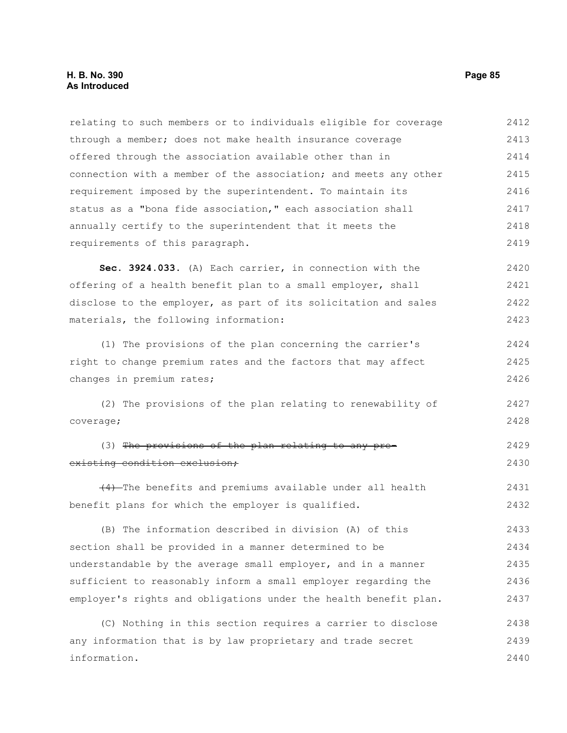relating to such members or to individuals eligible for coverage through a member; does not make health insurance coverage offered through the association available other than in connection with a member of the association; and meets any other requirement imposed by the superintendent. To maintain its status as a "bona fide association," each association shall annually certify to the superintendent that it meets the requirements of this paragraph. **Sec. 3924.033.** (A) Each carrier, in connection with the offering of a health benefit plan to a small employer, shall disclose to the employer, as part of its solicitation and sales materials, the following information: (1) The provisions of the plan concerning the carrier's right to change premium rates and the factors that may affect changes in premium rates; (2) The provisions of the plan relating to renewability of coverage; (3) The provisions of the plan relating to any preexisting condition exclusion; (4) The benefits and premiums available under all health benefit plans for which the employer is qualified. (B) The information described in division (A) of this section shall be provided in a manner determined to be understandable by the average small employer, and in a manner 2412 2413 2414 2415 2416 2417 2418 2419 2420 2421 2422 2423 2424 2425 2426 2427 2428 2429 2430 2431 2432 2433 2434 2435

(C) Nothing in this section requires a carrier to disclose any information that is by law proprietary and trade secret information. 2438 2439 2440

sufficient to reasonably inform a small employer regarding the

employer's rights and obligations under the health benefit plan.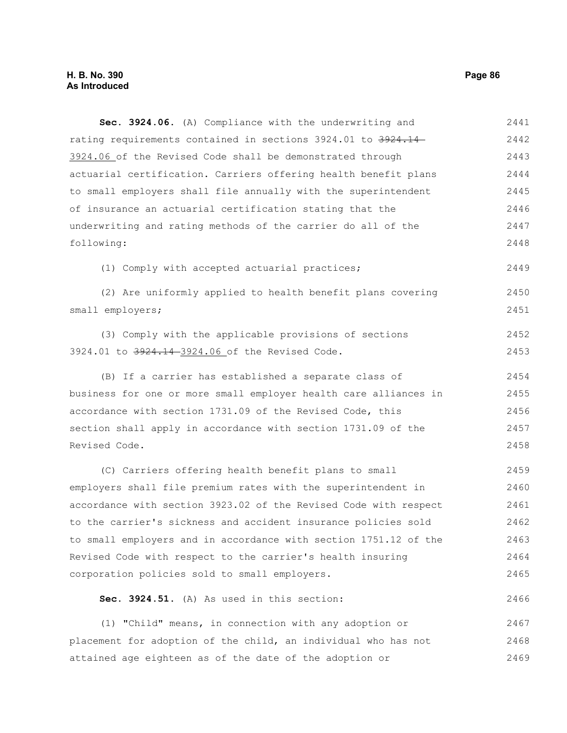**Sec. 3924.06.** (A) Compliance with the underwriting and rating requirements contained in sections 3924.01 to 3924.14 3924.06 of the Revised Code shall be demonstrated through actuarial certification. Carriers offering health benefit plans to small employers shall file annually with the superintendent of insurance an actuarial certification stating that the underwriting and rating methods of the carrier do all of the following: (1) Comply with accepted actuarial practices; (2) Are uniformly applied to health benefit plans covering small employers; (3) Comply with the applicable provisions of sections 3924.01 to 3924.14 3924.06 of the Revised Code. (B) If a carrier has established a separate class of business for one or more small employer health care alliances in accordance with section 1731.09 of the Revised Code, this section shall apply in accordance with section 1731.09 of the Revised Code. (C) Carriers offering health benefit plans to small employers shall file premium rates with the superintendent in accordance with section 3923.02 of the Revised Code with respect to the carrier's sickness and accident insurance policies sold to small employers and in accordance with section 1751.12 of the Revised Code with respect to the carrier's health insuring corporation policies sold to small employers. **Sec. 3924.51.** (A) As used in this section: (1) "Child" means, in connection with any adoption or placement for adoption of the child, an individual who has not 2441 2442 2443 2444 2445 2446 2447 2448 2449 2450 2451 2452 2453 2454 2455 2456 2457 2458 2459 2460 2461 2462 2463 2464 2465 2466 2467 2468

attained age eighteen as of the date of the adoption or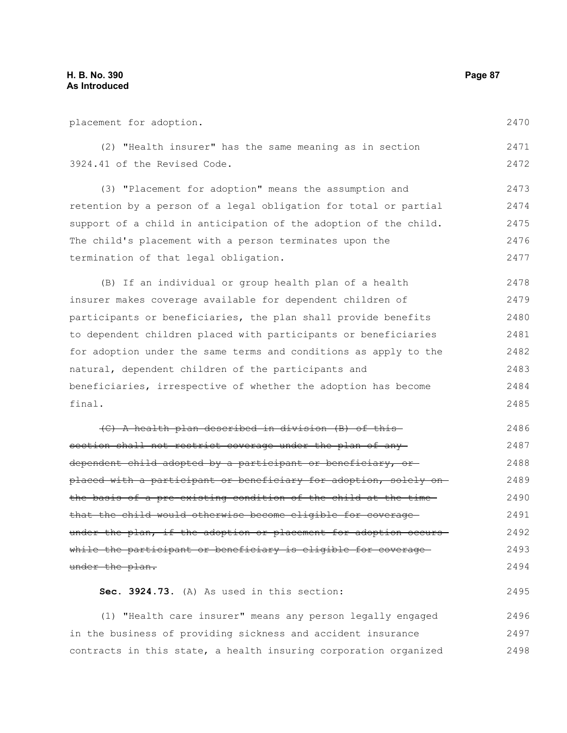under the plan.

placement for adoption. (2) "Health insurer" has the same meaning as in section 3924.41 of the Revised Code. (3) "Placement for adoption" means the assumption and retention by a person of a legal obligation for total or partial support of a child in anticipation of the adoption of the child. The child's placement with a person terminates upon the termination of that legal obligation. (B) If an individual or group health plan of a health insurer makes coverage available for dependent children of participants or beneficiaries, the plan shall provide benefits to dependent children placed with participants or beneficiaries for adoption under the same terms and conditions as apply to the natural, dependent children of the participants and beneficiaries, irrespective of whether the adoption has become final. (C) A health plan described in division (B) of this section shall not restrict coverage under the plan of anydependent child adopted by a participant or beneficiary, or placed with a participant or beneficiary for adoption, solely on the basis of a pre-existing condition of the child at the time that the child would otherwise become eligible for coverage under the plan, if the adoption or placement for adoption occurs while the participant or beneficiary is eligible for coverage 2470 2471 2472 2473 2474 2475 2476 2477 2478 2479 2480 2481 2482 2483 2484 2485 2486 2487 2488 2489 2490 2491 2492 2493

**Sec. 3924.73.** (A) As used in this section:

(1) "Health care insurer" means any person legally engaged in the business of providing sickness and accident insurance contracts in this state, a health insuring corporation organized 2496 2497 2498

2494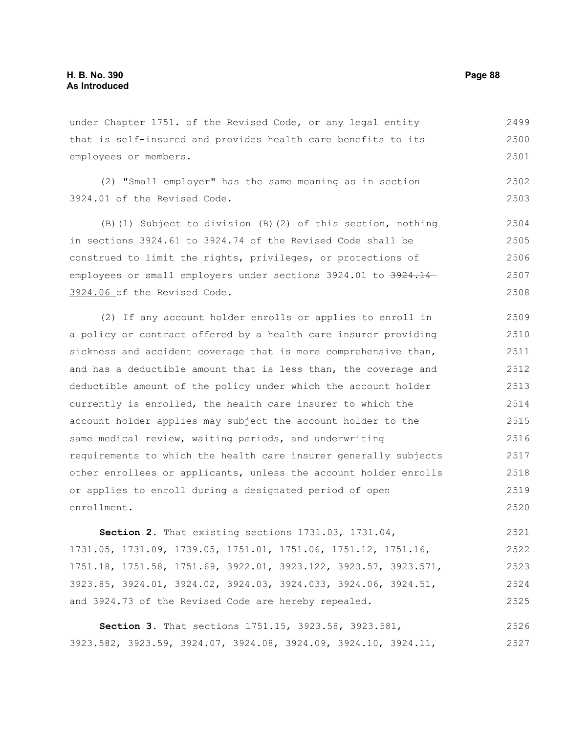under Chapter 1751. of the Revised Code, or any legal entity that is self-insured and provides health care benefits to its employees or members. 2499 2500 2501

(2) "Small employer" has the same meaning as in section 3924.01 of the Revised Code.

(B)(1) Subject to division (B)(2) of this section, nothing in sections 3924.61 to 3924.74 of the Revised Code shall be construed to limit the rights, privileges, or protections of employees or small employers under sections 3924.01 to 3924.14 3924.06 of the Revised Code. 2504 2505 2506 2507 2508

(2) If any account holder enrolls or applies to enroll in a policy or contract offered by a health care insurer providing sickness and accident coverage that is more comprehensive than, and has a deductible amount that is less than, the coverage and deductible amount of the policy under which the account holder currently is enrolled, the health care insurer to which the account holder applies may subject the account holder to the same medical review, waiting periods, and underwriting requirements to which the health care insurer generally subjects other enrollees or applicants, unless the account holder enrolls or applies to enroll during a designated period of open enrollment. 2509 2510 2511 2512 2513 2514 2515 2516 2517 2518 2519 2520

**Section 2.** That existing sections 1731.03, 1731.04, 1731.05, 1731.09, 1739.05, 1751.01, 1751.06, 1751.12, 1751.16, 1751.18, 1751.58, 1751.69, 3922.01, 3923.122, 3923.57, 3923.571, 3923.85, 3924.01, 3924.02, 3924.03, 3924.033, 3924.06, 3924.51, and 3924.73 of the Revised Code are hereby repealed. 2521 2522 2523 2524 2525

**Section 3.** That sections 1751.15, 3923.58, 3923.581, 3923.582, 3923.59, 3924.07, 3924.08, 3924.09, 3924.10, 3924.11, 2526 2527